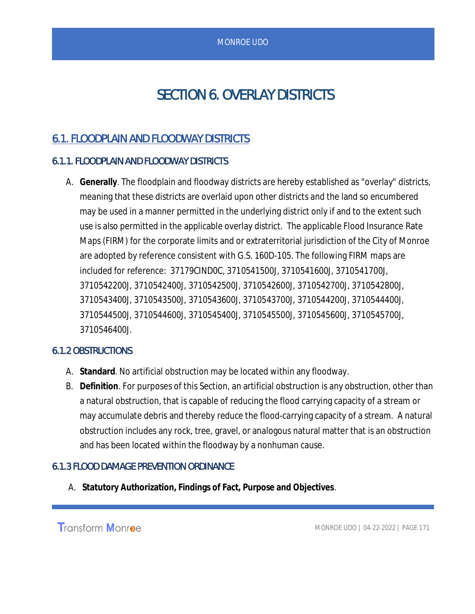# SECTION 6. OVERLAY DISTRICTS

# 6.1. FLOODPLAIN AND FLOODWAY DISTRICTS

# 6.1.1. FLOODPLAIN AND FLOODWAY DISTRICTS

A. **Generally**. The floodplain and floodway districts are hereby established as "overlay" districts, meaning that these districts are overlaid upon other districts and the land so encumbered may be used in a manner permitted in the underlying district only if and to the extent such use is also permitted in the applicable overlay district. The applicable Flood Insurance Rate Maps (FIRM) for the corporate limits and or extraterritorial jurisdiction of the City of Monroe are adopted by reference consistent with G.S. 160D-105. The following FIRM maps are included for reference: 37179CIND0C, 3710541500J, 3710541600J, 3710541700J, 3710542200J, 3710542400J, 3710542500J, 3710542600J, 3710542700J, 3710542800J, 3710543400J, 3710543500J, 3710543600J, 3710543700J, 3710544200J, 3710544400J, 3710544500J, 3710544600J, 3710545400J, 3710545500J, 3710545600J, 3710545700J, 3710546400J.

# 6.1.2 OBSTRUCTIONS

- A. **Standard**. No artificial obstruction may be located within any floodway.
- B. **Definition**. For purposes of this Section, an artificial obstruction is any obstruction, other than a natural obstruction, that is capable of reducing the flood carrying capacity of a stream or may accumulate debris and thereby reduce the flood-carrying capacity of a stream. A natural obstruction includes any rock, tree, gravel, or analogous natural matter that is an obstruction and has been located within the floodway by a nonhuman cause.

# 6.1.3 FLOOD DAMAGE PREVENTION ORDINANCE

A. **Statutory Authorization, Findings of Fact, Purpose and Objectives***.*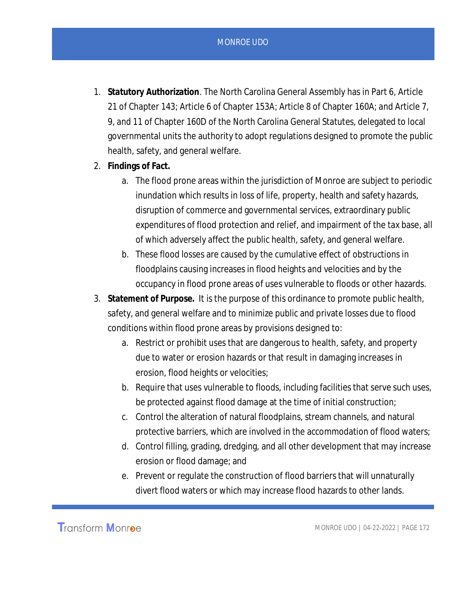- 1. **Statutory Authorization**. The North Carolina General Assembly has in Part 6, Article 21 of Chapter 143; Article 6 of Chapter 153A; Article 8 of Chapter 160A; and Article 7, 9, and 11 of Chapter 160D of the North Carolina General Statutes, delegated to local governmental units the authority to adopt regulations designed to promote the public health, safety, and general welfare.
- 2. **Findings of Fact.**
	- a. The flood prone areas within the jurisdiction of Monroe are subject to periodic inundation which results in loss of life, property, health and safety hazards, disruption of commerce and governmental services, extraordinary public expenditures of flood protection and relief, and impairment of the tax base, all of which adversely affect the public health, safety, and general welfare.
	- b. These flood losses are caused by the cumulative effect of obstructions in floodplains causing increases in flood heights and velocities and by the occupancy in flood prone areas of uses vulnerable to floods or other hazards.
- 3. **Statement of Purpose.** It is the purpose of this ordinance to promote public health, safety, and general welfare and to minimize public and private losses due to flood conditions within flood prone areas by provisions designed to:
	- a. Restrict or prohibit uses that are dangerous to health, safety, and property due to water or erosion hazards or that result in damaging increases in erosion, flood heights or velocities;
	- b. Require that uses vulnerable to floods, including facilities that serve such uses, be protected against flood damage at the time of initial construction;
	- c. Control the alteration of natural floodplains, stream channels, and natural protective barriers, which are involved in the accommodation of flood waters;
	- d. Control filling, grading, dredging, and all other development that may increase erosion or flood damage; and
	- e. Prevent or regulate the construction of flood barriers that will unnaturally divert flood waters or which may increase flood hazards to other lands.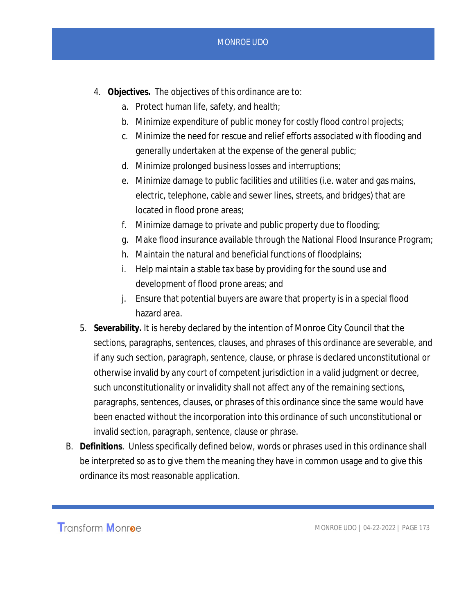- 4. **Objectives.** The objectives of this ordinance are to:
	- a. Protect human life, safety, and health;
	- b. Minimize expenditure of public money for costly flood control projects;
	- c. Minimize the need for rescue and relief efforts associated with flooding and generally undertaken at the expense of the general public;
	- d. Minimize prolonged business losses and interruptions;
	- e. Minimize damage to public facilities and utilities (i.e. water and gas mains, electric, telephone, cable and sewer lines, streets, and bridges) that are located in flood prone areas;
	- f. Minimize damage to private and public property due to flooding;
	- g. Make flood insurance available through the National Flood Insurance Program;
	- h. Maintain the natural and beneficial functions of floodplains;
	- i. Help maintain a stable tax base by providing for the sound use and development of flood prone areas; and
	- j. Ensure that potential buyers are aware that property is in a special flood hazard area.
- 5. **Severability.** It is hereby declared by the intention of Monroe City Council that the sections, paragraphs, sentences, clauses, and phrases of this ordinance are severable, and if any such section, paragraph, sentence, clause, or phrase is declared unconstitutional or otherwise invalid by any court of competent jurisdiction in a valid judgment or decree, such unconstitutionality or invalidity shall not affect any of the remaining sections, paragraphs, sentences, clauses, or phrases of this ordinance since the same would have been enacted without the incorporation into this ordinance of such unconstitutional or invalid section, paragraph, sentence, clause or phrase.
- B. **Definitions***.* Unless specifically defined below, words or phrases used in this ordinance shall be interpreted so as to give them the meaning they have in common usage and to give this ordinance its most reasonable application.

**Transform Monroe**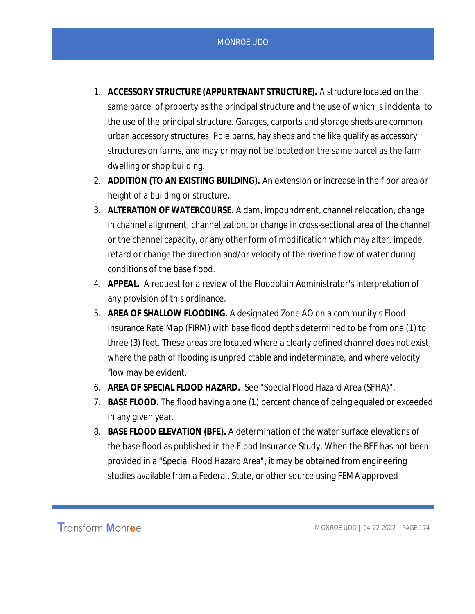- 1. **ACCESSORY STRUCTURE (APPURTENANT STRUCTURE).** A structure located on the same parcel of property as the principal structure and the use of which is incidental to the use of the principal structure. Garages, carports and storage sheds are common urban accessory structures. Pole barns, hay sheds and the like qualify as accessory structures on farms, and may or may not be located on the same parcel as the farm dwelling or shop building.
- 2. **ADDITION (TO AN EXISTING BUILDING).** An extension or increase in the floor area or height of a building or structure.
- 3. **ALTERATION OF WATERCOURSE.** A dam, impoundment, channel relocation, change in channel alignment, channelization, or change in cross-sectional area of the channel or the channel capacity, or any other form of modification which may alter, impede, retard or change the direction and/or velocity of the riverine flow of water during conditions of the base flood.
- 4. **APPEAL.** A request for a review of the Floodplain Administrator's interpretation of any provision of this ordinance.
- 5. **AREA OF SHALLOW FLOODING.** A designated Zone AO on a community's Flood Insurance Rate Map (FIRM) with base flood depths determined to be from one (1) to three (3) feet. These areas are located where a clearly defined channel does not exist, where the path of flooding is unpredictable and indeterminate, and where velocity flow may be evident.
- 6. **AREA OF SPECIAL FLOOD HAZARD.** See "Special Flood Hazard Area (SFHA)".
- 7. **BASE FLOOD.** The flood having a one (1) percent chance of being equaled or exceeded in any given year.
- 8. **BASE FLOOD ELEVATION (BFE).** A determination of the water surface elevations of the base flood as published in the Flood Insurance Study. When the BFE has not been provided in a "Special Flood Hazard Area", it may be obtained from engineering studies available from a Federal, State, or other source using FEMA approved

**Transform Monroe**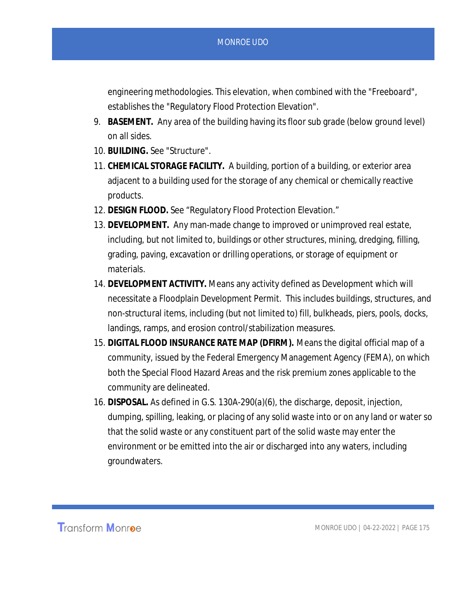engineering methodologies. This elevation, when combined with the "Freeboard", establishes the "Regulatory Flood Protection Elevation".

- 9. **BASEMENT.** Any area of the building having its floor sub grade (below ground level) on all sides.
- 10. **BUILDING.** See "Structure".
- 11. **CHEMICAL STORAGE FACILITY.** A building, portion of a building, or exterior area adjacent to a building used for the storage of any chemical or chemically reactive products.
- 12. **DESIGN FLOOD.** See "Regulatory Flood Protection Elevation."
- 13. **DEVELOPMENT.** Any man-made change to improved or unimproved real estate, including, but not limited to, buildings or other structures, mining, dredging, filling, grading, paving, excavation or drilling operations, or storage of equipment or materials.
- 14. **DEVELOPMENT ACTIVITY.** Means any activity defined as Development which will necessitate a Floodplain Development Permit. This includes buildings, structures, and non-structural items, including (but not limited to) fill, bulkheads, piers, pools, docks, landings, ramps, and erosion control/stabilization measures.
- 15. **DIGITAL FLOOD INSURANCE RATE MAP (DFIRM).** Means the digital official map of a community, issued by the Federal Emergency Management Agency (FEMA), on which both the Special Flood Hazard Areas and the risk premium zones applicable to the community are delineated.
- 16. **DISPOSAL.** As defined in G.S. 130A-290(a)(6), the discharge, deposit, injection, dumping, spilling, leaking, or placing of any solid waste into or on any land or water so that the solid waste or any constituent part of the solid waste may enter the environment or be emitted into the air or discharged into any waters, including groundwaters.

**Transform Monroe**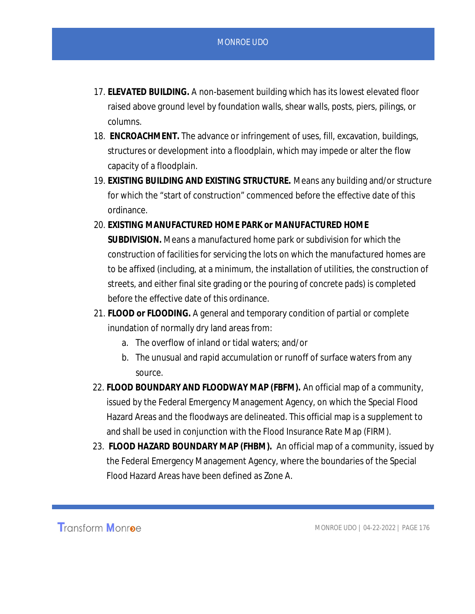- 17. **ELEVATED BUILDING.** A non-basement building which has its lowest elevated floor raised above ground level by foundation walls, shear walls, posts, piers, pilings, or columns.
- 18. **ENCROACHMENT.** The advance or infringement of uses, fill, excavation, buildings, structures or development into a floodplain, which may impede or alter the flow capacity of a floodplain.
- 19. **EXISTING BUILDING AND EXISTING STRUCTURE.** Means any building and/or structure for which the "start of construction" commenced before the effective date of this ordinance.
- 20. **EXISTING MANUFACTURED HOME PARK or MANUFACTURED HOME SUBDIVISION.** Means a manufactured home park or subdivision for which the construction of facilities for servicing the lots on which the manufactured homes are to be affixed (including, at a minimum, the installation of utilities, the construction of streets, and either final site grading or the pouring of concrete pads) is completed before the effective date of this ordinance.
- 21. **FLOOD or FLOODING.** A general and temporary condition of partial or complete inundation of normally dry land areas from:
	- a. The overflow of inland or tidal waters; and/or
	- b. The unusual and rapid accumulation or runoff of surface waters from any source.
- 22. **FLOOD BOUNDARY AND FLOODWAY MAP (FBFM).** An official map of a community, issued by the Federal Emergency Management Agency, on which the Special Flood Hazard Areas and the floodways are delineated. This official map is a supplement to and shall be used in conjunction with the Flood Insurance Rate Map (FIRM).
- 23. **FLOOD HAZARD BOUNDARY MAP (FHBM).** An official map of a community, issued by the Federal Emergency Management Agency, where the boundaries of the Special Flood Hazard Areas have been defined as Zone A.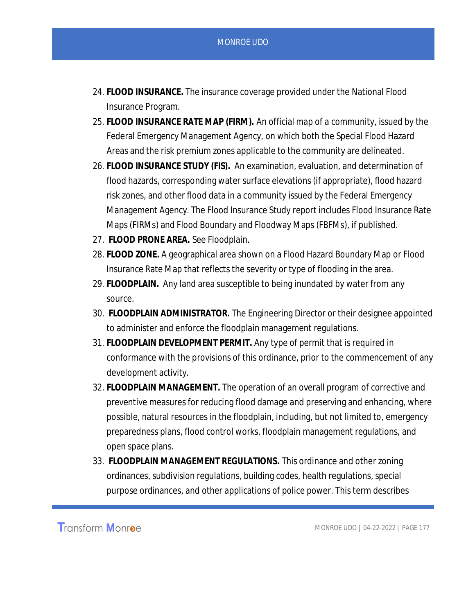- 24. **FLOOD INSURANCE.** The insurance coverage provided under the National Flood Insurance Program.
- 25. **FLOOD INSURANCE RATE MAP (FIRM).** An official map of a community, issued by the Federal Emergency Management Agency, on which both the Special Flood Hazard Areas and the risk premium zones applicable to the community are delineated.
- 26. **FLOOD INSURANCE STUDY (FIS).** An examination, evaluation, and determination of flood hazards, corresponding water surface elevations (if appropriate), flood hazard risk zones, and other flood data in a community issued by the Federal Emergency Management Agency. The Flood Insurance Study report includes Flood Insurance Rate Maps (FIRMs) and Flood Boundary and Floodway Maps (FBFMs), if published.
- 27. **FLOOD PRONE AREA.** See Floodplain.
- 28. **FLOOD ZONE.** A geographical area shown on a Flood Hazard Boundary Map or Flood Insurance Rate Map that reflects the severity or type of flooding in the area.
- 29. **FLOODPLAIN.** Any land area susceptible to being inundated by water from any source.
- 30. **FLOODPLAIN ADMINISTRATOR.** The Engineering Director or their designee appointed to administer and enforce the floodplain management regulations.
- 31. **FLOODPLAIN DEVELOPMENT PERMIT.** Any type of permit that is required in conformance with the provisions of this ordinance, prior to the commencement of any development activity.
- 32. **FLOODPLAIN MANAGEMENT.** The operation of an overall program of corrective and preventive measures for reducing flood damage and preserving and enhancing, where possible, natural resources in the floodplain, including, but not limited to, emergency preparedness plans, flood control works, floodplain management regulations, and open space plans.
- 33. **FLOODPLAIN MANAGEMENT REGULATIONS.** This ordinance and other zoning ordinances, subdivision regulations, building codes, health regulations, special purpose ordinances, and other applications of police power. This term describes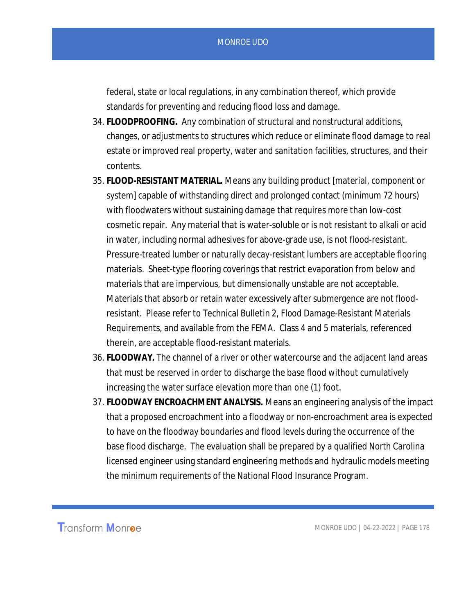federal, state or local regulations, in any combination thereof, which provide standards for preventing and reducing flood loss and damage.

- 34. **FLOODPROOFING.** Any combination of structural and nonstructural additions, changes, or adjustments to structures which reduce or eliminate flood damage to real estate or improved real property, water and sanitation facilities, structures, and their contents.
- 35. **FLOOD-RESISTANT MATERIAL.** Means any building product [material, component or system] capable of withstanding direct and prolonged contact (minimum 72 hours) with floodwaters without sustaining damage that requires more than low-cost cosmetic repair. Any material that is water-soluble or is not resistant to alkali or acid in water, including normal adhesives for above-grade use, is not flood-resistant. Pressure-treated lumber or naturally decay-resistant lumbers are acceptable flooring materials. Sheet-type flooring coverings that restrict evaporation from below and materials that are impervious, but dimensionally unstable are not acceptable. Materials that absorb or retain water excessively after submergence are not floodresistant. Please refer to Technical Bulletin 2, Flood Damage-Resistant Materials Requirements, and available from the FEMA. Class 4 and 5 materials, referenced therein, are acceptable flood-resistant materials.
- 36. **FLOODWAY.** The channel of a river or other watercourse and the adjacent land areas that must be reserved in order to discharge the base flood without cumulatively increasing the water surface elevation more than one (1) foot.
- 37. **FLOODWAY ENCROACHMENT ANALYSIS.** Means an engineering analysis of the impact that a proposed encroachment into a floodway or non-encroachment area is expected to have on the floodway boundaries and flood levels during the occurrence of the base flood discharge. The evaluation shall be prepared by a qualified North Carolina licensed engineer using standard engineering methods and hydraulic models meeting the minimum requirements of the National Flood Insurance Program.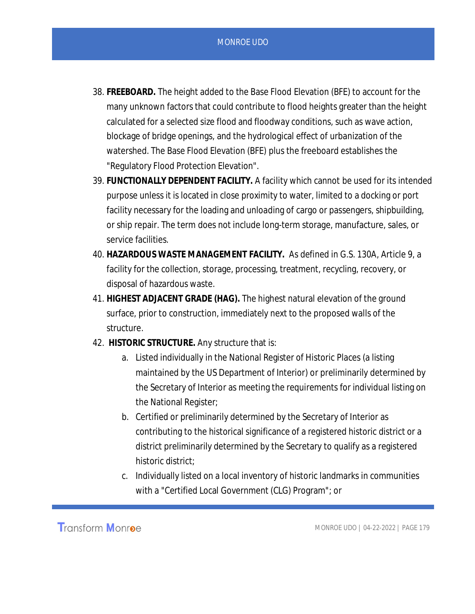- 38. **FREEBOARD.** The height added to the Base Flood Elevation (BFE) to account for the many unknown factors that could contribute to flood heights greater than the height calculated for a selected size flood and floodway conditions, such as wave action, blockage of bridge openings, and the hydrological effect of urbanization of the watershed. The Base Flood Elevation (BFE) plus the freeboard establishes the "Regulatory Flood Protection Elevation".
- 39. **FUNCTIONALLY DEPENDENT FACILITY.** A facility which cannot be used for its intended purpose unless it is located in close proximity to water, limited to a docking or port facility necessary for the loading and unloading of cargo or passengers, shipbuilding, or ship repair. The term does not include long-term storage, manufacture, sales, or service facilities.
- 40. **HAZARDOUS WASTE MANAGEMENT FACILITY.** As defined in G.S. 130A, Article 9, a facility for the collection, storage, processing, treatment, recycling, recovery, or disposal of hazardous waste.
- 41. **HIGHEST ADJACENT GRADE (HAG).** The highest natural elevation of the ground surface, prior to construction, immediately next to the proposed walls of the structure.
- 42. **HISTORIC STRUCTURE.** Any structure that is:
	- a. Listed individually in the National Register of Historic Places (a listing maintained by the US Department of Interior) or preliminarily determined by the Secretary of Interior as meeting the requirements for individual listing on the National Register;
	- b. Certified or preliminarily determined by the Secretary of Interior as contributing to the historical significance of a registered historic district or a district preliminarily determined by the Secretary to qualify as a registered historic district;
	- c. Individually listed on a local inventory of historic landmarks in communities with a "Certified Local Government (CLG) Program"; or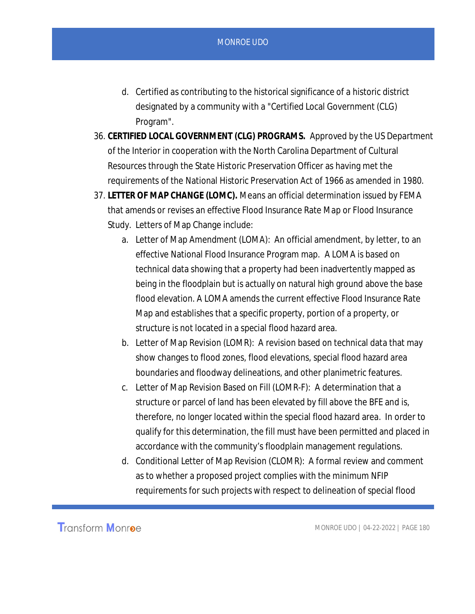- d. Certified as contributing to the historical significance of a historic district designated by a community with a "Certified Local Government (CLG) Program".
- 36. **CERTIFIED LOCAL GOVERNMENT (CLG) PROGRAMS.** Approved by the US Department of the Interior in cooperation with the North Carolina Department of Cultural Resources through the State Historic Preservation Officer as having met the requirements of the National Historic Preservation Act of 1966 as amended in 1980.
- 37. **LETTER OF MAP CHANGE (LOMC).** Means an official determination issued by FEMA that amends or revises an effective Flood Insurance Rate Map or Flood Insurance Study. Letters of Map Change include:
	- a. Letter of Map Amendment (LOMA): An official amendment, by letter, to an effective National Flood Insurance Program map. A LOMA is based on technical data showing that a property had been inadvertently mapped as being in the floodplain but is actually on natural high ground above the base flood elevation. A LOMA amends the current effective Flood Insurance Rate Map and establishes that a specific property, portion of a property, or structure is not located in a special flood hazard area.
	- b. Letter of Map Revision (LOMR): A revision based on technical data that may show changes to flood zones, flood elevations, special flood hazard area boundaries and floodway delineations, and other planimetric features.
	- c. Letter of Map Revision Based on Fill (LOMR-F): A determination that a structure or parcel of land has been elevated by fill above the BFE and is, therefore, no longer located within the special flood hazard area. In order to qualify for this determination, the fill must have been permitted and placed in accordance with the community's floodplain management regulations.
	- d. Conditional Letter of Map Revision (CLOMR): A formal review and comment as to whether a proposed project complies with the minimum NFIP requirements for such projects with respect to delineation of special flood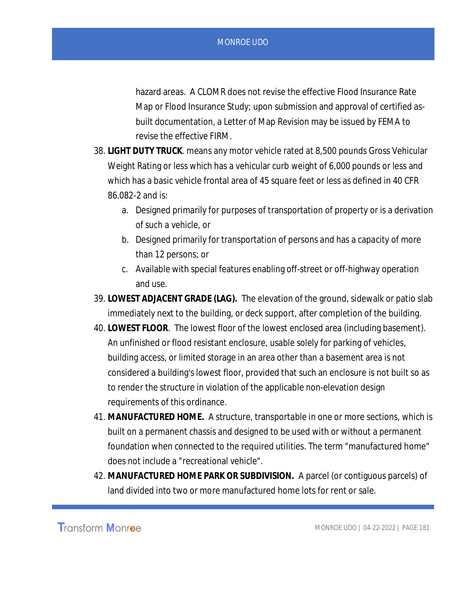hazard areas. A CLOMR does not revise the effective Flood Insurance Rate Map or Flood Insurance Study; upon submission and approval of certified asbuilt documentation, a Letter of Map Revision may be issued by FEMA to revise the effective FIRM.

- 38. **LIGHT DUTY TRUCK**. means any motor vehicle rated at 8,500 pounds Gross Vehicular Weight Rating or less which has a vehicular curb weight of 6,000 pounds or less and which has a basic vehicle frontal area of 45 square feet or less as defined in 40 CFR 86.082-2 and is:
	- a. Designed primarily for purposes of transportation of property or is a derivation of such a vehicle, or
	- b. Designed primarily for transportation of persons and has a capacity of more than 12 persons; or
	- c. Available with special features enabling off-street or off-highway operation and use.
- 39. **LOWEST ADJACENT GRADE (LAG).** The elevation of the ground, sidewalk or patio slab immediately next to the building, or deck support, after completion of the building.
- 40. **LOWEST FLOOR***.* The lowest floor of the lowest enclosed area (including basement). An unfinished or flood resistant enclosure, usable solely for parking of vehicles, building access, or limited storage in an area other than a basement area is not considered a building's lowest floor, provided that such an enclosure is not built so as to render the structure in violation of the applicable non-elevation design requirements of this ordinance.
- 41. **MANUFACTURED HOME.** A structure, transportable in one or more sections, which is built on a permanent chassis and designed to be used with or without a permanent foundation when connected to the required utilities. The term "manufactured home" does not include a "recreational vehicle".
- 42. **MANUFACTURED HOME PARK OR SUBDIVISION.** A parcel (or contiguous parcels) of land divided into two or more manufactured home lots for rent or sale.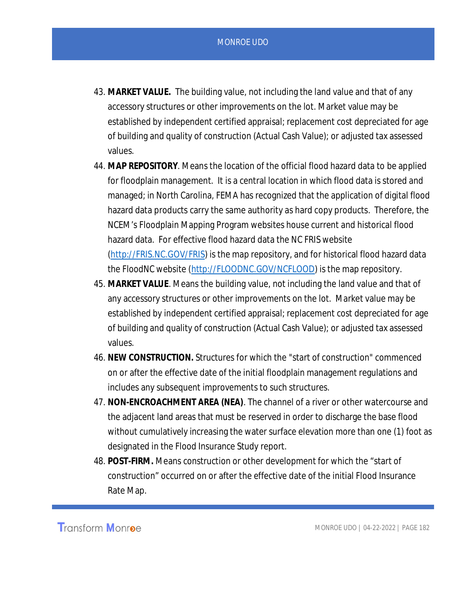- 43. **MARKET VALUE.** The building value, not including the land value and that of any accessory structures or other improvements on the lot. Market value may be established by independent certified appraisal; replacement cost depreciated for age of building and quality of construction (Actual Cash Value); or adjusted tax assessed values.
- 44. **MAP REPOSITORY**. Means the location of the official flood hazard data to be applied for floodplain management. It is a central location in which flood data is stored and managed; in North Carolina, FEMA has recognized that the application of digital flood hazard data products carry the same authority as hard copy products. Therefore, the NCEM's Floodplain Mapping Program websites house current and historical flood hazard data. For effective flood hazard data the NC FRIS website (http://FRIS.NC.GOV/FRIS) is the map repository, and for historical flood hazard data the FloodNC website (http://FLOODNC.GOV/NCFLOOD) is the map repository.
- 45. **MARKET VALUE**. Means the building value, not including the land value and that of any accessory structures or other improvements on the lot. Market value may be established by independent certified appraisal; replacement cost depreciated for age of building and quality of construction (Actual Cash Value); or adjusted tax assessed values.
- 46. **NEW CONSTRUCTION.** Structures for which the "start of construction" commenced on or after the effective date of the initial floodplain management regulations and includes any subsequent improvements to such structures.
- 47. **NON-ENCROACHMENT AREA (NEA)***.* The channel of a river or other watercourse and the adjacent land areas that must be reserved in order to discharge the base flood without cumulatively increasing the water surface elevation more than one (1) foot as designated in the Flood Insurance Study report.
- 48. **POST-FIRM.** Means construction or other development for which the "start of construction" occurred on or after the effective date of the initial Flood Insurance Rate Map.

**Transform Monroe**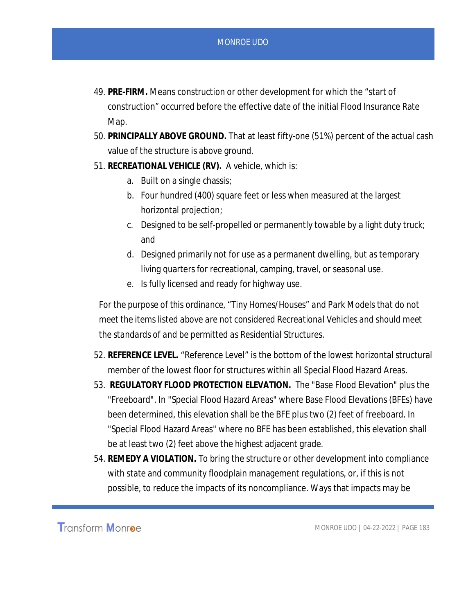- 49. **PRE-FIRM.** Means construction or other development for which the "start of construction" occurred before the effective date of the initial Flood Insurance Rate Map.
- 50. **PRINCIPALLY ABOVE GROUND.** That at least fifty-one (51%) percent of the actual cash value of the structure is above ground.
- 51. **RECREATIONAL VEHICLE (RV).** A vehicle, which is:
	- a. Built on a single chassis;
	- b. Four hundred (400) square feet or less when measured at the largest horizontal projection;
	- c. Designed to be self-propelled or permanently towable by a light duty truck; and
	- d. Designed primarily not for use as a permanent dwelling, but as temporary living quarters for recreational, camping, travel, or seasonal use.
	- e. Is fully licensed and ready for highway use.

*For the purpose of this ordinance, "Tiny Homes/Houses" and Park Models that do not meet the items listed above are not considered Recreational Vehicles and should meet the standards of and be permitted as Residential Structures.*

- 52. **REFERENCE LEVEL.** "Reference Level" is the bottom of the lowest horizontal structural member of the lowest floor for structures within all Special Flood Hazard Areas.
- 53. **REGULATORY FLOOD PROTECTION ELEVATION.** The "Base Flood Elevation" plus the "Freeboard". In "Special Flood Hazard Areas" where Base Flood Elevations (BFEs) have been determined, this elevation shall be the BFE plus two (2) feet of freeboard. In "Special Flood Hazard Areas" where no BFE has been established, this elevation shall be at least two (2) feet above the highest adjacent grade.
- 54. **REMEDY A VIOLATION.** To bring the structure or other development into compliance with state and community floodplain management regulations, or, if this is not possible, to reduce the impacts of its noncompliance. Ways that impacts may be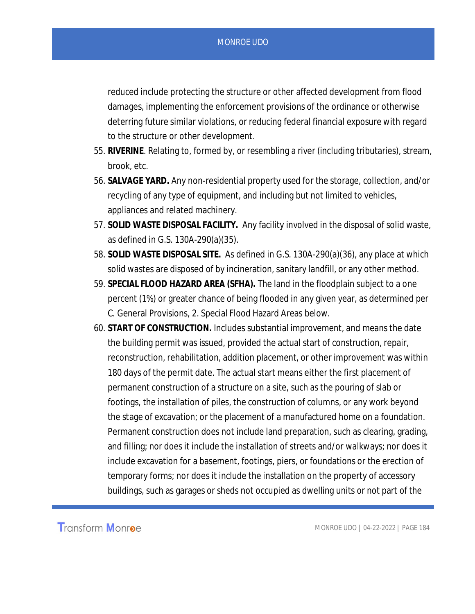reduced include protecting the structure or other affected development from flood damages, implementing the enforcement provisions of the ordinance or otherwise deterring future similar violations, or reducing federal financial exposure with regard to the structure or other development.

- 55. **RIVERINE***.* Relating to, formed by, or resembling a river (including tributaries), stream, brook, etc.
- 56. **SALVAGE YARD.** Any non-residential property used for the storage, collection, and/or recycling of any type of equipment, and including but not limited to vehicles, appliances and related machinery.
- 57. **SOLID WASTE DISPOSAL FACILITY.** Any facility involved in the disposal of solid waste, as defined in G.S. 130A-290(a)(35).
- 58. **SOLID WASTE DISPOSAL SITE.** As defined in G.S. 130A-290(a)(36), any place at which solid wastes are disposed of by incineration, sanitary landfill, or any other method.
- 59. **SPECIAL FLOOD HAZARD AREA (SFHA).** The land in the floodplain subject to a one percent (1%) or greater chance of being flooded in any given year, as determined per C. General Provisions, 2. Special Flood Hazard Areas below.
- 60. **START OF CONSTRUCTION.** Includes substantial improvement, and means the date the building permit was issued, provided the actual start of construction, repair, reconstruction, rehabilitation, addition placement, or other improvement was within 180 days of the permit date. The actual start means either the first placement of permanent construction of a structure on a site, such as the pouring of slab or footings, the installation of piles, the construction of columns, or any work beyond the stage of excavation; or the placement of a manufactured home on a foundation. Permanent construction does not include land preparation, such as clearing, grading, and filling; nor does it include the installation of streets and/or walkways; nor does it include excavation for a basement, footings, piers, or foundations or the erection of temporary forms; nor does it include the installation on the property of accessory buildings, such as garages or sheds not occupied as dwelling units or not part of the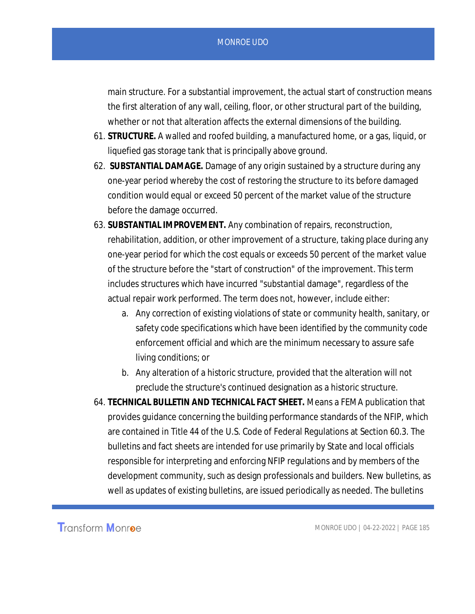main structure. For a substantial improvement, the actual start of construction means the first alteration of any wall, ceiling, floor, or other structural part of the building, whether or not that alteration affects the external dimensions of the building.

- 61. **STRUCTURE.** A walled and roofed building, a manufactured home, or a gas, liquid, or liquefied gas storage tank that is principally above ground.
- 62. **SUBSTANTIAL DAMAGE.** Damage of any origin sustained by a structure during any one-year period whereby the cost of restoring the structure to its before damaged condition would equal or exceed 50 percent of the market value of the structure before the damage occurred.
- 63. **SUBSTANTIAL IMPROVEMENT.** Any combination of repairs, reconstruction, rehabilitation, addition, or other improvement of a structure, taking place during any one-year period for which the cost equals or exceeds 50 percent of the market value of the structure before the "start of construction" of the improvement. This term includes structures which have incurred "substantial damage", regardless of the actual repair work performed. The term does not, however, include either:
	- a. Any correction of existing violations of state or community health, sanitary, or safety code specifications which have been identified by the community code enforcement official and which are the minimum necessary to assure safe living conditions; or
	- b. Any alteration of a historic structure, provided that the alteration will not preclude the structure's continued designation as a historic structure.
- 64. **TECHNICAL BULLETIN AND TECHNICAL FACT SHEET.** Means a FEMA publication that provides guidance concerning the building performance standards of the NFIP, which are contained in Title 44 of the U.S. Code of Federal Regulations at Section 60.3. The bulletins and fact sheets are intended for use primarily by State and local officials responsible for interpreting and enforcing NFIP regulations and by members of the development community, such as design professionals and builders. New bulletins, as well as updates of existing bulletins, are issued periodically as needed. The bulletins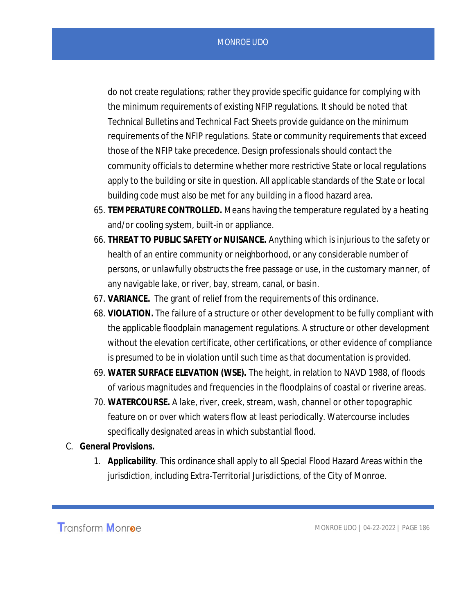do not create regulations; rather they provide specific guidance for complying with the minimum requirements of existing NFIP regulations. It should be noted that Technical Bulletins and Technical Fact Sheets provide guidance on the minimum requirements of the NFIP regulations. State or community requirements that exceed those of the NFIP take precedence. Design professionals should contact the community officials to determine whether more restrictive State or local regulations apply to the building or site in question. All applicable standards of the State or local building code must also be met for any building in a flood hazard area.

- 65. **TEMPERATURE CONTROLLED.** Means having the temperature regulated by a heating and/or cooling system, built-in or appliance.
- 66. **THREAT TO PUBLIC SAFETY or NUISANCE.** Anything which is injurious to the safety or health of an entire community or neighborhood, or any considerable number of persons, or unlawfully obstructs the free passage or use, in the customary manner, of any navigable lake, or river, bay, stream, canal, or basin.
- 67. **VARIANCE.** The grant of relief from the requirements of this ordinance.
- 68. **VIOLATION.** The failure of a structure or other development to be fully compliant with the applicable floodplain management regulations. A structure or other development without the elevation certificate, other certifications, or other evidence of compliance is presumed to be in violation until such time as that documentation is provided.
- 69. **WATER SURFACE ELEVATION (WSE).** The height, in relation to NAVD 1988, of floods of various magnitudes and frequencies in the floodplains of coastal or riverine areas.
- 70. **WATERCOURSE.** A lake, river, creek, stream, wash, channel or other topographic feature on or over which waters flow at least periodically. Watercourse includes specifically designated areas in which substantial flood.
- C. **General Provisions.**
	- 1. **Applicability***.* This ordinance shall apply to all Special Flood Hazard Areas within the jurisdiction, including Extra-Territorial Jurisdictions, of the City of Monroe.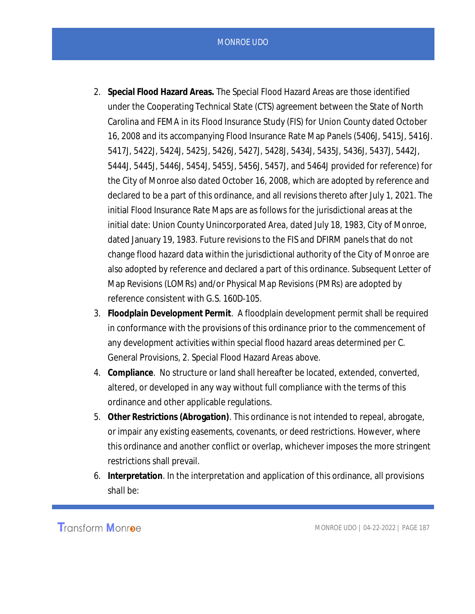- 2. **Special Flood Hazard Areas.** The Special Flood Hazard Areas are those identified under the Cooperating Technical State (CTS) agreement between the State of North Carolina and FEMA in its Flood Insurance Study (FIS) for Union County dated October 16, 2008 and its accompanying Flood Insurance Rate Map Panels (5406J, 5415J, 5416J. 5417J, 5422J, 5424J, 5425J, 5426J, 5427J, 5428J, 5434J, 5435J, 5436J, 5437J, 5442J, 5444J, 5445J, 5446J, 5454J, 5455J, 5456J, 5457J, and 5464J provided for reference) for the City of Monroe also dated October 16, 2008, which are adopted by reference and declared to be a part of this ordinance, and all revisions thereto after July 1, 2021. The initial Flood Insurance Rate Maps are as follows for the jurisdictional areas at the initial date: Union County Unincorporated Area, dated July 18, 1983, City of Monroe, dated January 19, 1983. Future revisions to the FIS and DFIRM panels that do not change flood hazard data within the jurisdictional authority of the City of Monroe are also adopted by reference and declared a part of this ordinance. Subsequent Letter of Map Revisions (LOMRs) and/or Physical Map Revisions (PMRs) are adopted by reference consistent with G.S. 160D-105.
- 3. **Floodplain Development Permit***.* A floodplain development permit shall be required in conformance with the provisions of this ordinance prior to the commencement of any development activities within special flood hazard areas determined per C. General Provisions, 2. Special Flood Hazard Areas above.
- 4. **Compliance**. No structure or land shall hereafter be located, extended, converted, altered, or developed in any way without full compliance with the terms of this ordinance and other applicable regulations.
- 5. **Other Restrictions (Abrogation)**. This ordinance is not intended to repeal, abrogate, or impair any existing easements, covenants, or deed restrictions. However, where this ordinance and another conflict or overlap, whichever imposes the more stringent restrictions shall prevail.
- 6. **Interpretation***.* In the interpretation and application of this ordinance, all provisions shall be: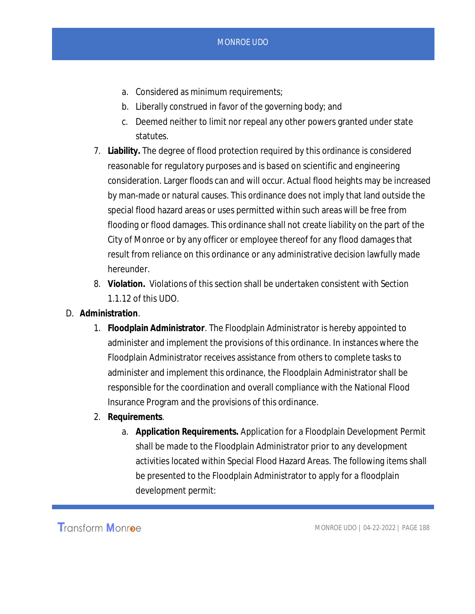- a. Considered as minimum requirements;
- b. Liberally construed in favor of the governing body; and
- c. Deemed neither to limit nor repeal any other powers granted under state statutes.
- 7. **Liability.** The degree of flood protection required by this ordinance is considered reasonable for regulatory purposes and is based on scientific and engineering consideration. Larger floods can and will occur. Actual flood heights may be increased by man-made or natural causes. This ordinance does not imply that land outside the special flood hazard areas or uses permitted within such areas will be free from flooding or flood damages. This ordinance shall not create liability on the part of the City of Monroe or by any officer or employee thereof for any flood damages that result from reliance on this ordinance or any administrative decision lawfully made hereunder.
- 8. **Violation.** Violations of this section shall be undertaken consistent with Section 1.1.12 of this UDO.
- D. **Administration***.*
	- 1. **Floodplain Administrator***.* The Floodplain Administrator is hereby appointed to administer and implement the provisions of this ordinance. In instances where the Floodplain Administrator receives assistance from others to complete tasks to administer and implement this ordinance, the Floodplain Administrator shall be responsible for the coordination and overall compliance with the National Flood Insurance Program and the provisions of this ordinance.
	- 2. **Requirements***.*
		- a. **Application Requirements.** Application for a Floodplain Development Permit shall be made to the Floodplain Administrator prior to any development activities located within Special Flood Hazard Areas. The following items shall be presented to the Floodplain Administrator to apply for a floodplain development permit: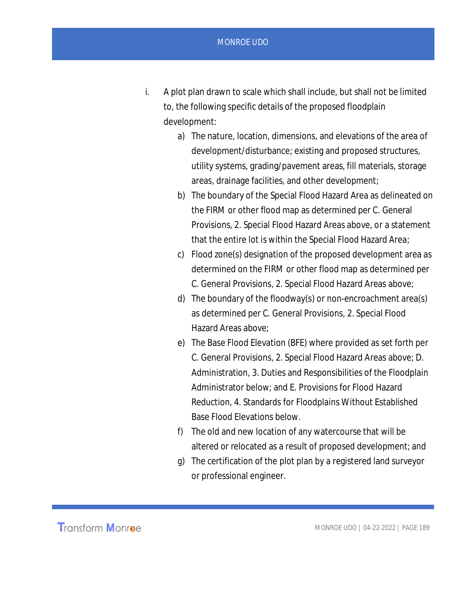- i. A plot plan drawn to scale which shall include, but shall not be limited to, the following specific details of the proposed floodplain development:
	- a) The nature, location, dimensions, and elevations of the area of development/disturbance; existing and proposed structures, utility systems, grading/pavement areas, fill materials, storage areas, drainage facilities, and other development;
	- b) The boundary of the Special Flood Hazard Area as delineated on the FIRM or other flood map as determined per C. General Provisions, 2. Special Flood Hazard Areas above, or a statement that the entire lot is within the Special Flood Hazard Area;
	- c) Flood zone(s) designation of the proposed development area as determined on the FIRM or other flood map as determined per C. General Provisions, 2. Special Flood Hazard Areas above;
	- d) The boundary of the floodway(s) or non-encroachment area(s) as determined per C. General Provisions, 2. Special Flood Hazard Areas above;
	- e) The Base Flood Elevation (BFE) where provided as set forth per C. General Provisions, 2. Special Flood Hazard Areas above; D. Administration, 3. Duties and Responsibilities of the Floodplain Administrator below; and E. Provisions for Flood Hazard Reduction, 4. Standards for Floodplains Without Established Base Flood Elevations below.
	- f) The old and new location of any watercourse that will be altered or relocated as a result of proposed development; and
	- g) The certification of the plot plan by a registered land surveyor or professional engineer.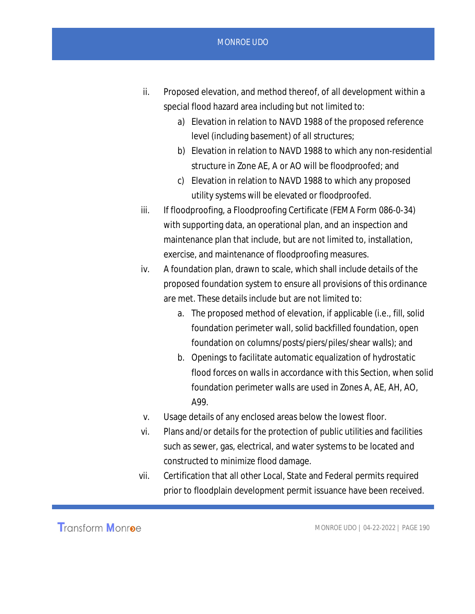- ii. Proposed elevation, and method thereof, of all development within a special flood hazard area including but not limited to:
	- a) Elevation in relation to NAVD 1988 of the proposed reference level (including basement) of all structures;
	- b) Elevation in relation to NAVD 1988 to which any non-residential structure in Zone AE, A or AO will be floodproofed; and
	- c) Elevation in relation to NAVD 1988 to which any proposed utility systems will be elevated or floodproofed.
- iii. If floodproofing, a Floodproofing Certificate (FEMA Form 086-0-34) with supporting data, an operational plan, and an inspection and maintenance plan that include, but are not limited to, installation, exercise, and maintenance of floodproofing measures.
- iv. A foundation plan, drawn to scale, which shall include details of the proposed foundation system to ensure all provisions of this ordinance are met. These details include but are not limited to:
	- a. The proposed method of elevation, if applicable (i.e., fill, solid foundation perimeter wall, solid backfilled foundation, open foundation on columns/posts/piers/piles/shear walls); and
	- b. Openings to facilitate automatic equalization of hydrostatic flood forces on walls in accordance with this Section, when solid foundation perimeter walls are used in Zones A, AE, AH, AO, A99.
- v. Usage details of any enclosed areas below the lowest floor.
- vi. Plans and/or details for the protection of public utilities and facilities such as sewer, gas, electrical, and water systems to be located and constructed to minimize flood damage.
- vii. Certification that all other Local, State and Federal permits required prior to floodplain development permit issuance have been received.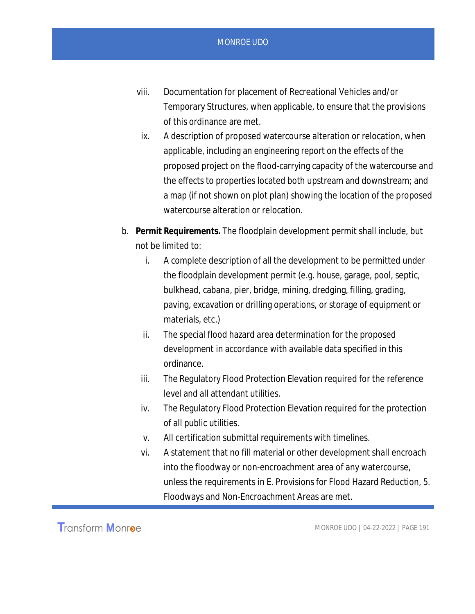- viii. Documentation for placement of Recreational Vehicles and/or Temporary Structures, when applicable, to ensure that the provisions of this ordinance are met.
- ix. A description of proposed watercourse alteration or relocation, when applicable, including an engineering report on the effects of the proposed project on the flood-carrying capacity of the watercourse and the effects to properties located both upstream and downstream; and a map (if not shown on plot plan) showing the location of the proposed watercourse alteration or relocation.
- b. **Permit Requirements.** The floodplain development permit shall include, but not be limited to:
	- i. A complete description of all the development to be permitted under the floodplain development permit (e.g. house, garage, pool, septic, bulkhead, cabana, pier, bridge, mining, dredging, filling, grading, paving, excavation or drilling operations, or storage of equipment or materials, etc.)
	- ii. The special flood hazard area determination for the proposed development in accordance with available data specified in this ordinance.
	- iii. The Regulatory Flood Protection Elevation required for the reference level and all attendant utilities.
	- iv. The Regulatory Flood Protection Elevation required for the protection of all public utilities.
	- v. All certification submittal requirements with timelines.
	- vi. A statement that no fill material or other development shall encroach into the floodway or non-encroachment area of any watercourse, unless the requirements in E. Provisions for Flood Hazard Reduction, 5. Floodways and Non-Encroachment Areas are met.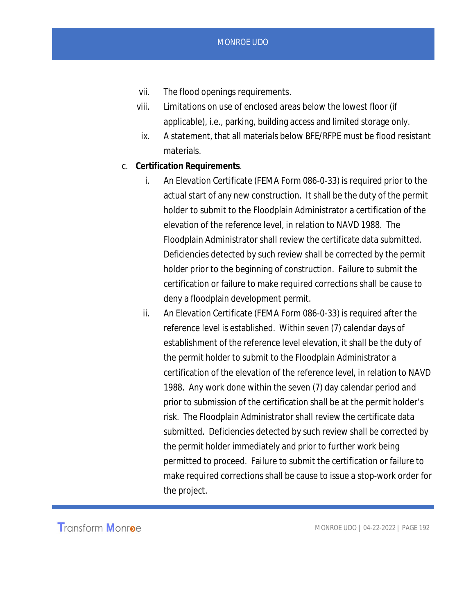- vii. The flood openings requirements.
- viii. Limitations on use of enclosed areas below the lowest floor (if applicable), i.e., parking, building access and limited storage only.
- ix. A statement, that all materials below BFE/RFPE must be flood resistant materials.
- c. **Certification Requirements***.*
	- i. An Elevation Certificate (FEMA Form 086-0-33) is required prior to the actual start of any new construction. It shall be the duty of the permit holder to submit to the Floodplain Administrator a certification of the elevation of the reference level, in relation to NAVD 1988. The Floodplain Administrator shall review the certificate data submitted. Deficiencies detected by such review shall be corrected by the permit holder prior to the beginning of construction. Failure to submit the certification or failure to make required corrections shall be cause to deny a floodplain development permit.
	- ii. An Elevation Certificate (FEMA Form 086-0-33) is required after the reference level is established. Within seven (7) calendar days of establishment of the reference level elevation, it shall be the duty of the permit holder to submit to the Floodplain Administrator a certification of the elevation of the reference level, in relation to NAVD 1988. Any work done within the seven (7) day calendar period and prior to submission of the certification shall be at the permit holder's risk. The Floodplain Administrator shall review the certificate data submitted. Deficiencies detected by such review shall be corrected by the permit holder immediately and prior to further work being permitted to proceed. Failure to submit the certification or failure to make required corrections shall be cause to issue a stop-work order for the project.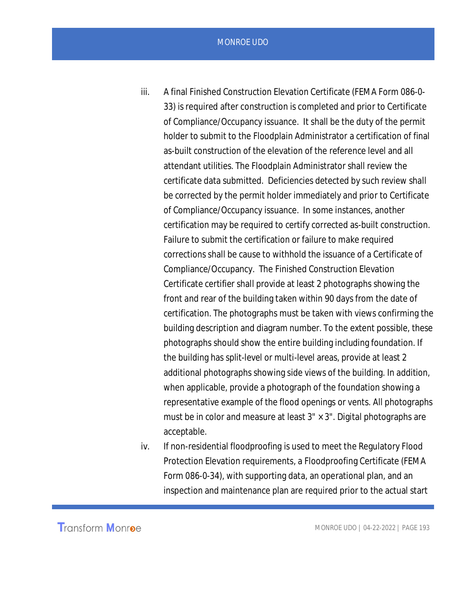- iii. A final Finished Construction Elevation Certificate (FEMA Form 086-0- 33) is required after construction is completed and prior to Certificate of Compliance/Occupancy issuance. It shall be the duty of the permit holder to submit to the Floodplain Administrator a certification of final as-built construction of the elevation of the reference level and all attendant utilities. The Floodplain Administrator shall review the certificate data submitted. Deficiencies detected by such review shall be corrected by the permit holder immediately and prior to Certificate of Compliance/Occupancy issuance. In some instances, another certification may be required to certify corrected as-built construction. Failure to submit the certification or failure to make required corrections shall be cause to withhold the issuance of a Certificate of Compliance/Occupancy. The Finished Construction Elevation Certificate certifier shall provide at least 2 photographs showing the front and rear of the building taken within 90 days from the date of certification. The photographs must be taken with views confirming the building description and diagram number. To the extent possible, these photographs should show the entire building including foundation. If the building has split-level or multi-level areas, provide at least 2 additional photographs showing side views of the building. In addition, when applicable, provide a photograph of the foundation showing a representative example of the flood openings or vents. All photographs must be in color and measure at least  $3'' \times 3''$ . Digital photographs are acceptable.
- iv. If non-residential floodproofing is used to meet the Regulatory Flood Protection Elevation requirements, a Floodproofing Certificate (FEMA Form 086-0-34), with supporting data, an operational plan, and an inspection and maintenance plan are required prior to the actual start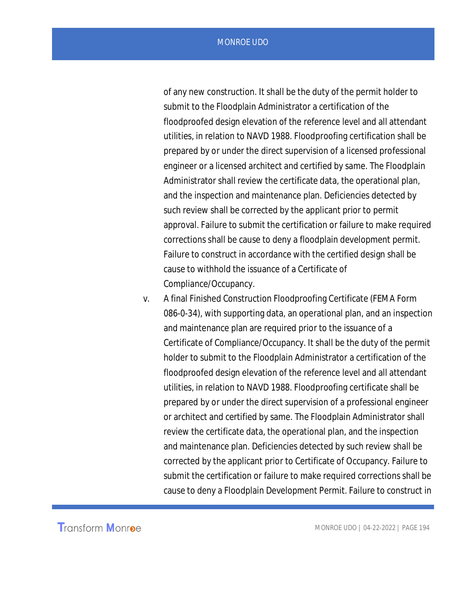of any new construction. It shall be the duty of the permit holder to submit to the Floodplain Administrator a certification of the floodproofed design elevation of the reference level and all attendant utilities, in relation to NAVD 1988. Floodproofing certification shall be prepared by or under the direct supervision of a licensed professional engineer or a licensed architect and certified by same. The Floodplain Administrator shall review the certificate data, the operational plan, and the inspection and maintenance plan. Deficiencies detected by such review shall be corrected by the applicant prior to permit approval. Failure to submit the certification or failure to make required corrections shall be cause to deny a floodplain development permit. Failure to construct in accordance with the certified design shall be cause to withhold the issuance of a Certificate of Compliance/Occupancy.

v. A final Finished Construction Floodproofing Certificate (FEMA Form 086-0-34), with supporting data, an operational plan, and an inspection and maintenance plan are required prior to the issuance of a Certificate of Compliance/Occupancy. It shall be the duty of the permit holder to submit to the Floodplain Administrator a certification of the floodproofed design elevation of the reference level and all attendant utilities, in relation to NAVD 1988. Floodproofing certificate shall be prepared by or under the direct supervision of a professional engineer or architect and certified by same. The Floodplain Administrator shall review the certificate data, the operational plan, and the inspection and maintenance plan. Deficiencies detected by such review shall be corrected by the applicant prior to Certificate of Occupancy. Failure to submit the certification or failure to make required corrections shall be cause to deny a Floodplain Development Permit. Failure to construct in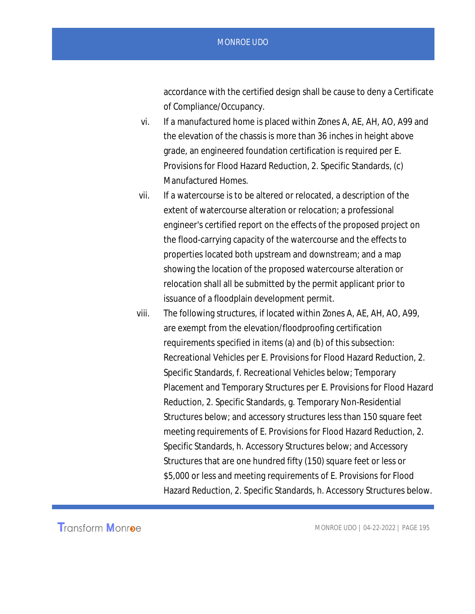accordance with the certified design shall be cause to deny a Certificate of Compliance/Occupancy.

- vi. If a manufactured home is placed within Zones A, AE, AH, AO, A99 and the elevation of the chassis is more than 36 inches in height above grade, an engineered foundation certification is required per E. Provisions for Flood Hazard Reduction, 2. Specific Standards, (c) Manufactured Homes.
- vii. If a watercourse is to be altered or relocated, a description of the extent of watercourse alteration or relocation; a professional engineer's certified report on the effects of the proposed project on the flood-carrying capacity of the watercourse and the effects to properties located both upstream and downstream; and a map showing the location of the proposed watercourse alteration or relocation shall all be submitted by the permit applicant prior to issuance of a floodplain development permit.
- viii. The following structures, if located within Zones A, AE, AH, AO, A99, are exempt from the elevation/floodproofing certification requirements specified in items (a) and (b) of this subsection: Recreational Vehicles per E. Provisions for Flood Hazard Reduction, 2. Specific Standards, f. Recreational Vehicles below; Temporary Placement and Temporary Structures per E. Provisions for Flood Hazard Reduction, 2. Specific Standards, g. Temporary Non-Residential Structures below; and accessory structures less than 150 square feet meeting requirements of E. Provisions for Flood Hazard Reduction, 2. Specific Standards, h. Accessory Structures below; and Accessory Structures that are one hundred fifty (150) square feet or less or \$5,000 or less and meeting requirements of E. Provisions for Flood Hazard Reduction, 2. Specific Standards, h. Accessory Structures below.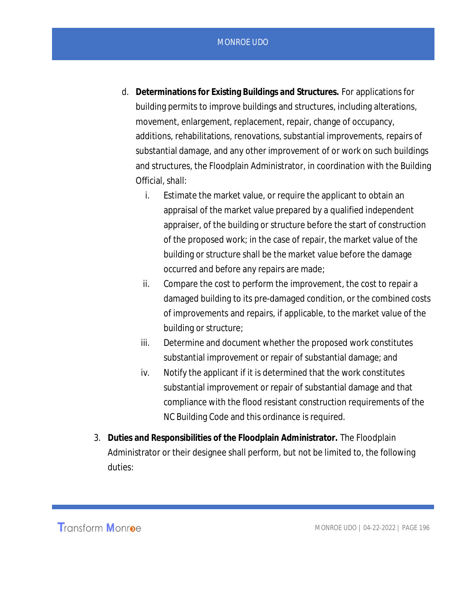- MONROE UDO
- d. **Determinations for Existing Buildings and Structures.** For applications for building permits to improve buildings and structures, including alterations, movement, enlargement, replacement, repair, change of occupancy, additions, rehabilitations, renovations, substantial improvements, repairs of substantial damage, and any other improvement of or work on such buildings and structures, the Floodplain Administrator, in coordination with the Building Official, shall:
	- i. Estimate the market value, or require the applicant to obtain an appraisal of the market value prepared by a qualified independent appraiser, of the building or structure before the start of construction of the proposed work; in the case of repair, the market value of the building or structure shall be the market value before the damage occurred and before any repairs are made;
	- ii. Compare the cost to perform the improvement, the cost to repair a damaged building to its pre-damaged condition, or the combined costs of improvements and repairs, if applicable, to the market value of the building or structure;
	- iii. Determine and document whether the proposed work constitutes substantial improvement or repair of substantial damage; and
	- iv. Notify the applicant if it is determined that the work constitutes substantial improvement or repair of substantial damage and that compliance with the flood resistant construction requirements of the NC Building Code and this ordinance is required.
- 3. **Duties and Responsibilities of the Floodplain Administrator.** The Floodplain Administrator or their designee shall perform, but not be limited to, the following duties:

**Transform Monroe**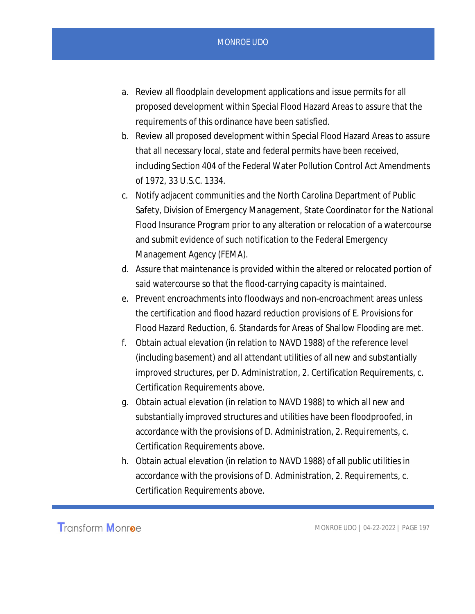- a. Review all floodplain development applications and issue permits for all proposed development within Special Flood Hazard Areas to assure that the requirements of this ordinance have been satisfied.
- b. Review all proposed development within Special Flood Hazard Areas to assure that all necessary local, state and federal permits have been received, including Section 404 of the Federal Water Pollution Control Act Amendments of 1972, 33 U.S.C. 1334.
- c. Notify adjacent communities and the North Carolina Department of Public Safety, Division of Emergency Management, State Coordinator for the National Flood Insurance Program prior to any alteration or relocation of a watercourse and submit evidence of such notification to the Federal Emergency Management Agency (FEMA).
- d. Assure that maintenance is provided within the altered or relocated portion of said watercourse so that the flood-carrying capacity is maintained.
- e. Prevent encroachments into floodways and non-encroachment areas unless the certification and flood hazard reduction provisions of E. Provisions for Flood Hazard Reduction, 6. Standards for Areas of Shallow Flooding are met.
- f. Obtain actual elevation (in relation to NAVD 1988) of the reference level (including basement) and all attendant utilities of all new and substantially improved structures, per D. Administration, 2. Certification Requirements, c. Certification Requirements above.
- g. Obtain actual elevation (in relation to NAVD 1988) to which all new and substantially improved structures and utilities have been floodproofed, in accordance with the provisions of D. Administration, 2. Requirements, c. Certification Requirements above.
- h. Obtain actual elevation (in relation to NAVD 1988) of all public utilities in accordance with the provisions of D. Administration, 2. Requirements, c. Certification Requirements above.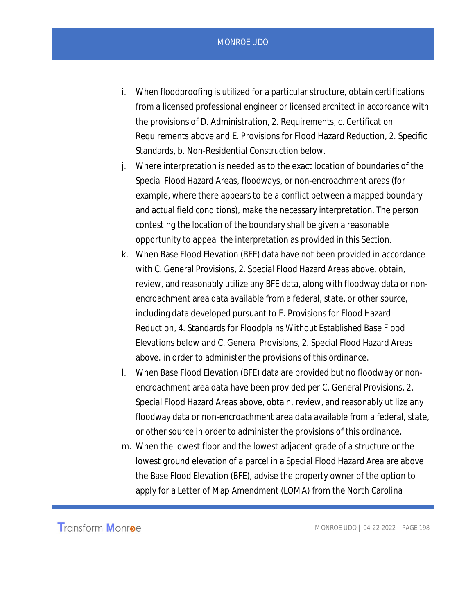- i. When floodproofing is utilized for a particular structure, obtain certifications from a licensed professional engineer or licensed architect in accordance with the provisions of D. Administration, 2. Requirements, c. Certification Requirements above and E. Provisions for Flood Hazard Reduction, 2. Specific Standards, b. Non-Residential Construction below.
- j. Where interpretation is needed as to the exact location of boundaries of the Special Flood Hazard Areas, floodways, or non-encroachment areas (for example, where there appears to be a conflict between a mapped boundary and actual field conditions), make the necessary interpretation. The person contesting the location of the boundary shall be given a reasonable opportunity to appeal the interpretation as provided in this Section.
- k. When Base Flood Elevation (BFE) data have not been provided in accordance with C. General Provisions, 2. Special Flood Hazard Areas above, obtain, review, and reasonably utilize any BFE data, along with floodway data or nonencroachment area data available from a federal, state, or other source, including data developed pursuant to E. Provisions for Flood Hazard Reduction, 4. Standards for Floodplains Without Established Base Flood Elevations below and C. General Provisions, 2. Special Flood Hazard Areas above. in order to administer the provisions of this ordinance.
- l. When Base Flood Elevation (BFE) data are provided but no floodway or nonencroachment area data have been provided per C. General Provisions, 2. Special Flood Hazard Areas above, obtain, review, and reasonably utilize any floodway data or non-encroachment area data available from a federal, state, or other source in order to administer the provisions of this ordinance.
- m. When the lowest floor and the lowest adjacent grade of a structure or the lowest ground elevation of a parcel in a Special Flood Hazard Area are above the Base Flood Elevation (BFE), advise the property owner of the option to apply for a Letter of Map Amendment (LOMA) from the North Carolina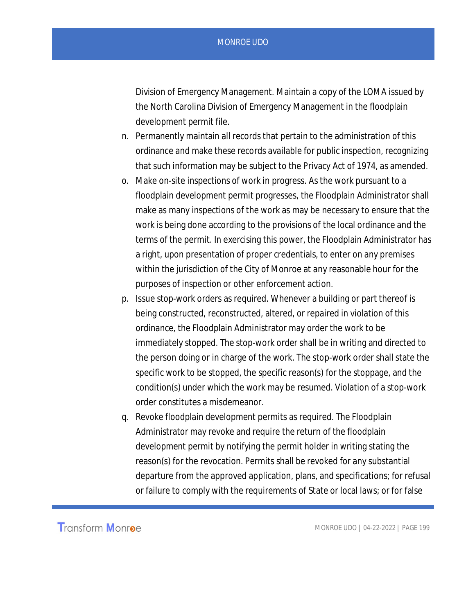Division of Emergency Management. Maintain a copy of the LOMA issued by the North Carolina Division of Emergency Management in the floodplain development permit file.

- n. Permanently maintain all records that pertain to the administration of this ordinance and make these records available for public inspection, recognizing that such information may be subject to the Privacy Act of 1974, as amended.
- o. Make on-site inspections of work in progress. As the work pursuant to a floodplain development permit progresses, the Floodplain Administrator shall make as many inspections of the work as may be necessary to ensure that the work is being done according to the provisions of the local ordinance and the terms of the permit. In exercising this power, the Floodplain Administrator has a right, upon presentation of proper credentials, to enter on any premises within the jurisdiction of the City of Monroe at any reasonable hour for the purposes of inspection or other enforcement action.
- p. Issue stop-work orders as required. Whenever a building or part thereof is being constructed, reconstructed, altered, or repaired in violation of this ordinance, the Floodplain Administrator may order the work to be immediately stopped. The stop-work order shall be in writing and directed to the person doing or in charge of the work. The stop-work order shall state the specific work to be stopped, the specific reason(s) for the stoppage, and the condition(s) under which the work may be resumed. Violation of a stop-work order constitutes a misdemeanor.
- q. Revoke floodplain development permits as required. The Floodplain Administrator may revoke and require the return of the floodplain development permit by notifying the permit holder in writing stating the reason(s) for the revocation. Permits shall be revoked for any substantial departure from the approved application, plans, and specifications; for refusal or failure to comply with the requirements of State or local laws; or for false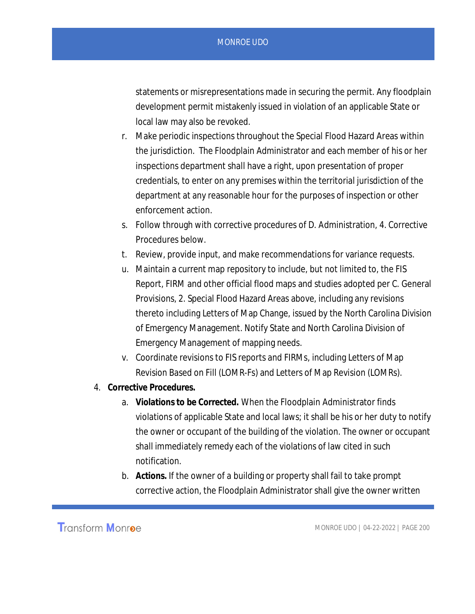statements or misrepresentations made in securing the permit. Any floodplain development permit mistakenly issued in violation of an applicable State or local law may also be revoked.

- r. Make periodic inspections throughout the Special Flood Hazard Areas within the jurisdiction. The Floodplain Administrator and each member of his or her inspections department shall have a right, upon presentation of proper credentials, to enter on any premises within the territorial jurisdiction of the department at any reasonable hour for the purposes of inspection or other enforcement action.
- s. Follow through with corrective procedures of D. Administration, 4. Corrective Procedures below.
- t. Review, provide input, and make recommendations for variance requests.
- u. Maintain a current map repository to include, but not limited to, the FIS Report, FIRM and other official flood maps and studies adopted per C. General Provisions, 2. Special Flood Hazard Areas above, including any revisions thereto including Letters of Map Change, issued by the North Carolina Division of Emergency Management. Notify State and North Carolina Division of Emergency Management of mapping needs.
- v. Coordinate revisions to FIS reports and FIRMs, including Letters of Map Revision Based on Fill (LOMR-Fs) and Letters of Map Revision (LOMRs).
- 4. **Corrective Procedures.**
	- a. **Violations to be Corrected.** When the Floodplain Administrator finds violations of applicable State and local laws; it shall be his or her duty to notify the owner or occupant of the building of the violation. The owner or occupant shall immediately remedy each of the violations of law cited in such notification.
	- b. **Actions.** If the owner of a building or property shall fail to take prompt corrective action, the Floodplain Administrator shall give the owner written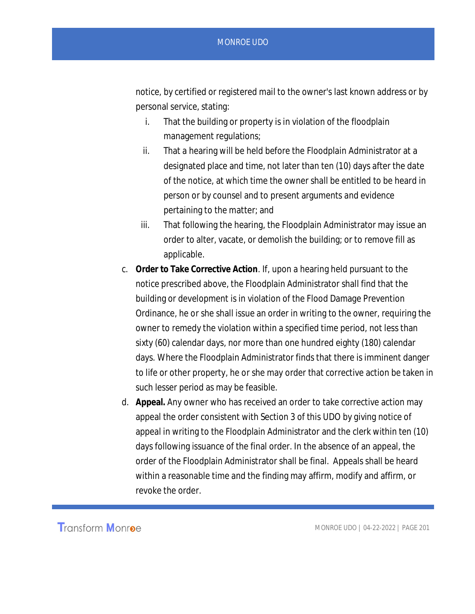notice, by certified or registered mail to the owner's last known address or by personal service, stating:

- i. That the building or property is in violation of the floodplain management regulations;
- ii. That a hearing will be held before the Floodplain Administrator at a designated place and time, not later than ten (10) days after the date of the notice, at which time the owner shall be entitled to be heard in person or by counsel and to present arguments and evidence pertaining to the matter; and
- iii. That following the hearing, the Floodplain Administrator may issue an order to alter, vacate, or demolish the building; or to remove fill as applicable.
- c. **Order to Take Corrective Action***.* If, upon a hearing held pursuant to the notice prescribed above, the Floodplain Administrator shall find that the building or development is in violation of the Flood Damage Prevention Ordinance, he or she shall issue an order in writing to the owner, requiring the owner to remedy the violation within a specified time period, not less than sixty (60) calendar days, nor more than one hundred eighty (180) calendar days. Where the Floodplain Administrator finds that there is imminent danger to life or other property, he or she may order that corrective action be taken in such lesser period as may be feasible.
- d. **Appeal.** Any owner who has received an order to take corrective action may appeal the order consistent with Section 3 of this UDO by giving notice of appeal in writing to the Floodplain Administrator and the clerk within ten (10) days following issuance of the final order. In the absence of an appeal, the order of the Floodplain Administrator shall be final. Appeals shall be heard within a reasonable time and the finding may affirm, modify and affirm, or revoke the order.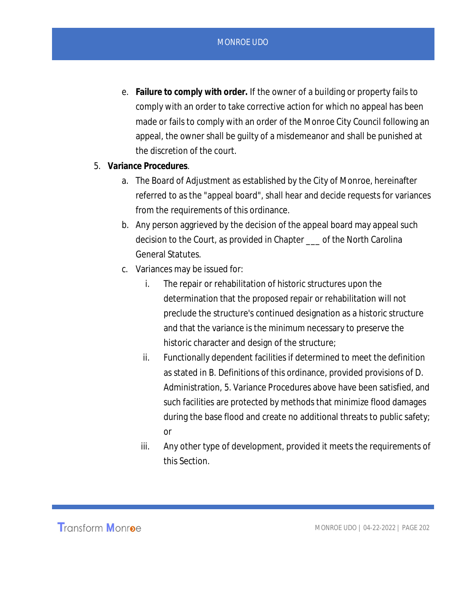- e. **Failure to comply with order.** If the owner of a building or property fails to comply with an order to take corrective action for which no appeal has been made or fails to comply with an order of the Monroe City Council following an appeal, the owner shall be guilty of a misdemeanor and shall be punished at the discretion of the court.
- 5. **Variance Procedures***.*
	- a. The Board of Adjustment as established by the City of Monroe, hereinafter referred to as the "appeal board", shall hear and decide requests for variances from the requirements of this ordinance.
	- b. Any person aggrieved by the decision of the appeal board may appeal such decision to the Court, as provided in Chapter \_\_\_ of the North Carolina General Statutes.
	- c. Variances may be issued for:
		- i. The repair or rehabilitation of historic structures upon the determination that the proposed repair or rehabilitation will not preclude the structure's continued designation as a historic structure and that the variance is the minimum necessary to preserve the historic character and design of the structure;
		- ii. Functionally dependent facilities if determined to meet the definition as stated in B. Definitions of this ordinance, provided provisions of D. Administration, 5. Variance Procedures above have been satisfied, and such facilities are protected by methods that minimize flood damages during the base flood and create no additional threats to public safety; or
		- iii. Any other type of development, provided it meets the requirements of this Section.

**Transform Monroe**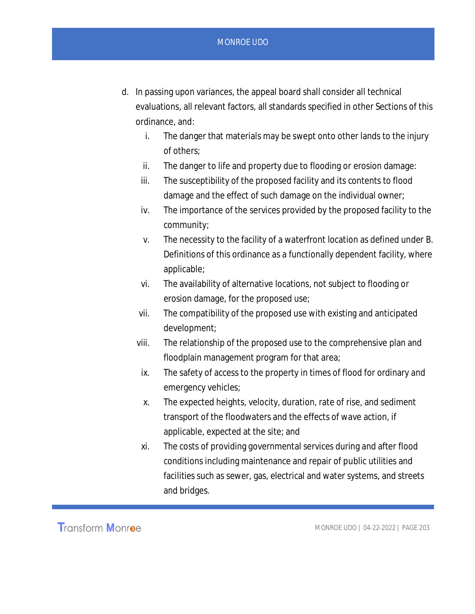- d. In passing upon variances, the appeal board shall consider all technical evaluations, all relevant factors, all standards specified in other Sections of this ordinance, and:
	- i. The danger that materials may be swept onto other lands to the injury of others;
	- ii. The danger to life and property due to flooding or erosion damage:
	- iii. The susceptibility of the proposed facility and its contents to flood damage and the effect of such damage on the individual owner;
	- iv. The importance of the services provided by the proposed facility to the community;
	- v. The necessity to the facility of a waterfront location as defined under B. Definitions of this ordinance as a functionally dependent facility, where applicable;
	- vi. The availability of alternative locations, not subject to flooding or erosion damage, for the proposed use;
	- vii. The compatibility of the proposed use with existing and anticipated development;
	- viii. The relationship of the proposed use to the comprehensive plan and floodplain management program for that area;
		- ix. The safety of access to the property in times of flood for ordinary and emergency vehicles;
		- x. The expected heights, velocity, duration, rate of rise, and sediment transport of the floodwaters and the effects of wave action, if applicable, expected at the site; and
	- xi. The costs of providing governmental services during and after flood conditions including maintenance and repair of public utilities and facilities such as sewer, gas, electrical and water systems, and streets and bridges.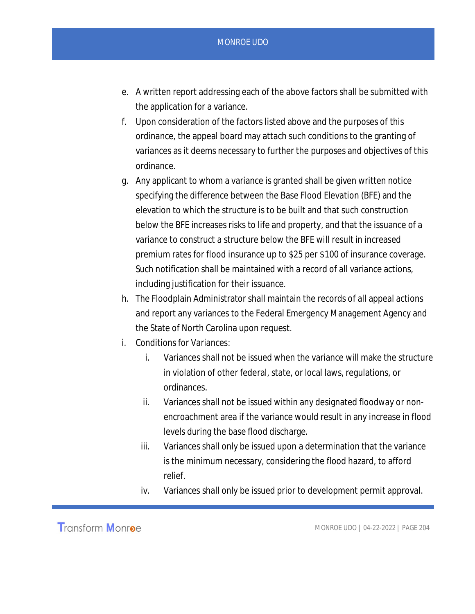- e. A written report addressing each of the above factors shall be submitted with the application for a variance.
- f. Upon consideration of the factors listed above and the purposes of this ordinance, the appeal board may attach such conditions to the granting of variances as it deems necessary to further the purposes and objectives of this ordinance.
- g. Any applicant to whom a variance is granted shall be given written notice specifying the difference between the Base Flood Elevation (BFE) and the elevation to which the structure is to be built and that such construction below the BFE increases risks to life and property, and that the issuance of a variance to construct a structure below the BFE will result in increased premium rates for flood insurance up to \$25 per \$100 of insurance coverage. Such notification shall be maintained with a record of all variance actions, including justification for their issuance.
- h. The Floodplain Administrator shall maintain the records of all appeal actions and report any variances to the Federal Emergency Management Agency and the State of North Carolina upon request.
- i. Conditions for Variances:
	- i. Variances shall not be issued when the variance will make the structure in violation of other federal, state, or local laws, regulations, or ordinances.
	- ii. Variances shall not be issued within any designated floodway or nonencroachment area if the variance would result in any increase in flood levels during the base flood discharge.
	- iii. Variances shall only be issued upon a determination that the variance is the minimum necessary, considering the flood hazard, to afford relief.
	- iv. Variances shall only be issued prior to development permit approval.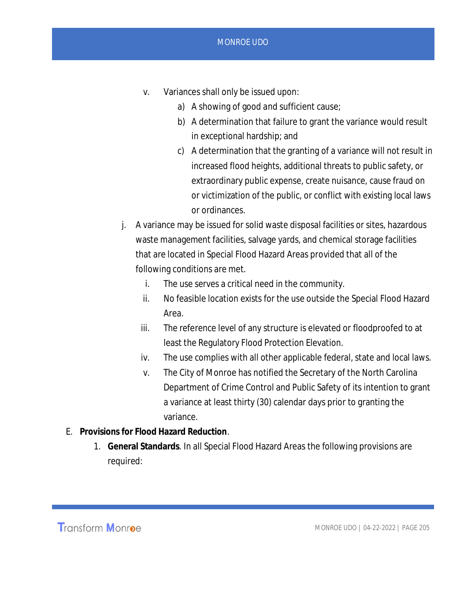- v. Variances shall only be issued upon:
	- a) A showing of good and sufficient cause;
	- b) A determination that failure to grant the variance would result in exceptional hardship; and
	- c) A determination that the granting of a variance will not result in increased flood heights, additional threats to public safety, or extraordinary public expense, create nuisance, cause fraud on or victimization of the public, or conflict with existing local laws or ordinances.
- j. A variance may be issued for solid waste disposal facilities or sites, hazardous waste management facilities, salvage yards, and chemical storage facilities that are located in Special Flood Hazard Areas provided that all of the following conditions are met.
	- i. The use serves a critical need in the community.
	- ii. No feasible location exists for the use outside the Special Flood Hazard Area.
	- iii. The reference level of any structure is elevated or floodproofed to at least the Regulatory Flood Protection Elevation.
	- iv. The use complies with all other applicable federal, state and local laws.
	- v. The City of Monroe has notified the Secretary of the North Carolina Department of Crime Control and Public Safety of its intention to grant a variance at least thirty (30) calendar days prior to granting the variance.
- E. **Provisions for Flood Hazard Reduction***.*
	- 1. **General Standards***.* In all Special Flood Hazard Areas the following provisions are required:

**Transform Monroe**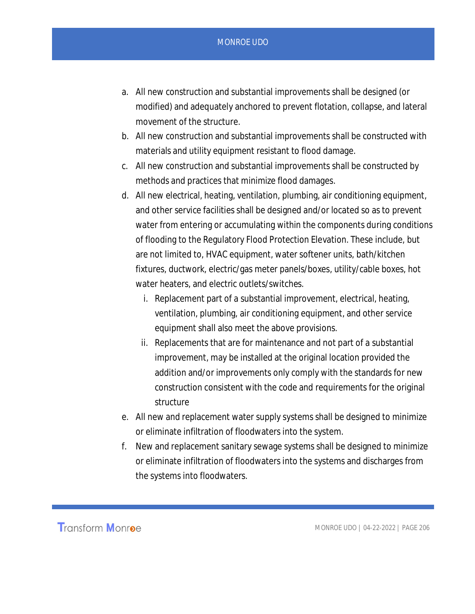- a. All new construction and substantial improvements shall be designed (or modified) and adequately anchored to prevent flotation, collapse, and lateral movement of the structure.
- b. All new construction and substantial improvements shall be constructed with materials and utility equipment resistant to flood damage.
- c. All new construction and substantial improvements shall be constructed by methods and practices that minimize flood damages.
- d. All new electrical, heating, ventilation, plumbing, air conditioning equipment, and other service facilities shall be designed and/or located so as to prevent water from entering or accumulating within the components during conditions of flooding to the Regulatory Flood Protection Elevation. These include, but are not limited to, HVAC equipment, water softener units, bath/kitchen fixtures, ductwork, electric/gas meter panels/boxes, utility/cable boxes, hot water heaters, and electric outlets/switches.
	- i. Replacement part of a substantial improvement, electrical, heating, ventilation, plumbing, air conditioning equipment, and other service equipment shall also meet the above provisions.
	- ii. Replacements that are for maintenance and not part of a substantial improvement, may be installed at the original location provided the addition and/or improvements only comply with the standards for new construction consistent with the code and requirements for the original structure
- e. All new and replacement water supply systems shall be designed to minimize or eliminate infiltration of floodwaters into the system.
- f. New and replacement sanitary sewage systems shall be designed to minimize or eliminate infiltration of floodwaters into the systems and discharges from the systems into floodwaters.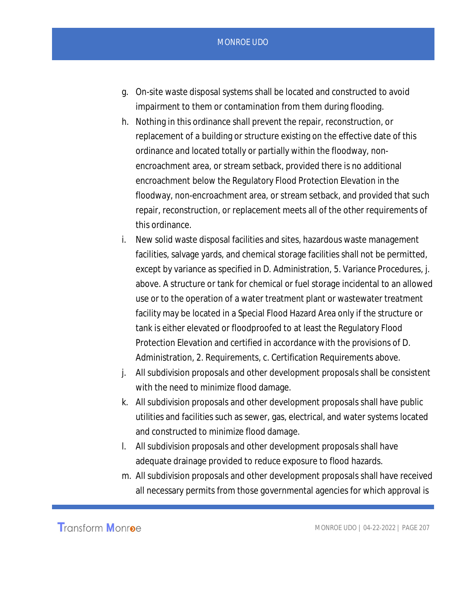- g. On-site waste disposal systems shall be located and constructed to avoid impairment to them or contamination from them during flooding.
- h. Nothing in this ordinance shall prevent the repair, reconstruction, or replacement of a building or structure existing on the effective date of this ordinance and located totally or partially within the floodway, nonencroachment area, or stream setback, provided there is no additional encroachment below the Regulatory Flood Protection Elevation in the floodway, non-encroachment area, or stream setback, and provided that such repair, reconstruction, or replacement meets all of the other requirements of this ordinance.
- i. New solid waste disposal facilities and sites, hazardous waste management facilities, salvage yards, and chemical storage facilities shall not be permitted, except by variance as specified in D. Administration, 5. Variance Procedures, j. above. A structure or tank for chemical or fuel storage incidental to an allowed use or to the operation of a water treatment plant or wastewater treatment facility may be located in a Special Flood Hazard Area only if the structure or tank is either elevated or floodproofed to at least the Regulatory Flood Protection Elevation and certified in accordance with the provisions of D. Administration, 2. Requirements, c. Certification Requirements above.
- j. All subdivision proposals and other development proposals shall be consistent with the need to minimize flood damage.
- k. All subdivision proposals and other development proposals shall have public utilities and facilities such as sewer, gas, electrical, and water systems located and constructed to minimize flood damage.
- l. All subdivision proposals and other development proposals shall have adequate drainage provided to reduce exposure to flood hazards.
- m. All subdivision proposals and other development proposals shall have received all necessary permits from those governmental agencies for which approval is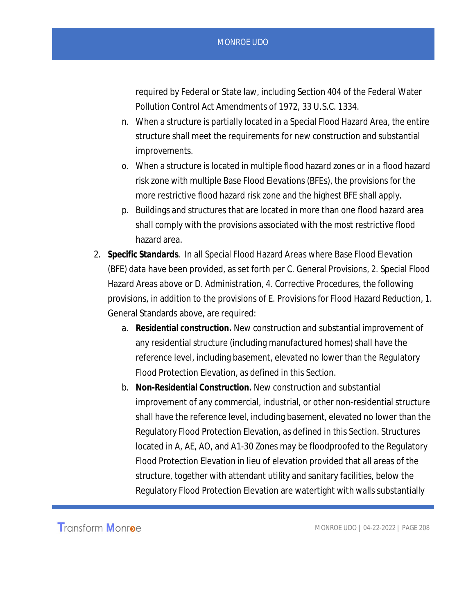required by Federal or State law, including Section 404 of the Federal Water Pollution Control Act Amendments of 1972, 33 U.S.C. 1334.

- n. When a structure is partially located in a Special Flood Hazard Area, the entire structure shall meet the requirements for new construction and substantial improvements.
- o. When a structure is located in multiple flood hazard zones or in a flood hazard risk zone with multiple Base Flood Elevations (BFEs), the provisions for the more restrictive flood hazard risk zone and the highest BFE shall apply.
- p. Buildings and structures that are located in more than one flood hazard area shall comply with the provisions associated with the most restrictive flood hazard area.
- 2. **Specific Standards***.* In all Special Flood Hazard Areas where Base Flood Elevation (BFE) data have been provided, as set forth per C. General Provisions, 2. Special Flood Hazard Areas above or D. Administration, 4. Corrective Procedures, the following provisions, in addition to the provisions of E. Provisions for Flood Hazard Reduction, 1. General Standards above, are required:
	- a. **Residential construction.** New construction and substantial improvement of any residential structure (including manufactured homes) shall have the reference level, including basement, elevated no lower than the Regulatory Flood Protection Elevation, as defined in this Section.
	- b. **Non-Residential Construction.** New construction and substantial improvement of any commercial, industrial, or other non-residential structure shall have the reference level, including basement, elevated no lower than the Regulatory Flood Protection Elevation, as defined in this Section. Structures located in A, AE, AO, and A1-30 Zones may be floodproofed to the Regulatory Flood Protection Elevation in lieu of elevation provided that all areas of the structure, together with attendant utility and sanitary facilities, below the Regulatory Flood Protection Elevation are watertight with walls substantially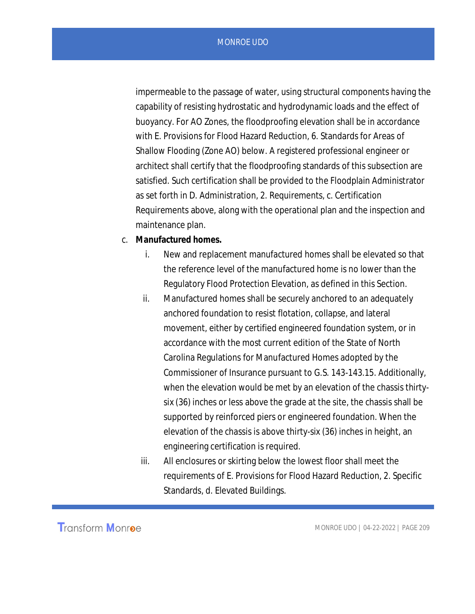impermeable to the passage of water, using structural components having the capability of resisting hydrostatic and hydrodynamic loads and the effect of buoyancy. For AO Zones, the floodproofing elevation shall be in accordance with E. Provisions for Flood Hazard Reduction, 6. Standards for Areas of Shallow Flooding (Zone AO) below. A registered professional engineer or architect shall certify that the floodproofing standards of this subsection are satisfied. Such certification shall be provided to the Floodplain Administrator as set forth in D. Administration, 2. Requirements, c. Certification Requirements above, along with the operational plan and the inspection and maintenance plan.

- c. **Manufactured homes.**
	- i. New and replacement manufactured homes shall be elevated so that the reference level of the manufactured home is no lower than the Regulatory Flood Protection Elevation, as defined in this Section.
	- ii. Manufactured homes shall be securely anchored to an adequately anchored foundation to resist flotation, collapse, and lateral movement, either by certified engineered foundation system, or in accordance with the most current edition of the State of North Carolina Regulations for Manufactured Homes adopted by the Commissioner of Insurance pursuant to G.S. 143-143.15. Additionally, when the elevation would be met by an elevation of the chassis thirtysix (36) inches or less above the grade at the site, the chassis shall be supported by reinforced piers or engineered foundation. When the elevation of the chassis is above thirty-six (36) inches in height, an engineering certification is required.
	- iii. All enclosures or skirting below the lowest floor shall meet the requirements of E. Provisions for Flood Hazard Reduction, 2. Specific Standards, d. Elevated Buildings.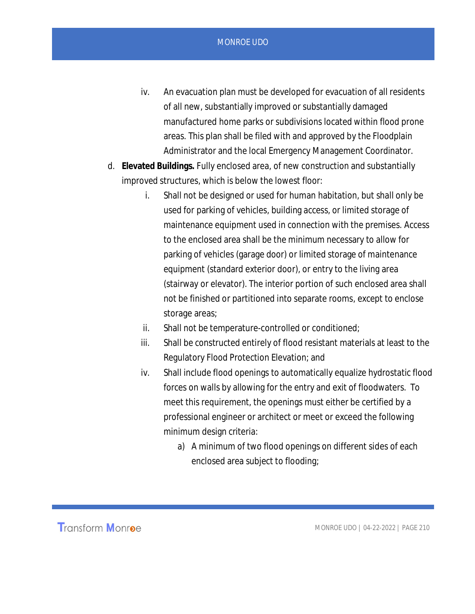- iv. An evacuation plan must be developed for evacuation of all residents of all new, substantially improved or substantially damaged manufactured home parks or subdivisions located within flood prone areas. This plan shall be filed with and approved by the Floodplain Administrator and the local Emergency Management Coordinator.
- d. **Elevated Buildings.** Fully enclosed area, of new construction and substantially improved structures, which is below the lowest floor:
	- i. Shall not be designed or used for human habitation, but shall only be used for parking of vehicles, building access, or limited storage of maintenance equipment used in connection with the premises. Access to the enclosed area shall be the minimum necessary to allow for parking of vehicles (garage door) or limited storage of maintenance equipment (standard exterior door), or entry to the living area (stairway or elevator). The interior portion of such enclosed area shall not be finished or partitioned into separate rooms, except to enclose storage areas;
	- ii. Shall not be temperature-controlled or conditioned;
	- iii. Shall be constructed entirely of flood resistant materials at least to the Regulatory Flood Protection Elevation; and
	- iv. Shall include flood openings to automatically equalize hydrostatic flood forces on walls by allowing for the entry and exit of floodwaters. To meet this requirement, the openings must either be certified by a professional engineer or architect or meet or exceed the following minimum design criteria:
		- a) A minimum of two flood openings on different sides of each enclosed area subject to flooding;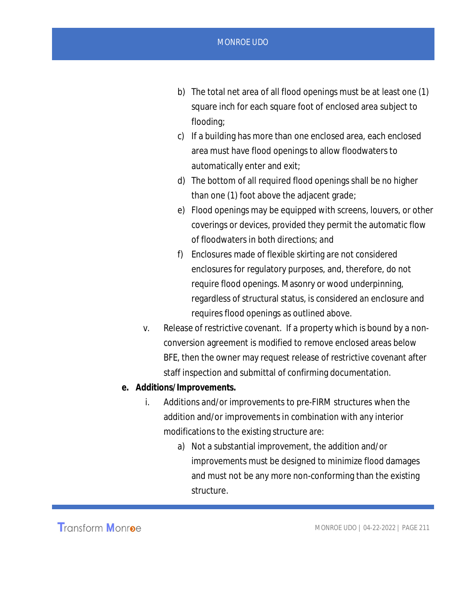- b) The total net area of all flood openings must be at least one (1) square inch for each square foot of enclosed area subject to flooding;
- c) If a building has more than one enclosed area, each enclosed area must have flood openings to allow floodwaters to automatically enter and exit;
- d) The bottom of all required flood openings shall be no higher than one (1) foot above the adjacent grade;
- e) Flood openings may be equipped with screens, louvers, or other coverings or devices, provided they permit the automatic flow of floodwaters in both directions; and
- f) Enclosures made of flexible skirting are not considered enclosures for regulatory purposes, and, therefore, do not require flood openings. Masonry or wood underpinning, regardless of structural status, is considered an enclosure and requires flood openings as outlined above.
- v. Release of restrictive covenant. If a property which is bound by a nonconversion agreement is modified to remove enclosed areas below BFE, then the owner may request release of restrictive covenant after staff inspection and submittal of confirming documentation.
- **e. Additions/Improvements.**
	- i. Additions and/or improvements to pre-FIRM structures when the addition and/or improvements in combination with any interior modifications to the existing structure are:
		- a) Not a substantial improvement, the addition and/or improvements must be designed to minimize flood damages and must not be any more non-conforming than the existing structure.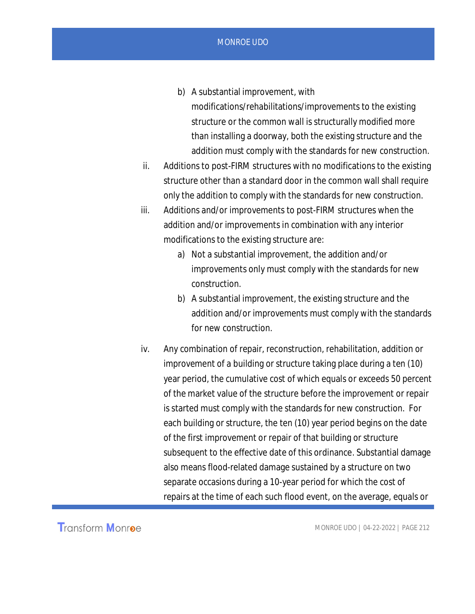- b) A substantial improvement, with modifications/rehabilitations/improvements to the existing structure or the common wall is structurally modified more than installing a doorway, both the existing structure and the addition must comply with the standards for new construction.
- ii. Additions to post-FIRM structures with no modifications to the existing structure other than a standard door in the common wall shall require only the addition to comply with the standards for new construction.
- iii. Additions and/or improvements to post-FIRM structures when the addition and/or improvements in combination with any interior modifications to the existing structure are:
	- a) Not a substantial improvement, the addition and/or improvements only must comply with the standards for new construction.
	- b) A substantial improvement, the existing structure and the addition and/or improvements must comply with the standards for new construction.
- iv. Any combination of repair, reconstruction, rehabilitation, addition or improvement of a building or structure taking place during a ten (10) year period, the cumulative cost of which equals or exceeds 50 percent of the market value of the structure before the improvement or repair is started must comply with the standards for new construction. For each building or structure, the ten (10) year period begins on the date of the first improvement or repair of that building or structure subsequent to the effective date of this ordinance. Substantial damage also means flood-related damage sustained by a structure on two separate occasions during a 10-year period for which the cost of repairs at the time of each such flood event, on the average, equals or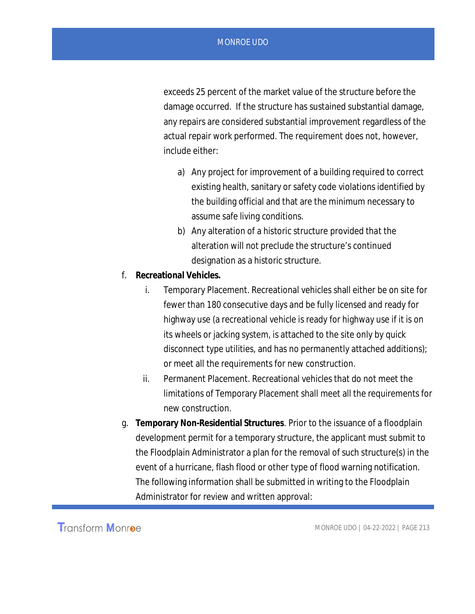exceeds 25 percent of the market value of the structure before the damage occurred. If the structure has sustained substantial damage, any repairs are considered substantial improvement regardless of the actual repair work performed. The requirement does not, however, include either:

- a) Any project for improvement of a building required to correct existing health, sanitary or safety code violations identified by the building official and that are the minimum necessary to assume safe living conditions.
- b) Any alteration of a historic structure provided that the alteration will not preclude the structure's continued designation as a historic structure.
- f. **Recreational Vehicles.**
	- i. Temporary Placement. Recreational vehicles shall either be on site for fewer than 180 consecutive days and be fully licensed and ready for highway use (a recreational vehicle is ready for highway use if it is on its wheels or jacking system, is attached to the site only by quick disconnect type utilities, and has no permanently attached additions); or meet all the requirements for new construction.
	- ii. Permanent Placement. Recreational vehicles that do not meet the limitations of Temporary Placement shall meet all the requirements for new construction.
- g. **Temporary Non-Residential Structures***.* Prior to the issuance of a floodplain development permit for a temporary structure, the applicant must submit to the Floodplain Administrator a plan for the removal of such structure(s) in the event of a hurricane, flash flood or other type of flood warning notification. The following information shall be submitted in writing to the Floodplain Administrator for review and written approval: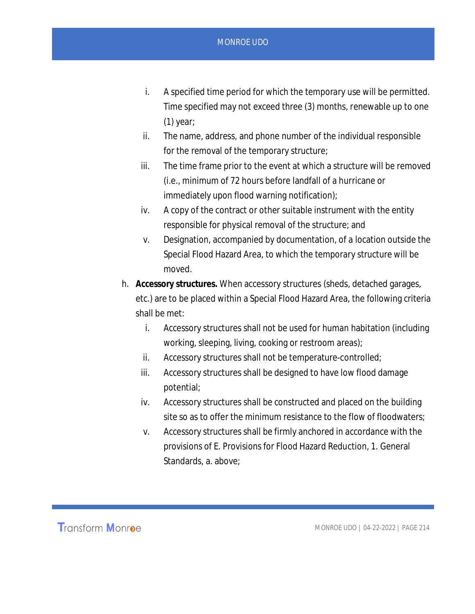- i. A specified time period for which the temporary use will be permitted. Time specified may not exceed three (3) months, renewable up to one (1) year;
- ii. The name, address, and phone number of the individual responsible for the removal of the temporary structure;
- iii. The time frame prior to the event at which a structure will be removed (i.e., minimum of 72 hours before landfall of a hurricane or immediately upon flood warning notification);
- iv. A copy of the contract or other suitable instrument with the entity responsible for physical removal of the structure; and
- v. Designation, accompanied by documentation, of a location outside the Special Flood Hazard Area, to which the temporary structure will be moved.
- h. **Accessory structures.** When accessory structures (sheds, detached garages, etc.) are to be placed within a Special Flood Hazard Area, the following criteria shall be met:
	- i. Accessory structures shall not be used for human habitation (including working, sleeping, living, cooking or restroom areas);
	- ii. Accessory structures shall not be temperature-controlled;
	- iii. Accessory structures shall be designed to have low flood damage potential;
	- iv. Accessory structures shall be constructed and placed on the building site so as to offer the minimum resistance to the flow of floodwaters;
	- v. Accessory structures shall be firmly anchored in accordance with the provisions of E. Provisions for Flood Hazard Reduction, 1. General Standards, a. above;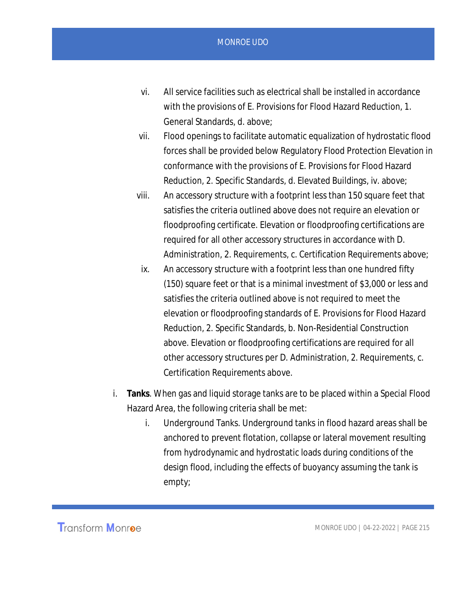- vi. All service facilities such as electrical shall be installed in accordance with the provisions of E. Provisions for Flood Hazard Reduction, 1. General Standards, d. above;
- vii. Flood openings to facilitate automatic equalization of hydrostatic flood forces shall be provided below Regulatory Flood Protection Elevation in conformance with the provisions of E. Provisions for Flood Hazard Reduction, 2. Specific Standards, d. Elevated Buildings, iv. above;
- viii. An accessory structure with a footprint less than 150 square feet that satisfies the criteria outlined above does not require an elevation or floodproofing certificate. Elevation or floodproofing certifications are required for all other accessory structures in accordance with D. Administration, 2. Requirements, c. Certification Requirements above;
- ix. An accessory structure with a footprint less than one hundred fifty (150) square feet or that is a minimal investment of \$3,000 or less and satisfies the criteria outlined above is not required to meet the elevation or floodproofing standards of E. Provisions for Flood Hazard Reduction, 2. Specific Standards, b. Non-Residential Construction above. Elevation or floodproofing certifications are required for all other accessory structures per D. Administration, 2. Requirements, c. Certification Requirements above.
- i. **Tanks**. When gas and liquid storage tanks are to be placed within a Special Flood Hazard Area, the following criteria shall be met:
	- i. Underground Tanks. Underground tanks in flood hazard areas shall be anchored to prevent flotation, collapse or lateral movement resulting from hydrodynamic and hydrostatic loads during conditions of the design flood, including the effects of buoyancy assuming the tank is empty;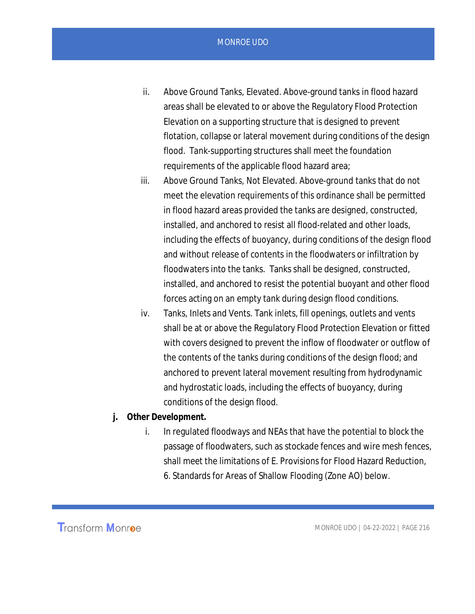- ii. Above Ground Tanks, Elevated. Above-ground tanks in flood hazard areas shall be elevated to or above the Regulatory Flood Protection Elevation on a supporting structure that is designed to prevent flotation, collapse or lateral movement during conditions of the design flood. Tank-supporting structures shall meet the foundation requirements of the applicable flood hazard area;
- iii. Above Ground Tanks, Not Elevated. Above-ground tanks that do not meet the elevation requirements of this ordinance shall be permitted in flood hazard areas provided the tanks are designed, constructed, installed, and anchored to resist all flood-related and other loads, including the effects of buoyancy, during conditions of the design flood and without release of contents in the floodwaters or infiltration by floodwaters into the tanks. Tanks shall be designed, constructed, installed, and anchored to resist the potential buoyant and other flood forces acting on an empty tank during design flood conditions.
- iv. Tanks, Inlets and Vents. Tank inlets, fill openings, outlets and vents shall be at or above the Regulatory Flood Protection Elevation or fitted with covers designed to prevent the inflow of floodwater or outflow of the contents of the tanks during conditions of the design flood; and anchored to prevent lateral movement resulting from hydrodynamic and hydrostatic loads, including the effects of buoyancy, during conditions of the design flood.
- **j. Other Development.**
	- i. In regulated floodways and NEAs that have the potential to block the passage of floodwaters, such as stockade fences and wire mesh fences, shall meet the limitations of E. Provisions for Flood Hazard Reduction, 6. Standards for Areas of Shallow Flooding (Zone AO) below.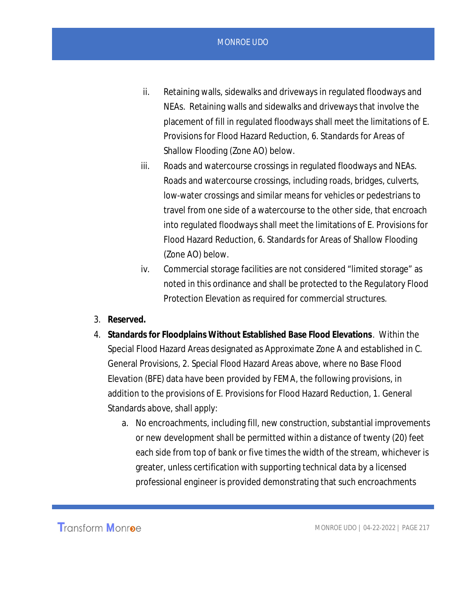- ii. Retaining walls, sidewalks and driveways in regulated floodways and NEAs. Retaining walls and sidewalks and driveways that involve the placement of fill in regulated floodways shall meet the limitations of E. Provisions for Flood Hazard Reduction, 6. Standards for Areas of Shallow Flooding (Zone AO) below.
- iii. Roads and watercourse crossings in regulated floodways and NEAs. Roads and watercourse crossings, including roads, bridges, culverts, low-water crossings and similar means for vehicles or pedestrians to travel from one side of a watercourse to the other side, that encroach into regulated floodways shall meet the limitations of E. Provisions for Flood Hazard Reduction, 6. Standards for Areas of Shallow Flooding (Zone AO) below.
- iv. Commercial storage facilities are not considered "limited storage" as noted in this ordinance and shall be protected to the Regulatory Flood Protection Elevation as required for commercial structures.
- 3. **Reserved.**
- 4. **Standards for Floodplains Without Established Base Flood Elevations***.* Within the Special Flood Hazard Areas designated as Approximate Zone A and established in C. General Provisions, 2. Special Flood Hazard Areas above, where no Base Flood Elevation (BFE) data have been provided by FEMA, the following provisions, in addition to the provisions of E. Provisions for Flood Hazard Reduction, 1. General Standards above, shall apply:
	- a. No encroachments, including fill, new construction, substantial improvements or new development shall be permitted within a distance of twenty (20) feet each side from top of bank or five times the width of the stream, whichever is greater, unless certification with supporting technical data by a licensed professional engineer is provided demonstrating that such encroachments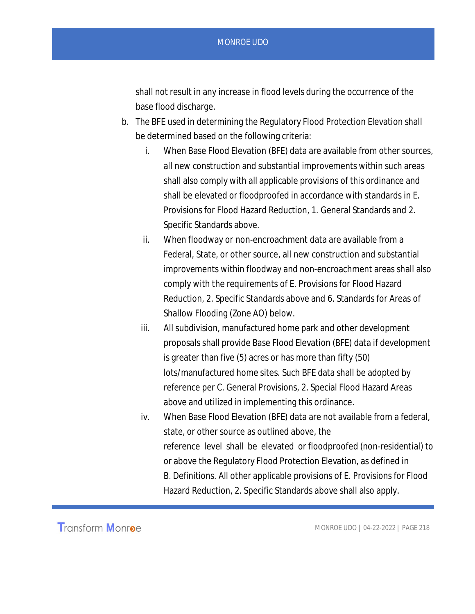shall not result in any increase in flood levels during the occurrence of the base flood discharge.

- b. The BFE used in determining the Regulatory Flood Protection Elevation shall be determined based on the following criteria:
	- i. When Base Flood Elevation (BFE) data are available from other sources, all new construction and substantial improvements within such areas shall also comply with all applicable provisions of this ordinance and shall be elevated or floodproofed in accordance with standards in E. Provisions for Flood Hazard Reduction, 1. General Standards and 2. Specific Standards above.
	- ii. When floodway or non-encroachment data are available from a Federal, State, or other source, all new construction and substantial improvements within floodway and non-encroachment areas shall also comply with the requirements of E. Provisions for Flood Hazard Reduction, 2. Specific Standards above and 6. Standards for Areas of Shallow Flooding (Zone AO) below.
	- iii. All subdivision, manufactured home park and other development proposals shall provide Base Flood Elevation (BFE) data if development is greater than five (5) acres or has more than fifty (50) lots/manufactured home sites. Such BFE data shall be adopted by reference per C. General Provisions, 2. Special Flood Hazard Areas above and utilized in implementing this ordinance.
	- iv. When Base Flood Elevation (BFE) data are not available from a federal, state, or other source as outlined above, the reference level shall be elevated or floodproofed (non-residential) to or above the Regulatory Flood Protection Elevation, as defined in B. Definitions. All other applicable provisions of E. Provisions for Flood Hazard Reduction, 2. Specific Standards above shall also apply.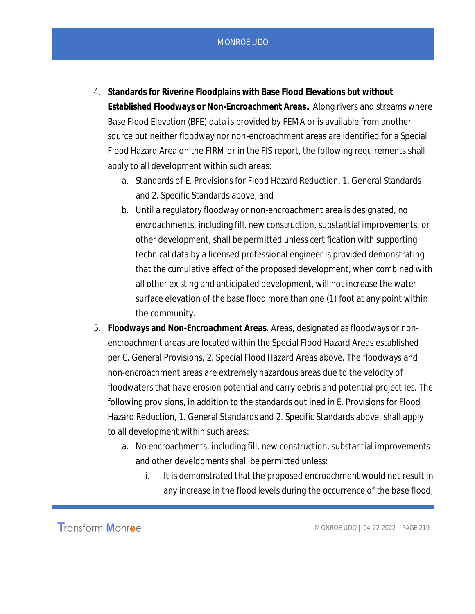- 4. **Standards for Riverine Floodplains with Base Flood Elevations but without Established Floodways or Non-Encroachment Areas***.* Along rivers and streams where Base Flood Elevation (BFE) data is provided by FEMA or is available from another source but neither floodway nor non-encroachment areas are identified for a Special Flood Hazard Area on the FIRM or in the FIS report, the following requirements shall apply to all development within such areas:
	- a. Standards of E. Provisions for Flood Hazard Reduction, 1. General Standards and 2. Specific Standards above; and
	- b. Until a regulatory floodway or non-encroachment area is designated, no encroachments, including fill, new construction, substantial improvements, or other development, shall be permitted unless certification with supporting technical data by a licensed professional engineer is provided demonstrating that the cumulative effect of the proposed development, when combined with all other existing and anticipated development, will not increase the water surface elevation of the base flood more than one (1) foot at any point within the community.
- 5. **Floodways and Non-Encroachment Areas.** Areas, designated as floodways or nonencroachment areas are located within the Special Flood Hazard Areas established per C. General Provisions, 2. Special Flood Hazard Areas above. The floodways and non-encroachment areas are extremely hazardous areas due to the velocity of floodwaters that have erosion potential and carry debris and potential projectiles. The following provisions, in addition to the standards outlined in E. Provisions for Flood Hazard Reduction, 1. General Standards and 2. Specific Standards above, shall apply to all development within such areas:
	- a. No encroachments, including fill, new construction, substantial improvements and other developments shall be permitted unless:
		- i. It is demonstrated that the proposed encroachment would not result in any increase in the flood levels during the occurrence of the base flood,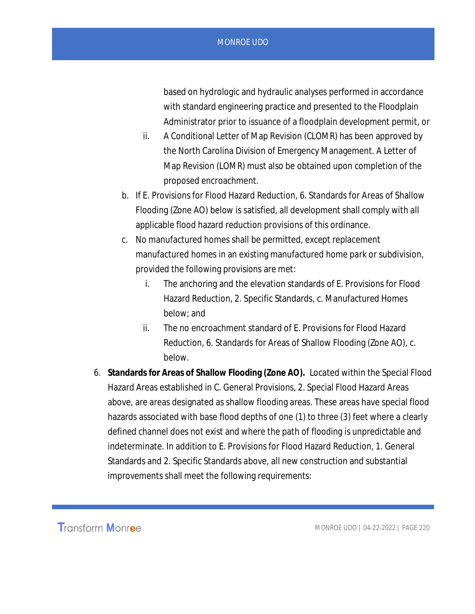based on hydrologic and hydraulic analyses performed in accordance with standard engineering practice and presented to the Floodplain Administrator prior to issuance of a floodplain development permit, or

- ii. A Conditional Letter of Map Revision (CLOMR) has been approved by the North Carolina Division of Emergency Management. A Letter of Map Revision (LOMR) must also be obtained upon completion of the proposed encroachment.
- b. If E. Provisions for Flood Hazard Reduction, 6. Standards for Areas of Shallow Flooding (Zone AO) below is satisfied, all development shall comply with all applicable flood hazard reduction provisions of this ordinance.
- c. No manufactured homes shall be permitted, except replacement manufactured homes in an existing manufactured home park or subdivision, provided the following provisions are met:
	- i. The anchoring and the elevation standards of E. Provisions for Flood Hazard Reduction, 2. Specific Standards, c. Manufactured Homes below; and
	- ii. The no encroachment standard of E. Provisions for Flood Hazard Reduction, 6. Standards for Areas of Shallow Flooding (Zone AO), c. below.
- 6. **Standards for Areas of Shallow Flooding (Zone AO).** Located within the Special Flood Hazard Areas established in C. General Provisions, 2. Special Flood Hazard Areas above, are areas designated as shallow flooding areas. These areas have special flood hazards associated with base flood depths of one (1) to three (3) feet where a clearly defined channel does not exist and where the path of flooding is unpredictable and indeterminate. In addition to E. Provisions for Flood Hazard Reduction, 1. General Standards and 2. Specific Standards above, all new construction and substantial improvements shall meet the following requirements: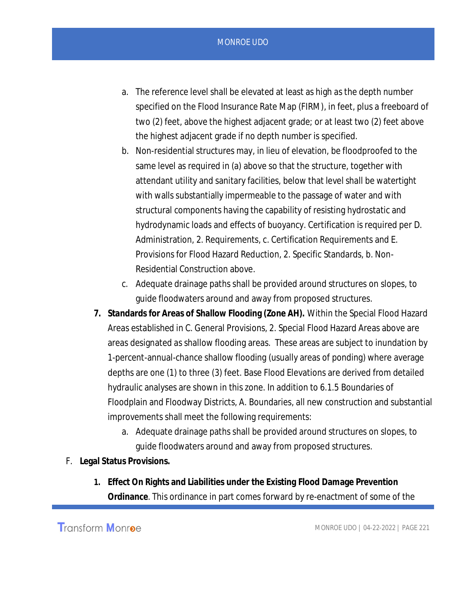- a. The reference level shall be elevated at least as high as the depth number specified on the Flood Insurance Rate Map (FIRM), in feet, plus a freeboard of two (2) feet, above the highest adjacent grade; or at least two (2) feet above the highest adjacent grade if no depth number is specified.
- b. Non-residential structures may, in lieu of elevation, be floodproofed to the same level as required in (a) above so that the structure, together with attendant utility and sanitary facilities, below that level shall be watertight with walls substantially impermeable to the passage of water and with structural components having the capability of resisting hydrostatic and hydrodynamic loads and effects of buoyancy. Certification is required per D. Administration, 2. Requirements, c. Certification Requirements and E. Provisions for Flood Hazard Reduction, 2. Specific Standards, b. Non-Residential Construction above.
- c. Adequate drainage paths shall be provided around structures on slopes, to guide floodwaters around and away from proposed structures.
- **7. Standards for Areas of Shallow Flooding (Zone AH).** Within the Special Flood Hazard Areas established in C. General Provisions, 2. Special Flood Hazard Areas above are areas designated as shallow flooding areas. These areas are subject to inundation by 1-percent-annual-chance shallow flooding (usually areas of ponding) where average depths are one (1) to three (3) feet. Base Flood Elevations are derived from detailed hydraulic analyses are shown in this zone. In addition to 6.1.5 Boundaries of Floodplain and Floodway Districts, A. Boundaries, all new construction and substantial improvements shall meet the following requirements:
	- a. Adequate drainage paths shall be provided around structures on slopes, to guide floodwaters around and away from proposed structures.
- F. **Legal Status Provisions.**
	- **1. Effect On Rights and Liabilities under the Existing Flood Damage Prevention Ordinance**. This ordinance in part comes forward by re-enactment of some of the

**Transform Monree**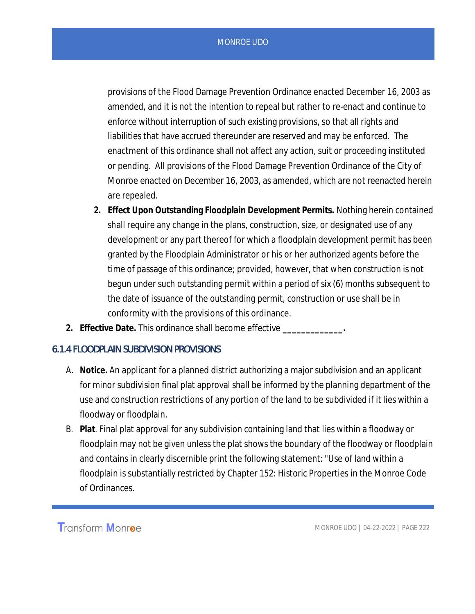provisions of the Flood Damage Prevention Ordinance enacted December 16, 2003 as amended, and it is not the intention to repeal but rather to re-enact and continue to enforce without interruption of such existing provisions, so that all rights and liabilities that have accrued thereunder are reserved and may be enforced. The enactment of this ordinance shall not affect any action, suit or proceeding instituted or pending. All provisions of the Flood Damage Prevention Ordinance of the City of Monroe enacted on December 16, 2003, as amended, which are not reenacted herein are repealed.

- **2. Effect Upon Outstanding Floodplain Development Permits.** Nothing herein contained shall require any change in the plans, construction, size, or designated use of any development or any part thereof for which a floodplain development permit has been granted by the Floodplain Administrator or his or her authorized agents before the time of passage of this ordinance; provided, however, that when construction is not begun under such outstanding permit within a period of six (6) months subsequent to the date of issuance of the outstanding permit, construction or use shall be in conformity with the provisions of this ordinance.
- **2. Effective Date.** This ordinance shall become effective **\_\_\_\_\_\_\_\_\_\_\_\_\_.**

## 6.1.4 FLOODPLAIN SUBDIVISION PROVISIONS

- A. **Notice.** An applicant for a planned district authorizing a major subdivision and an applicant for minor subdivision final plat approval shall be informed by the planning department of the use and construction restrictions of any portion of the land to be subdivided if it lies within a floodway or floodplain.
- B. **Plat**. Final plat approval for any subdivision containing land that lies within a floodway or floodplain may not be given unless the plat shows the boundary of the floodway or floodplain and contains in clearly discernible print the following statement: "Use of land within a floodplain is substantially restricted by Chapter 152: Historic Properties in the Monroe Code of Ordinances.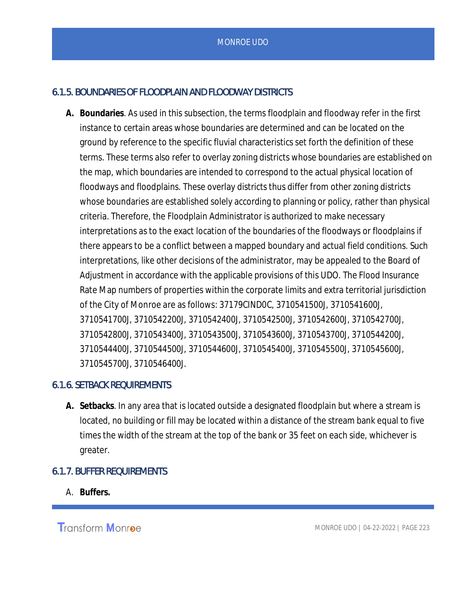## 6.1.5. BOUNDARIES OF FLOODPLAIN AND FLOODWAY DISTRICTS

**A. Boundaries**. As used in this subsection, the terms floodplain and floodway refer in the first instance to certain areas whose boundaries are determined and can be located on the ground by reference to the specific fluvial characteristics set forth the definition of these terms. These terms also refer to overlay zoning districts whose boundaries are established on the map, which boundaries are intended to correspond to the actual physical location of floodways and floodplains. These overlay districts thus differ from other zoning districts whose boundaries are established solely according to planning or policy, rather than physical criteria. Therefore, the Floodplain Administrator is authorized to make necessary interpretations as to the exact location of the boundaries of the floodways or floodplains if there appears to be a conflict between a mapped boundary and actual field conditions. Such interpretations, like other decisions of the administrator, may be appealed to the Board of Adjustment in accordance with the applicable provisions of this UDO. The Flood Insurance Rate Map numbers of properties within the corporate limits and extra territorial jurisdiction of the City of Monroe are as follows: 37179CIND0C, 3710541500J, 3710541600J, 3710541700J, 3710542200J, 3710542400J, 3710542500J, 3710542600J, 3710542700J, 3710542800J, 3710543400J, 3710543500J, 3710543600J, 3710543700J, 3710544200J, 3710544400J, 3710544500J, 3710544600J, 3710545400J, 3710545500J, 3710545600J, 3710545700J, 3710546400J.

## 6.1.6. SETBACK REQUIREMENTS

**A. Setbacks**. In any area that is located outside a designated floodplain but where a stream is located, no building or fill may be located within a distance of the stream bank equal to five times the width of the stream at the top of the bank or 35 feet on each side, whichever is greater.

## 6.1.7. BUFFER REQUIREMENTS

A. **Buffers.**

**Transform Monroe**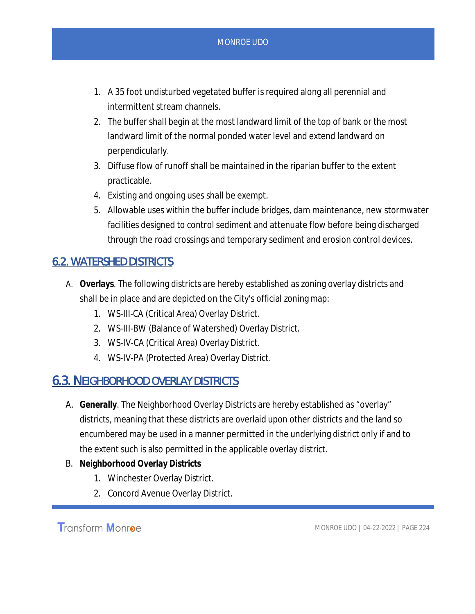- 1. A 35 foot undisturbed vegetated buffer is required along all perennial and intermittent stream channels.
- 2. The buffer shall begin at the most landward limit of the top of bank or the most landward limit of the normal ponded water level and extend landward on perpendicularly.
- 3. Diffuse flow of runoff shall be maintained in the riparian buffer to the extent practicable.
- 4. Existing and ongoing uses shall be exempt.
- 5. Allowable uses within the buffer include bridges, dam maintenance, new stormwater facilities designed to control sediment and attenuate flow before being discharged through the road crossings and temporary sediment and erosion control devices.

## 6.2. WATERSHED DISTRICTS

- A. **Overlays**. The following districts are hereby established as zoning overlay districts and shall be in place and are depicted on the City's official zoning map:
	- 1. WS-III-CA (Critical Area) Overlay District.
	- 2. WS-III-BW (Balance of Watershed) Overlay District.
	- 3. WS-IV-CA (Critical Area) Overlay District.
	- 4. WS-IV-PA (Protected Area) Overlay District.

## 6.3. NEIGHBORHOOD OVERLAY DISTRICTS

- A. **Generally**. The Neighborhood Overlay Districts are hereby established as "overlay" districts, meaning that these districts are overlaid upon other districts and the land so encumbered may be used in a manner permitted in the underlying district only if and to the extent such is also permitted in the applicable overlay district.
- B. **Neighborhood Overlay Districts**
	- 1. Winchester Overlay District.
	- 2. Concord Avenue Overlay District.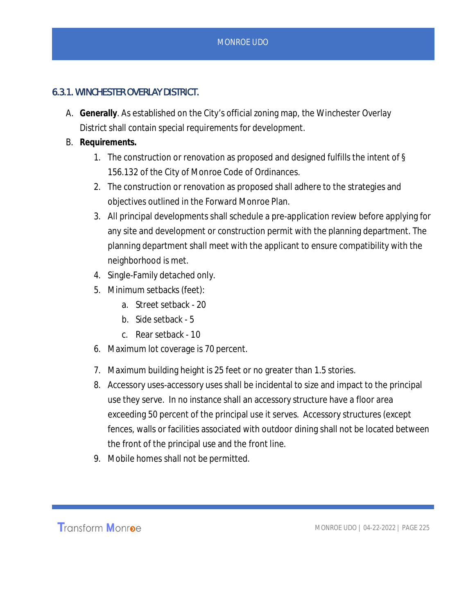## 6.3.1. WINCHESTER OVERLAY DISTRICT.

- A. **Generally**. As established on the City's official zoning map, the Winchester Overlay District shall contain special requirements for development.
- B. **Requirements.**
	- 1. The construction or renovation as proposed and designed fulfills the intent of § 156.132 of the City of Monroe Code of Ordinances.
	- 2. The construction or renovation as proposed shall adhere to the strategies and objectives outlined in the Forward Monroe Plan.
	- 3. All principal developments shall schedule a pre-application review before applying for any site and development or construction permit with the planning department. The planning department shall meet with the applicant to ensure compatibility with the neighborhood is met.
	- 4. Single-Family detached only.
	- 5. Minimum setbacks (feet):
		- a. Street setback 20
		- b. Side setback 5
		- c. Rear setback 10
	- 6. Maximum lot coverage is 70 percent.
	- 7. Maximum building height is 25 feet or no greater than 1.5 stories.
	- 8. Accessory uses-accessory uses shall be incidental to size and impact to the principal use they serve. In no instance shall an accessory structure have a floor area exceeding 50 percent of the principal use it serves. Accessory structures (except fences, walls or facilities associated with outdoor dining shall not be located between the front of the principal use and the front line.
	- 9. Mobile homes shall not be permitted.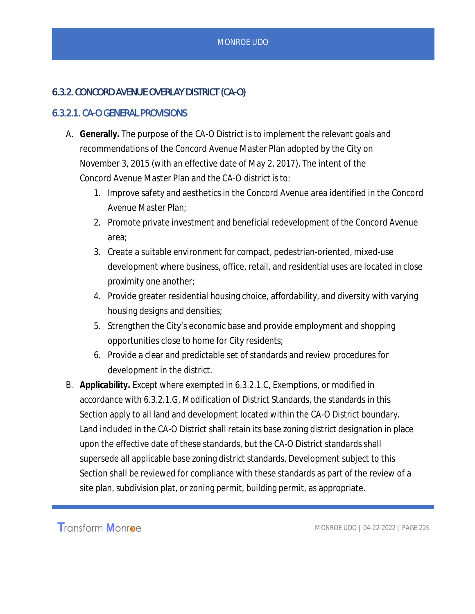## 6.3.2. CONCORD AVENUE OVERLAY DISTRICT (CA-O)

## 6.3.2.1. CA-O GENERAL PROVISIONS

- A. **Generally.** The purpose of the CA-O District is to implement the relevant goals and recommendations of the Concord Avenue Master Plan adopted by the City on November 3, 2015 (with an effective date of May 2, 2017). The intent of the Concord Avenue Master Plan and the CA-O district is to:
	- 1. Improve safety and aesthetics in the Concord Avenue area identified in the Concord Avenue Master Plan;
	- 2. Promote private investment and beneficial redevelopment of the Concord Avenue area;
	- 3. Create a suitable environment for compact, pedestrian-oriented, mixed-use development where business, office, retail, and residential uses are located in close proximity one another;
	- 4. Provide greater residential housing choice, affordability, and diversity with varying housing designs and densities;
	- 5. Strengthen the City's economic base and provide employment and shopping opportunities close to home for City residents;
	- 6. Provide a clear and predictable set of standards and review procedures for development in the district.
- B. **Applicability.** Except where exempted in 6.3.2.1.C, Exemptions, or modified in accordance with 6.3.2.1.G, Modification of District Standards, the standards in this Section apply to all land and development located within the CA-O District boundary. Land included in the CA-O District shall retain its base zoning district designation in place upon the effective date of these standards, but the CA-O District standards shall supersede all applicable base zoning district standards. Development subject to this Section shall be reviewed for compliance with these standards as part of the review of a site plan, subdivision plat, or zoning permit, building permit, as appropriate.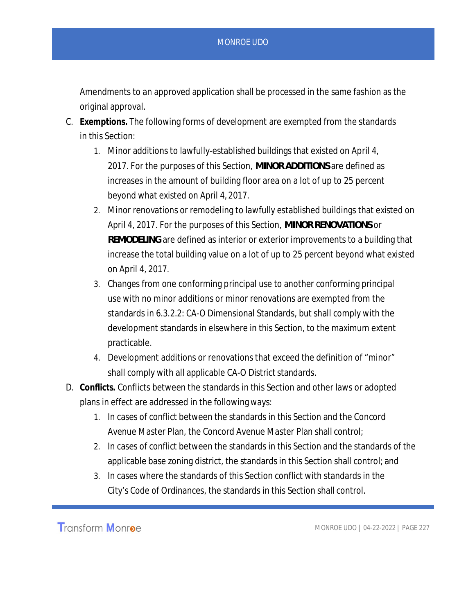Amendments to an approved application shall be processed in the same fashion as the original approval.

- C. **Exemptions.** The following forms of development are exempted from the standards in this Section:
	- 1. Minor additions to lawfully-established buildings that existed on April 4, 2017. For the purposes of this Section, *MINOR ADDITIONS* are defined as increases in the amount of building floor area on a lot of up to 25 percent beyond what existed on April 4, 2017.
	- 2. Minor renovations or remodeling to lawfully established buildings that existed on April 4, 2017. For the purposes of this Section, *MINOR RENOVATIONS* or *REMODELING* are defined as interior or exterior improvements to a building that increase the total building value on a lot of up to 25 percent beyond what existed on April 4, 2017.
	- 3. Changes from one conforming principal use to another conforming principal use with no minor additions or minor renovations are exempted from the standards in 6.3.2.2: CA-O Dimensional Standards, but shall comply with the development standards in elsewhere in this Section, to the maximum extent practicable.
	- 4. Development additions or renovations that exceed the definition of "minor" shall comply with all applicable CA-O District standards.
- D. **Conflicts.** Conflicts between the standards in this Section and other laws or adopted plans in effect are addressed in the following ways:
	- 1. In cases of conflict between the standards in this Section and the Concord Avenue Master Plan, the Concord Avenue Master Plan shall control;
	- 2. In cases of conflict between the standards in this Section and the standards of the applicable base zoning district, the standards in this Section shall control; and
	- 3. In cases where the standards of this Section conflict with standards in the City's Code of Ordinances, the standards in this Section shall control.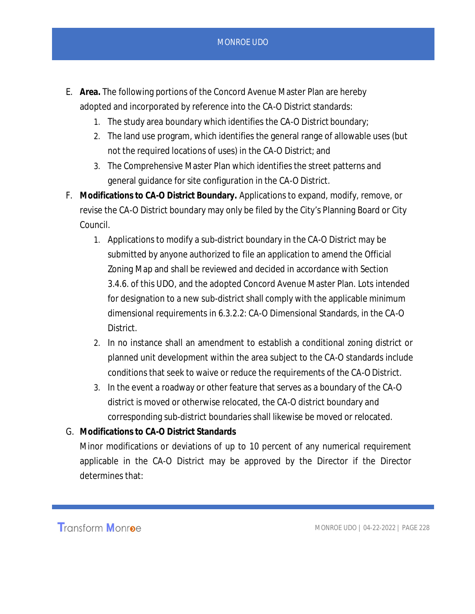- E. **Area.** The following portions of the Concord Avenue Master Plan are hereby adopted and incorporated by reference into the CA-O District standards:
	- 1. The study area boundary which identifies the CA-O District boundary;
	- 2. The land use program, which identifies the general range of allowable uses (but not the required locations of uses) in the CA-O District; and
	- 3. The Comprehensive Master Plan which identifies the street patterns and general guidance for site configuration in the CA-O District.
- F. **Modifications to CA-O District Boundary.** Applications to expand, modify, remove, or revise the CA-O District boundary may only be filed by the City's Planning Board or City Council.
	- 1. Applications to modify a sub-district boundary in the CA-O District may be submitted by anyone authorized to file an application to amend the Official Zoning Map and shall be reviewed and decided in accordance with Section 3.4.6. of this UDO, and the adopted Concord Avenue Master Plan. Lots intended for designation to a new sub-district shall comply with the applicable minimum dimensional requirements in 6.3.2.2: CA-O Dimensional Standards, in the CA-O District.
	- 2. In no instance shall an amendment to establish a conditional zoning district or planned unit development within the area subject to the CA-O standards include conditions that seek to waive or reduce the requirements of the CA-O District.
	- 3. In the event a roadway or other feature that serves as a boundary of the CA-O district is moved or otherwise relocated, the CA-O district boundary and corresponding sub-district boundaries shall likewise be moved or relocated.
- G. **Modifications to CA-O District Standards** Minor modifications or deviations of up to 10 percent of any numerical requirement applicable in the CA-O District may be approved by the Director if the Director determines that: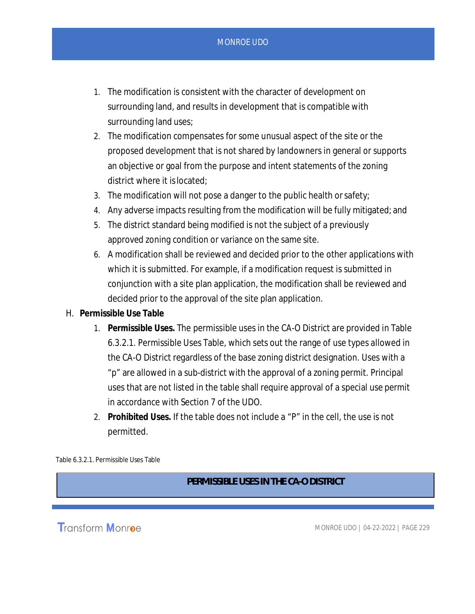- 1. The modification is consistent with the character of development on surrounding land, and results in development that is compatible with surrounding land uses;
- 2. The modification compensates for some unusual aspect of the site or the proposed development that is not shared by landowners in general or supports an objective or goal from the purpose and intent statements of the zoning district where it is located;
- 3. The modification will not pose a danger to the public health or safety;
- 4. Any adverse impacts resulting from the modification will be fully mitigated; and
- 5. The district standard being modified is not the subject of a previously approved zoning condition or variance on the same site.
- 6. A modification shall be reviewed and decided prior to the other applications with which it is submitted. For example, if a modification request is submitted in conjunction with a site plan application, the modification shall be reviewed and decided prior to the approval of the site plan application.
- H. **Permissible Use Table**
	- 1. **Permissible Uses.** The permissible uses in the CA-O District are provided in Table 6.3.2.1. Permissible Uses Table, which sets out the range of use types allowed in the CA-O District regardless of the base zoning district designation. Uses with a "p" are allowed in a sub-district with the approval of a zoning permit. Principal uses that are not listed in the table shall require approval of a special use permit in accordance with Section 7 of the UDO.
	- 2. **Prohibited Uses.** If the table does not include a "P" in the cell, the use is not permitted.

Table 6.3.2.1. Permissible Uses Table

*PERMISSIBLE USES IN THE CA-O DISTRICT*

**Transform Monroe**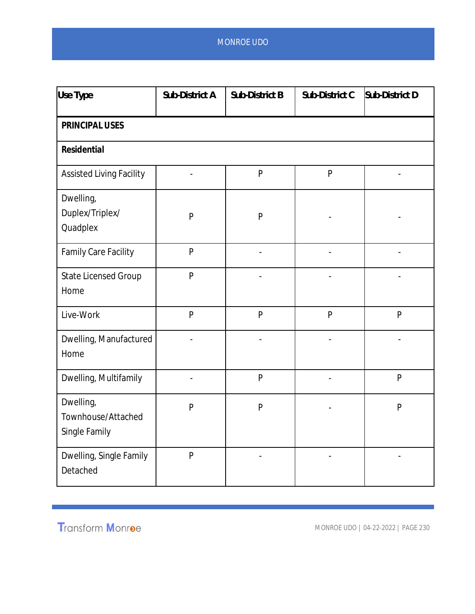| Use Type                                         | Sub-District A | Sub-District B | Sub-District C | Sub-District D |  |  |
|--------------------------------------------------|----------------|----------------|----------------|----------------|--|--|
| PRINCIPAL USES                                   |                |                |                |                |  |  |
| Residential                                      |                |                |                |                |  |  |
| <b>Assisted Living Facility</b>                  |                | $\mathsf{P}$   | $\mathsf{P}$   |                |  |  |
| Dwelling,<br>Duplex/Triplex/<br>Quadplex         | $\mathsf{P}$   | ${\sf P}$      |                |                |  |  |
| <b>Family Care Facility</b>                      | $\mathsf{P}$   |                |                |                |  |  |
| <b>State Licensed Group</b><br>Home              | P              |                |                |                |  |  |
| Live-Work                                        | P              | $\mathsf{P}$   | $\mathsf{P}$   | P              |  |  |
| Dwelling, Manufactured<br>Home                   |                |                |                |                |  |  |
| Dwelling, Multifamily                            | $\frac{1}{2}$  | $\mathsf{P}$   | $\blacksquare$ | P              |  |  |
| Dwelling,<br>Townhouse/Attached<br>Single Family | $\mathsf{P}$   | $\mathsf{P}$   |                | P              |  |  |
| Dwelling, Single Family<br>Detached              | $\overline{P}$ |                |                |                |  |  |

Transform Monroe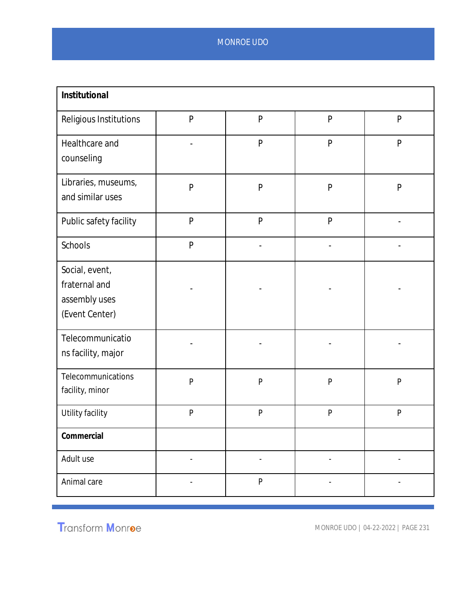| Institutional                                                      |                          |                          |              |                          |
|--------------------------------------------------------------------|--------------------------|--------------------------|--------------|--------------------------|
| Religious Institutions                                             | $\mathsf{P}$             | P                        | $\mathsf{P}$ | P                        |
| Healthcare and<br>counseling                                       |                          | $\mathsf{P}$             | $\mathsf{P}$ | $\mathsf{P}$             |
| Libraries, museums,<br>and similar uses                            | $\mathsf{P}$             | $\mathsf{P}$             | $\mathsf{P}$ | $\mathsf{P}$             |
| Public safety facility                                             | $\mathsf{P}$             | P                        | $\mathsf{P}$ |                          |
| Schools                                                            | $\mathsf{P}$             |                          |              |                          |
| Social, event,<br>fraternal and<br>assembly uses<br>(Event Center) |                          |                          |              |                          |
| Telecommunicatio<br>ns facility, major                             |                          |                          |              |                          |
| Telecommunications<br>facility, minor                              | P                        | $\mathsf{P}$             | $\mathsf{P}$ | $\mathsf{P}$             |
| Utility facility                                                   | $\mathsf{P}$             | $\mathsf{P}$             | $\mathsf{P}$ | $\mathsf{P}$             |
| Commercial                                                         |                          |                          |              |                          |
| Adult use                                                          | $\overline{\phantom{a}}$ | $\overline{\phantom{m}}$ |              |                          |
| Animal care                                                        | $\blacksquare$           | ${\sf P}$                | $\sim$       | $\overline{\phantom{a}}$ |

Transform Monroe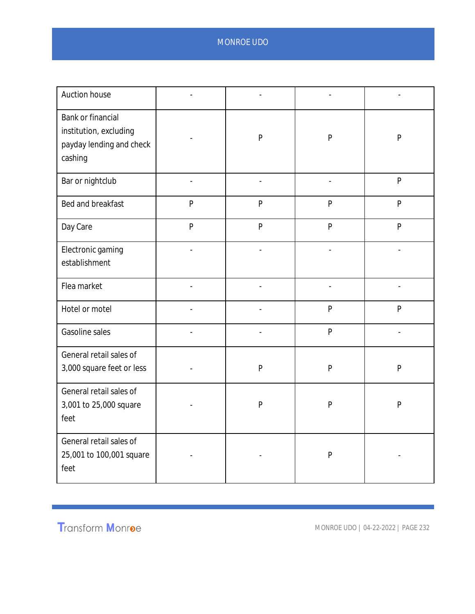| Auction house                                                                      |                |              |              |              |
|------------------------------------------------------------------------------------|----------------|--------------|--------------|--------------|
| Bank or financial<br>institution, excluding<br>payday lending and check<br>cashing |                | $\mathsf{P}$ | $\mathsf{P}$ | $\mathsf{P}$ |
| Bar or nightclub                                                                   | $\overline{a}$ |              |              | $\mathsf{P}$ |
| Bed and breakfast                                                                  | $\mathsf{P}$   | $\mathsf{P}$ | $\mathsf{P}$ | $\mathsf{P}$ |
| Day Care                                                                           | $\mathsf{P}$   | $\mathsf{P}$ | $\mathsf{P}$ | P            |
| Electronic gaming<br>establishment                                                 | $\overline{a}$ |              |              |              |
| Flea market                                                                        |                |              |              |              |
| Hotel or motel                                                                     |                |              | $\mathsf{P}$ | $\mathsf{P}$ |
| Gasoline sales                                                                     |                |              | $\mathsf{P}$ |              |
| General retail sales of<br>3,000 square feet or less                               |                | $\mathsf{P}$ | $\mathsf{P}$ | $\mathsf{P}$ |
| General retail sales of<br>3,001 to 25,000 square<br>feet                          |                | $\mathsf{P}$ | ${\sf P}$    | $\mathsf{P}$ |
| General retail sales of<br>25,001 to 100,001 square<br>feet                        |                |              | P            |              |

Transform Monroe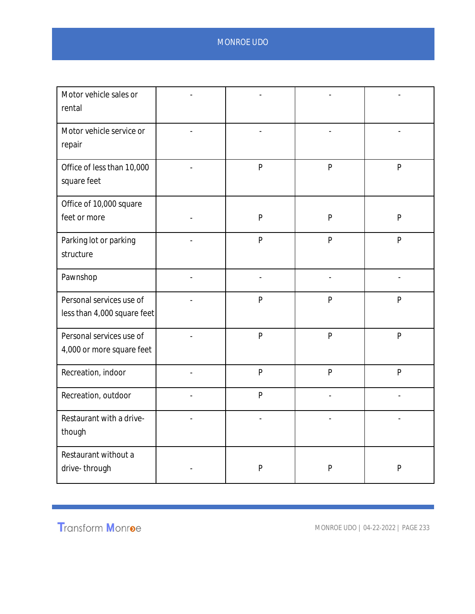| Motor vehicle sales or<br>rental                        |                |                |              |              |
|---------------------------------------------------------|----------------|----------------|--------------|--------------|
| Motor vehicle service or<br>repair                      |                |                |              |              |
| Office of less than 10,000<br>square feet               |                | $\mathsf{P}$   | $\mathsf{P}$ | $\mathsf{P}$ |
| Office of 10,000 square<br>feet or more                 |                | $\mathsf{P}$   | $\mathsf{P}$ | P            |
| Parking lot or parking<br>structure                     |                | $\mathsf{P}$   | $\mathsf{P}$ | $\mathsf{P}$ |
| Pawnshop                                                | $\overline{a}$ |                |              |              |
| Personal services use of<br>less than 4,000 square feet |                | $\mathsf{P}$   | $\mathsf{P}$ | $\mathsf{P}$ |
| Personal services use of<br>4,000 or more square feet   |                | $\overline{P}$ | $\mathsf{P}$ | $\mathsf{P}$ |
| Recreation, indoor                                      |                | $\mathsf{P}$   | $\mathsf{P}$ | P            |
| Recreation, outdoor                                     |                | $\mathsf{P}$   |              |              |
| Restaurant with a drive-<br>though                      |                |                |              |              |
| Restaurant without a<br>drive-through                   |                | ${\sf P}$      | P            | $\mathsf{P}$ |

Transform Monroe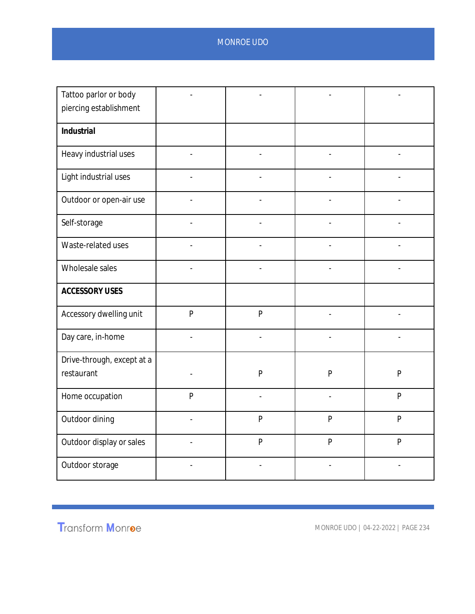| Tattoo parlor or body                    |                          |                |                |                |
|------------------------------------------|--------------------------|----------------|----------------|----------------|
| piercing establishment                   |                          |                |                |                |
| Industrial                               |                          |                |                |                |
| Heavy industrial uses                    | $\overline{\phantom{a}}$ | $\frac{1}{2}$  | $\blacksquare$ | $\overline{a}$ |
| Light industrial uses                    |                          |                |                |                |
| Outdoor or open-air use                  |                          |                |                |                |
| Self-storage                             |                          |                |                |                |
| Waste-related uses                       |                          |                |                |                |
| Wholesale sales                          | $\overline{a}$           | $\overline{a}$ | $\overline{a}$ |                |
| <b>ACCESSORY USES</b>                    |                          |                |                |                |
| Accessory dwelling unit                  | $\overline{P}$           | $\overline{P}$ |                |                |
| Day care, in-home                        |                          |                |                |                |
| Drive-through, except at a<br>restaurant |                          | $\mathsf{P}$   | $\mathsf{P}$   | $\mathsf{P}$   |
|                                          |                          |                |                |                |
| Home occupation                          | P                        | $\frac{1}{2}$  | L,             | $\mathsf{P}$   |
| Outdoor dining                           |                          | $\overline{P}$ | P              | P              |
| Outdoor display or sales                 |                          | $\mathsf{P}$   | $\overline{P}$ | $\overline{P}$ |
| Outdoor storage                          |                          |                |                |                |

Transform Monroe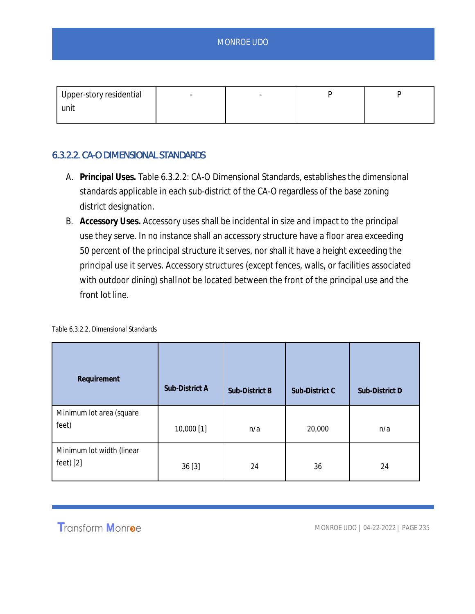| Upper-story residential | $\sim$ |  |  |
|-------------------------|--------|--|--|
| unit                    |        |  |  |
|                         |        |  |  |

### 6.3.2.2. CA-O DIMENSIONAL STANDARDS

- A. **Principal Uses.** Table 6.3.2.2: CA-O Dimensional Standards, establishes the dimensional standards applicable in each sub-district of the CA-O regardless of the base zoning district designation.
- B. **Accessory Uses.** Accessory uses shall be incidental in size and impact to the principal use they serve. In no instance shall an accessory structure have a floor area exceeding 50 percent of the principal structure it serves, nor shall it have a height exceeding the principal use it serves. Accessory structures (except fences, walls, or facilities associated with outdoor dining) shall not be located between the front of the principal use and the front lot line.

|  | Table 6.3.2.2. Dimensional Standards |  |
|--|--------------------------------------|--|
|  |                                      |  |

| Requirement                          | Sub-District A | Sub-District B | Sub-District C | Sub-District D |
|--------------------------------------|----------------|----------------|----------------|----------------|
| Minimum lot area (square<br>feet)    | 10,000 [1]     | n/a            | 20,000         | n/a            |
| Minimum lot width (linear<br>feet[2] | 36[3]          | 24             | 36             | 24             |

# **Transform Monroe**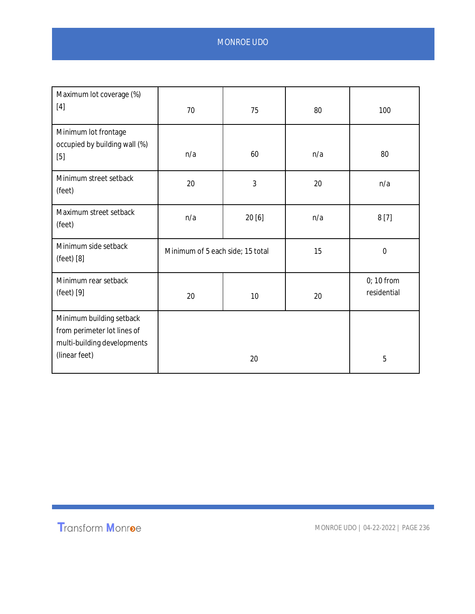| Maximum lot coverage (%)<br>$[4]$                                                                       | 70  | 75                               | 80  | 100                         |
|---------------------------------------------------------------------------------------------------------|-----|----------------------------------|-----|-----------------------------|
| Minimum lot frontage<br>occupied by building wall (%)<br>$[5]$                                          | n/a | 60                               | n/a | 80                          |
| Minimum street setback<br>(feet)                                                                        | 20  | 3                                | 20  | n/a                         |
| Maximum street setback<br>(feet)                                                                        | n/a | 20 [6]                           | n/a | 8[7]                        |
| Minimum side setback<br>(feet) [8]                                                                      |     | Minimum of 5 each side; 15 total |     | $\mathbf 0$                 |
| Minimum rear setback<br>$(feet)$ [9]                                                                    | 20  | 10                               | 20  | $0; 10$ from<br>residential |
| Minimum building setback<br>from perimeter lot lines of<br>multi-building developments<br>(linear feet) |     | 20                               |     | 5                           |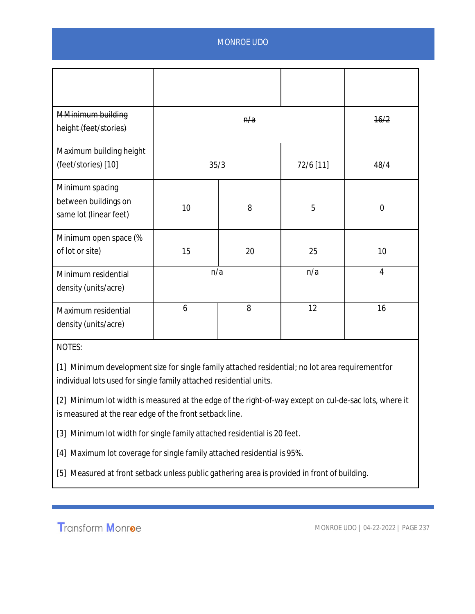| MMinimum building<br>height (feet/stories)                        |                   | n/a |     | 16/2           |
|-------------------------------------------------------------------|-------------------|-----|-----|----------------|
| Maximum building height<br>(feet/stories) [10]                    | 72/6 [11]<br>35/3 |     |     | 48/4           |
| Minimum spacing<br>between buildings on<br>same lot (linear feet) | 10                | 8   | 5   | $\overline{0}$ |
| Minimum open space (%<br>of lot or site)                          | 15                | 20  | 25  | 10             |
| Minimum residential<br>density (units/acre)                       | n/a               |     | n/a | $\overline{4}$ |
| Maximum residential<br>density (units/acre)                       | 6                 | 8   | 12  | 16             |

NOTES:

[1] Minimum development size for single family attached residential; no lot area requirement for individual lots used for single family attached residential units.

[2] Minimum lot width is measured at the edge of the right-of-way except on cul-de-sac lots, where it is measured at the rear edge of the front setback line.

[3] Minimum lot width for single family attached residential is 20 feet.

[4] Maximum lot coverage for single family attached residential is 95%.

[5] Measured at front setback unless public gathering area is provided in front of building.

**Transform Monroe**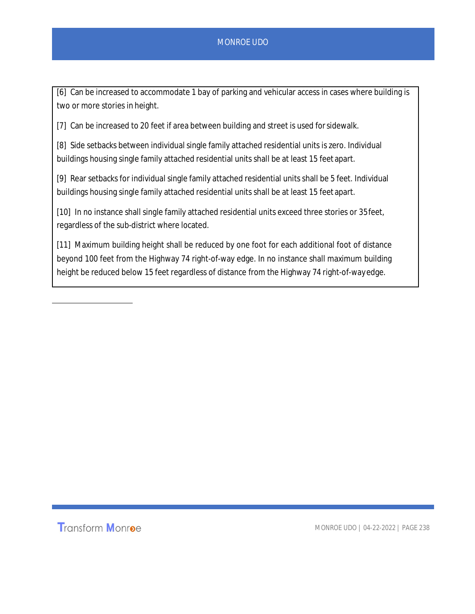[6] Can be increased to accommodate 1 bay of parking and vehicular access in cases where building is two or more stories in height.

[7] Can be increased to 20 feet if area between building and street is used for sidewalk.

[8] Side setbacks between individual single family attached residential units is zero. Individual buildings housing single family attached residential units shall be at least 15 feet apart.

[9] Rear setbacks for individual single family attached residential units shall be 5 feet. Individual buildings housing single family attached residential units shall be at least 15 feet apart.

[10] In no instance shall single family attached residential units exceed three stories or 35 feet, regardless of the sub-district where located.

[11] Maximum building height shall be reduced by one foot for each additional foot of distance beyond 100 feet from the Highway 74 right-of-way edge. In no instance shall maximum building height be reduced below 15 feet regardless of distance from the Highway 74 right-of-way edge.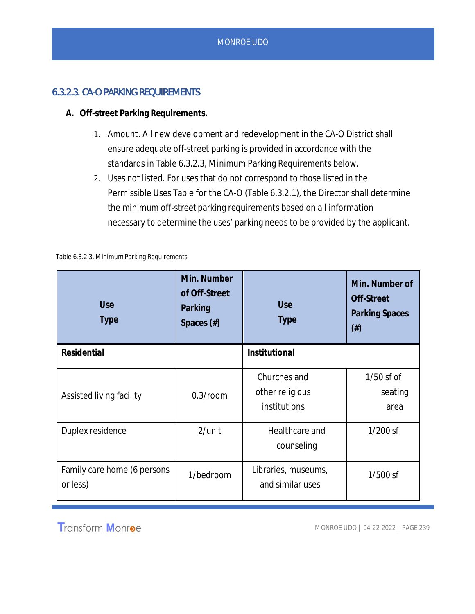## 6.3.2.3. CA-O PARKING REQUIREMENTS

- **A. Off-street Parking Requirements.**
	- 1. *Amount.* All new development and redevelopment in the CA-O District shall ensure adequate off-street parking is provided in accordance with the standards in Table 6.3.2.3, Minimum Parking Requirements below.
	- 2. *Uses not listed.* For uses that do not correspond to those listed in the Permissible Uses Table for the CA-O (Table 6.3.2.1), the Director shall determine the minimum off-street parking requirements based on all information necessary to determine the uses' parking needs to be provided by the applicant.

| Use<br><b>Type</b>                      | Min. Number<br>of Off-Street<br>Parking<br>Spaces $(\#)$ | Use<br><b>Type</b>                              | Min. Number of<br>Off-Street<br><b>Parking Spaces</b><br>$(\#)$ |
|-----------------------------------------|----------------------------------------------------------|-------------------------------------------------|-----------------------------------------------------------------|
| Residential                             |                                                          | Institutional                                   |                                                                 |
| Assisted living facility                | $0.3$ /room                                              | Churches and<br>other religious<br>institutions | $1/50$ sf of<br>seating<br>area                                 |
| Duplex residence                        | $2$ /unit                                                | Healthcare and<br>counseling                    | $1/200$ sf                                                      |
| Family care home (6 persons<br>or less) | 1/bedroom                                                | Libraries, museums,<br>and similar uses         | $1/500$ sf                                                      |

Table 6.3.2.3. Minimum Parking Requirements

**Transform Monroe**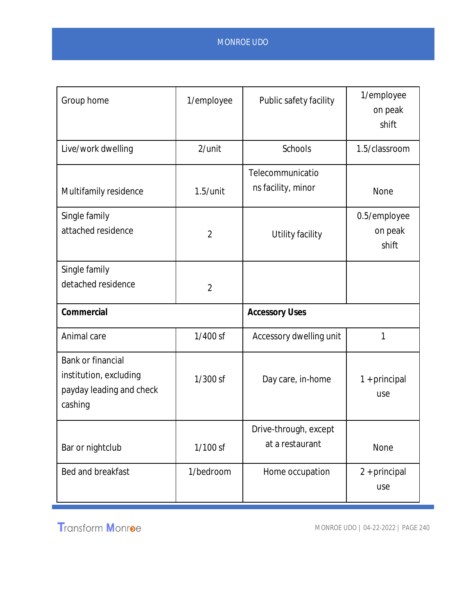| Group home                                                                         | 1/employee     | Public safety facility                   | 1/employee<br>on peak<br>shift   |
|------------------------------------------------------------------------------------|----------------|------------------------------------------|----------------------------------|
| Live/work dwelling                                                                 | 2/unit         | <b>Schools</b>                           | 1.5/classroom                    |
| Multifamily residence                                                              | $1.5/$ unit    | Telecommunicatio<br>ns facility, minor   | None                             |
| Single family<br>attached residence                                                | $\overline{2}$ | Utility facility                         | 0.5/employee<br>on peak<br>shift |
| Single family<br>detached residence                                                | $\overline{2}$ |                                          |                                  |
| Commercial                                                                         |                | <b>Accessory Uses</b>                    |                                  |
| Animal care                                                                        | $1/400$ sf     | Accessory dwelling unit                  | 1                                |
| Bank or financial<br>institution, excluding<br>payday leading and check<br>cashing | 1/300 sf       | Day care, in-home                        | $1 + principal$<br>use           |
| Bar or nightclub                                                                   | 1/100 sf       | Drive-through, except<br>at a restaurant | None                             |
| Bed and breakfast                                                                  | 1/bedroom      | Home occupation                          | 2 + principal<br>use             |

Transform Monroe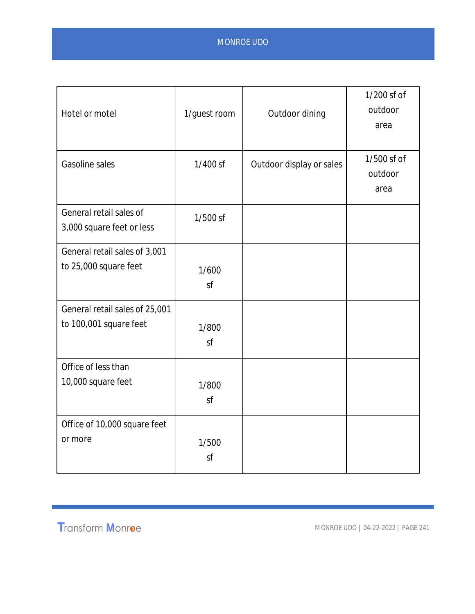| Hotel or motel                                           | 1/guest room | Outdoor dining           | 1/200 sf of<br>outdoor<br>area |
|----------------------------------------------------------|--------------|--------------------------|--------------------------------|
| <b>Gasoline sales</b>                                    | $1/400$ sf   | Outdoor display or sales | 1/500 sf of<br>outdoor<br>area |
| General retail sales of<br>3,000 square feet or less     | 1/500 sf     |                          |                                |
| General retail sales of 3,001<br>to 25,000 square feet   | 1/600<br>sf  |                          |                                |
| General retail sales of 25,001<br>to 100,001 square feet | 1/800<br>sf  |                          |                                |
| Office of less than<br>10,000 square feet                | 1/800<br>sf  |                          |                                |
| Office of 10,000 square feet<br>or more                  | 1/500<br>sf  |                          |                                |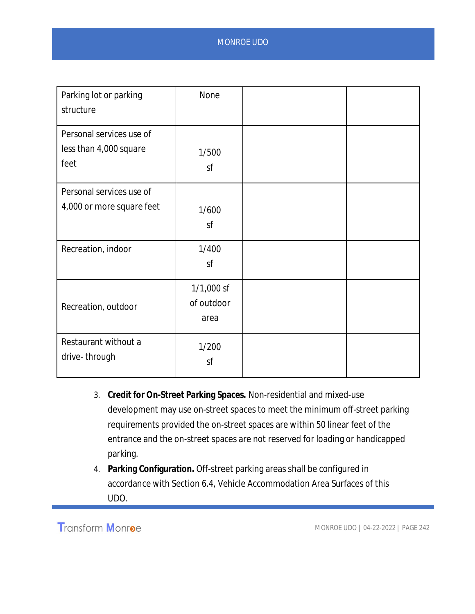| Parking lot or parking    | None         |  |
|---------------------------|--------------|--|
| structure                 |              |  |
| Personal services use of  |              |  |
| less than 4,000 square    | 1/500        |  |
| feet                      | sf           |  |
| Personal services use of  |              |  |
| 4,000 or more square feet | 1/600        |  |
|                           | sf           |  |
| Recreation, indoor        | 1/400        |  |
|                           | sf           |  |
|                           | $1/1,000$ sf |  |
| Recreation, outdoor       | of outdoor   |  |
|                           | area         |  |
| Restaurant without a      | 1/200        |  |
| drive-through             | sf           |  |
|                           |              |  |

- 3. **Credit for On-Street Parking Spaces.** Non-residential and mixed-use development may use on-street spaces to meet the minimum off-street parking requirements provided the on-street spaces are within 50 linear feet of the entrance and the on-street spaces are not reserved for loading or handicapped parking.
- 4. **Parking Configuration.** Off-street parking areas shall be configured in accordance with Section 6.4, Vehicle Accommodation Area Surfaces of this UDO.

**Transform Monroe**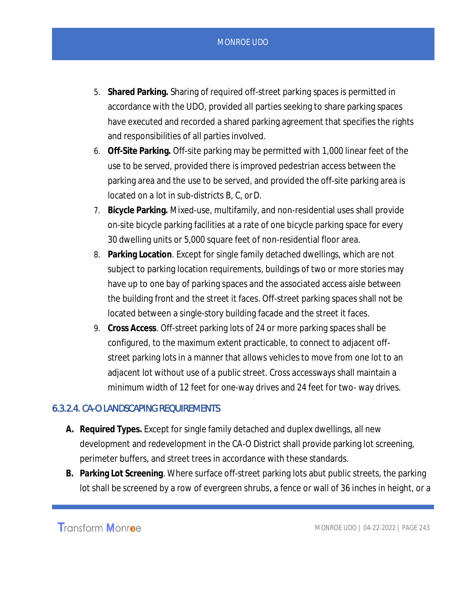- 5. **Shared Parking.** Sharing of required off-street parking spaces is permitted in accordance with the UDO, provided all parties seeking to share parking spaces have executed and recorded a shared parking agreement that specifies the rights and responsibilities of all parties involved.
- 6. **Off-Site Parking.** Off-site parking may be permitted with 1,000 linear feet of the use to be served, provided there is improved pedestrian access between the parking area and the use to be served, and provided the off-site parking area is located on a lot in sub-districts B, C, or D.
- 7. **Bicycle Parking.** Mixed-use, multifamily, and non-residential uses shall provide on-site bicycle parking facilities at a rate of one bicycle parking space for every 30 dwelling units or 5,000 square feet of non-residential floor area.
- 8. **Parking Location***.* Except for single family detached dwellings, which are not subject to parking location requirements, buildings of two or more stories may have up to one bay of parking spaces and the associated access aisle between the building front and the street it faces. Off-street parking spaces shall not be located between a single-story building facade and the street it faces.
- 9. **Cross Access***.* Off-street parking lots of 24 or more parking spaces shall be configured, to the maximum extent practicable, to connect to adjacent offstreet parking lots in a manner that allows vehicles to move from one lot to an adjacent lot without use of a public street. Cross accessways shall maintain a minimum width of 12 feet for one-way drives and 24 feet for two- way drives.

#### 6.3.2.4. CA-O LANDSCAPING REQUIREMENTS

- **A. Required Types.** Except for single family detached and duplex dwellings, all new development and redevelopment in the CA-O District shall provide parking lot screening, perimeter buffers, and street trees in accordance with these standards.
- **B. Parking Lot Screening***.* Where surface off-street parking lots abut public streets, the parking lot shall be screened by a row of evergreen shrubs, a fence or wall of 36 inches in height, or a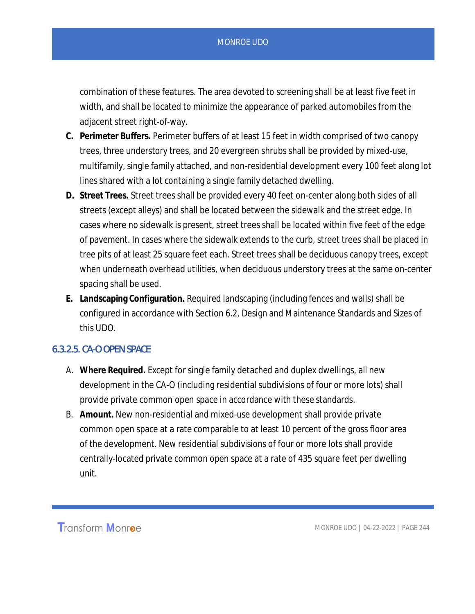combination of these features. The area devoted to screening shall be at least five feet in width, and shall be located to minimize the appearance of parked automobiles from the adjacent street right-of-way.

- **C. Perimeter Buffers.** Perimeter buffers of at least 15 feet in width comprised of two canopy trees, three understory trees, and 20 evergreen shrubs shall be provided by mixed-use, multifamily, single family attached, and non-residential development every 100 feet along lot lines shared with a lot containing a single family detached dwelling.
- **D. Street Trees.** Street trees shall be provided every 40 feet on-center along both sides of all streets (except alleys) and shall be located between the sidewalk and the street edge. In cases where no sidewalk is present, street trees shall be located within five feet of the edge of pavement. In cases where the sidewalk extends to the curb, street trees shall be placed in tree pits of at least 25 square feet each. Street trees shall be deciduous canopy trees, except when underneath overhead utilities, when deciduous understory trees at the same on-center spacing shall be used.
- **E. Landscaping Configuration.** Required landscaping (including fences and walls) shall be configured in accordance with Section 6.2, Design and Maintenance Standards and Sizes of this UDO.

#### 6.3.2.5. CA-O OPEN SPACE

- A. **Where Required.** Except for single family detached and duplex dwellings, all new development in the CA-O (including residential subdivisions of four or more lots) shall provide private common open space in accordance with these standards.
- B. **Amount.** New non-residential and mixed-use development shall provide private common open space at a rate comparable to at least 10 percent of the gross floor area of the development. New residential subdivisions of four or more lots shall provide centrally-located private common open space at a rate of 435 square feet per dwelling unit.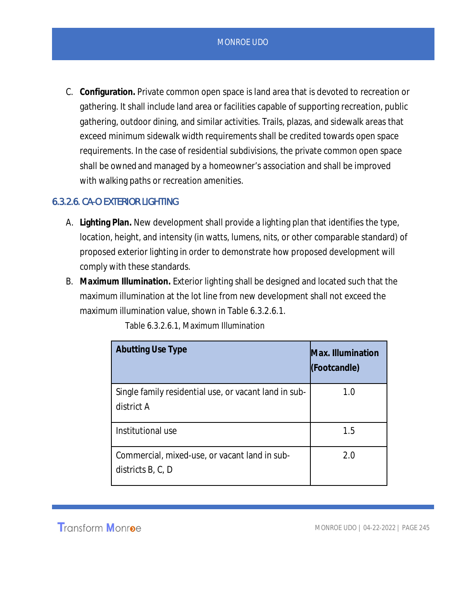C. **Configuration.** Private common open space is land area that is devoted to recreation or gathering. It shall include land area or facilities capable of supporting recreation, public gathering, outdoor dining, and similar activities. Trails, plazas, and sidewalk areas that exceed minimum sidewalk width requirements shall be credited towards open space requirements. In the case of residential subdivisions, the private common open space shall be owned and managed by a homeowner's association and shall be improved with walking paths or recreation amenities.

### 6.3.2.6. CA-O EXTERIOR LIGHTING

- A. **Lighting Plan.** New development shall provide a lighting plan that identifies the type, location, height, and intensity (in watts, lumens, nits, or other comparable standard) of proposed exterior lighting in order to demonstrate how proposed development will comply with these standards.
- B. **Maximum Illumination.** Exterior lighting shall be designed and located such that the maximum illumination at the lot line from new development shall not exceed the maximum illumination value, shown in Table 6.3.2.6.1.

| <b>Abutting Use Type</b>                                            | Max. Illumination<br>(Footcandle) |
|---------------------------------------------------------------------|-----------------------------------|
| Single family residential use, or vacant land in sub-<br>district A | 1.0                               |
| Institutional use                                                   | 1.5                               |
| Commercial, mixed-use, or vacant land in sub-<br>districts B, C, D  | 2.0                               |

Table 6.3.2.6.1, Maximum Illumination

**Transform Monroe**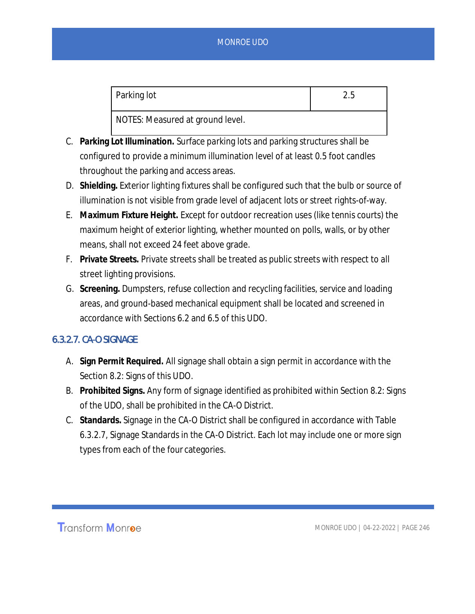| Parking lot                      | 2.5 |
|----------------------------------|-----|
| NOTES: Measured at ground level. |     |

- C. **Parking Lot Illumination.** Surface parking lots and parking structures shall be configured to provide a minimum illumination level of at least 0.5 foot candles throughout the parking and access areas.
- D. **Shielding.** Exterior lighting fixtures shall be configured such that the bulb or source of illumination is not visible from grade level of adjacent lots or street rights-of-way.
- E. **Maximum Fixture Height.** Except for outdoor recreation uses (like tennis courts) the maximum height of exterior lighting, whether mounted on polls, walls, or by other means, shall not exceed 24 feet above grade.
- F. **Private Streets.** Private streets shall be treated as public streets with respect to all street lighting provisions.
- G. **Screening.** Dumpsters, refuse collection and recycling facilities, service and loading areas, and ground-based mechanical equipment shall be located and screened in accordance with Sections 6.2 and 6.5 of this UDO.

### 6.3.2.7. CA-O SIGNAGE

- A. **Sign Permit Required.** All signage shall obtain a sign permit in accordance with the Section 8.2: Signs of this UDO.
- B. **Prohibited Signs.** Any form of signage identified as prohibited within Section 8.2: Signs of the UDO, shall be prohibited in the CA-O District.
- C. **Standards.** Signage in the CA-O District shall be configured in accordance with Table 6.3.2.7, Signage Standards in the CA-O District. Each lot may include one or more sign types from each of the four categories.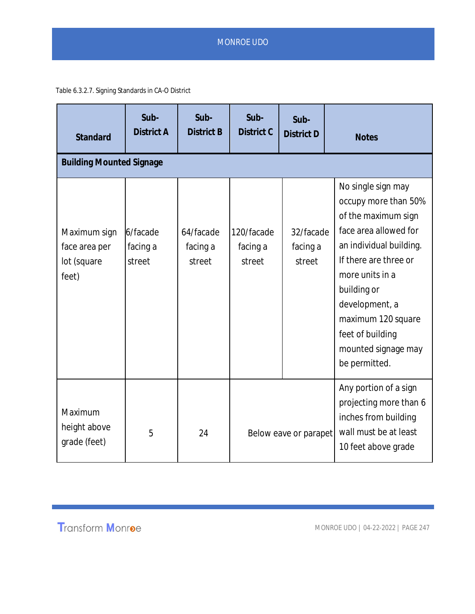Table 6.3.2.7. Signing Standards in CA-O District

| Standard                                              | Sub-<br>District A             | Sub-<br><b>District B</b>       | Sub-<br>District C               | Sub-<br>District D              | <b>Notes</b>                                                                                                                                                                                                                                                                         |
|-------------------------------------------------------|--------------------------------|---------------------------------|----------------------------------|---------------------------------|--------------------------------------------------------------------------------------------------------------------------------------------------------------------------------------------------------------------------------------------------------------------------------------|
| <b>Building Mounted Signage</b>                       |                                |                                 |                                  |                                 |                                                                                                                                                                                                                                                                                      |
| Maximum sign<br>face area per<br>lot (square<br>feet) | 6/facade<br>facing a<br>street | 64/facade<br>facing a<br>street | 120/facade<br>facing a<br>street | 32/facade<br>facing a<br>street | No single sign may<br>occupy more than 50%<br>of the maximum sign<br>face area allowed for<br>an individual building.<br>If there are three or<br>more units in a<br>building or<br>development, a<br>maximum 120 square<br>feet of building<br>mounted signage may<br>be permitted. |
| Maximum<br>height above<br>grade (feet)               | 5                              | 24                              | Below eave or parapet            |                                 | Any portion of a sign<br>projecting more than 6<br>inches from building<br>wall must be at least<br>10 feet above grade                                                                                                                                                              |

Transform Monroe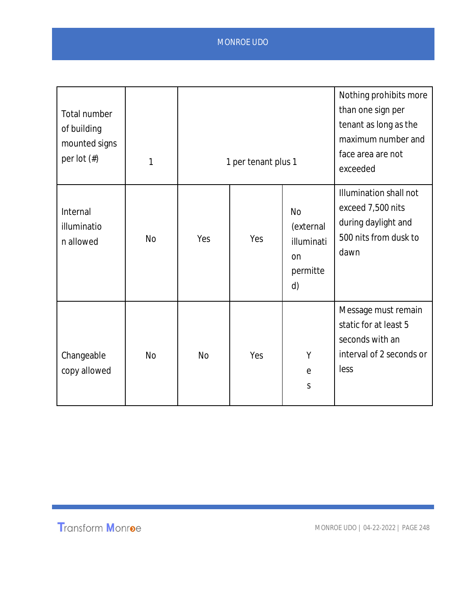| Total number<br>of building<br>mounted signs<br>per lot $(\#)$ | 1         |           | 1 per tenant plus 1 |                                                              | Nothing prohibits more<br>than one sign per<br>tenant as long as the<br>maximum number and<br>face area are not<br>exceeded |
|----------------------------------------------------------------|-----------|-----------|---------------------|--------------------------------------------------------------|-----------------------------------------------------------------------------------------------------------------------------|
| Internal<br>illuminatio<br>n allowed                           | <b>No</b> | Yes       | Yes                 | <b>No</b><br>(external<br>illuminati<br>on<br>permitte<br>d) | Illumination shall not<br>exceed 7,500 nits<br>during daylight and<br>500 nits from dusk to<br>dawn                         |
| Changeable<br>copy allowed                                     | <b>No</b> | <b>No</b> | Yes                 | Υ<br>$\mathop{\mathrm{e}}$<br>S                              | Message must remain<br>static for at least 5<br>seconds with an<br>interval of 2 seconds or<br>less                         |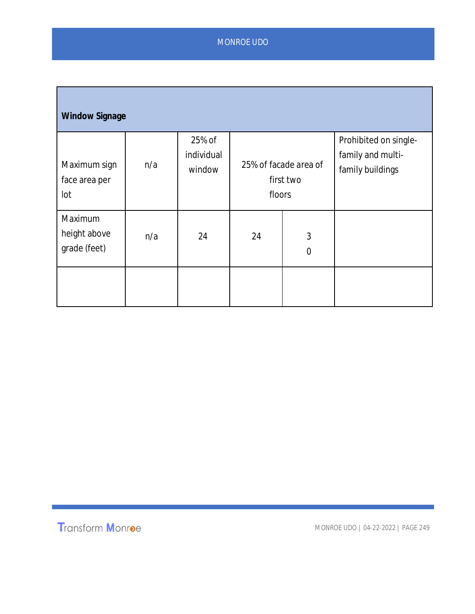| <b>Window Signage</b>                   |     |                                |                                              |                  |                                                                |  |  |
|-----------------------------------------|-----|--------------------------------|----------------------------------------------|------------------|----------------------------------------------------------------|--|--|
| Maximum sign<br>face area per<br>lot    | n/a | 25% of<br>individual<br>window | 25% of facade area of<br>first two<br>floors |                  | Prohibited on single-<br>family and multi-<br>family buildings |  |  |
| Maximum<br>height above<br>grade (feet) | n/a | 24                             | 24                                           | 3<br>$\mathbf 0$ |                                                                |  |  |
|                                         |     |                                |                                              |                  |                                                                |  |  |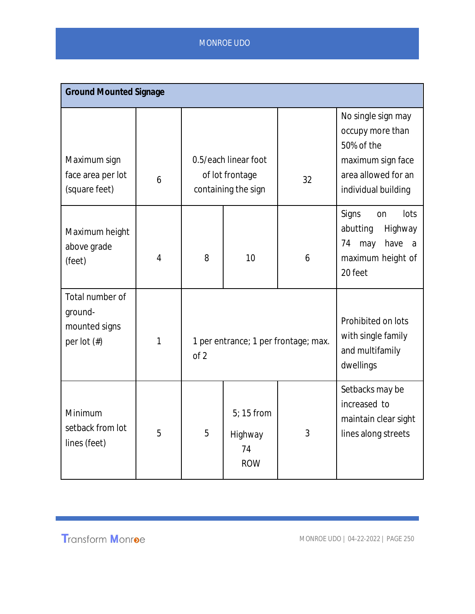| <b>Ground Mounted Signage</b>                                 |                |                                              |                                                                |    |                                                                                                                         |  |
|---------------------------------------------------------------|----------------|----------------------------------------------|----------------------------------------------------------------|----|-------------------------------------------------------------------------------------------------------------------------|--|
| Maximum sign<br>face area per lot<br>(square feet)            | 6              |                                              | 0.5/each linear foot<br>of lot frontage<br>containing the sign | 32 | No single sign may<br>occupy more than<br>50% of the<br>maximum sign face<br>area allowed for an<br>individual building |  |
| Maximum height<br>above grade<br>(feet)                       | $\overline{4}$ | 8                                            | 10                                                             | 6  | Signs<br>lots<br>on<br>abutting<br>Highway<br>have<br>74<br>may<br>a<br>maximum height of<br>20 feet                    |  |
| Total number of<br>ground-<br>mounted signs<br>per lot $(\#)$ | 1              | 1 per entrance; 1 per frontage; max.<br>of 2 |                                                                |    | Prohibited on lots<br>with single family<br>and multifamily<br>dwellings                                                |  |
| Minimum<br>setback from lot<br>lines (feet)                   | 5              | 5                                            | $5:15$ from<br>Highway<br>74<br><b>ROW</b>                     | 3  | Setbacks may be<br>increased to<br>maintain clear sight<br>lines along streets                                          |  |

# Transform Monroe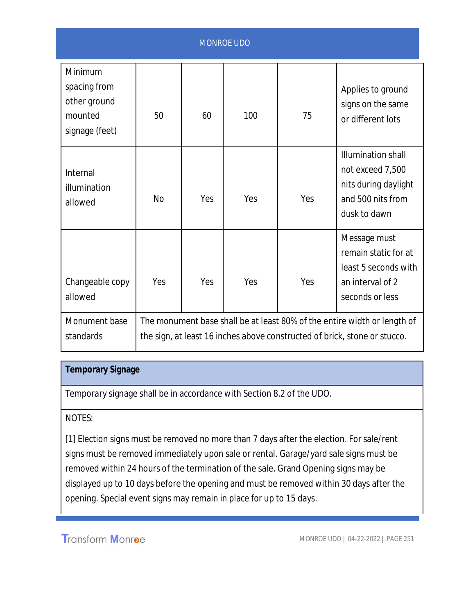| <b>MONROE UDO</b>                                                    |                                                                                                                                                       |     |     |     |                                                                                                            |
|----------------------------------------------------------------------|-------------------------------------------------------------------------------------------------------------------------------------------------------|-----|-----|-----|------------------------------------------------------------------------------------------------------------|
| Minimum<br>spacing from<br>other ground<br>mounted<br>signage (feet) | 50                                                                                                                                                    | 60  | 100 | 75  | Applies to ground<br>signs on the same<br>or different lots                                                |
| Internal<br>illumination<br>allowed                                  | <b>No</b>                                                                                                                                             | Yes | Yes | Yes | <b>Illumination shall</b><br>not exceed 7,500<br>nits during daylight<br>and 500 nits from<br>dusk to dawn |
| Changeable copy<br>allowed                                           | Yes                                                                                                                                                   | Yes | Yes | Yes | Message must<br>remain static for at<br>least 5 seconds with<br>an interval of 2<br>seconds or less        |
| Monument base<br>standards                                           | The monument base shall be at least 80% of the entire width or length of<br>the sign, at least 16 inches above constructed of brick, stone or stucco. |     |     |     |                                                                                                            |

# **Temporary Signage**

Temporary signage shall be in accordance with Section 8.2 of the UDO.

#### NOTES:

[1] Election signs must be removed no more than 7 days after the election. For sale/rent signs must be removed immediately upon sale or rental. Garage/yard sale signs must be removed within 24 hours of the termination of the sale. Grand Opening signs may be displayed up to 10 days before the opening and must be removed within 30 days after the opening. Special event signs may remain in place for up to 15 days.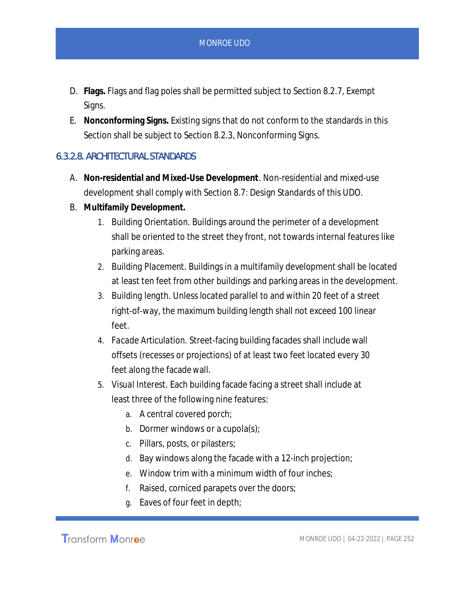- D. **Flags.** Flags and flag poles shall be permitted subject to Section 8.2.7, Exempt Signs.
- E. **Nonconforming Signs.** Existing signs that do not conform to the standards in this Section shall be subject to Section 8.2.3, Nonconforming Signs.

#### 6.3.2.8. ARCHITECTURAL STANDARDS

- A. **Non-residential and Mixed-Use Development***.* Non-residential and mixed-use development shall comply with Section 8.7: Design Standards of this UDO.
- B. **Multifamily Development.**
	- 1. *Building Orientation.* Buildings around the perimeter of a development shall be oriented to the street they front, not towards internal features like parking areas.
	- 2. *Building Placement.* Buildings in a multifamily development shall be located at least ten feet from other buildings and parking areas in the development.
	- 3. *Building length.* Unless located parallel to and within 20 feet of a street right-of-way, the maximum building length shall not exceed 100 linear feet.
	- 4. *Facade Articulation.* Street-facing building facades shall include wall offsets (recesses or projections) of at least two feet located every 30 feet along the facade wall.
	- 5. *Visual Interest.* Each building facade facing a street shall include at least three of the following nine features:
		- a. A central covered porch;
		- b. Dormer windows or a cupola(s);
		- c. Pillars, posts, or pilasters;
		- d. Bay windows along the facade with a 12-inch projection;
		- e. Window trim with a minimum width of four inches;
		- f. Raised, corniced parapets over the doors;
		- g. Eaves of four feet in depth;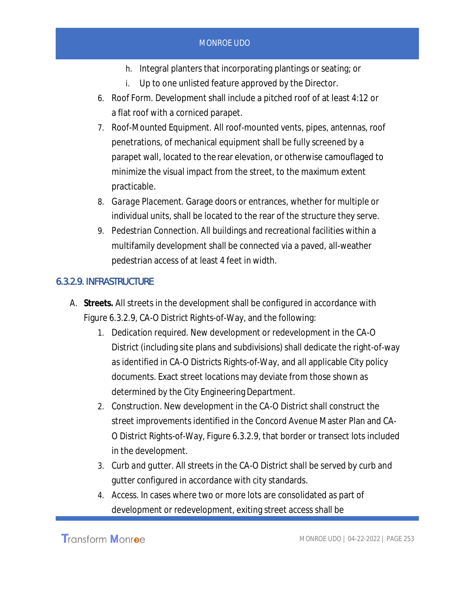- h. Integral planters that incorporating plantings or seating; or
- i. Up to one unlisted feature approved by the Director.
- 6. *Roof Form.* Development shall include a pitched roof of at least 4:12 or a flat roof with a corniced parapet.
- 7. *Roof-Mounted Equipment.* All roof-mounted vents, pipes, antennas, roof penetrations, of mechanical equipment shall be fully screened by a parapet wall, located to the rear elevation, or otherwise camouflaged to minimize the visual impact from the street, to the maximum extent practicable.
- 8. *Garage Placement.* Garage doors or entrances, whether for multiple or individual units, shall be located to the rear of the structure they serve.
- 9. *Pedestrian Connection.* All buildings and recreational facilities within a multifamily development shall be connected via a paved, all-weather pedestrian access of at least 4 feet in width.

## 6.3.2.9. INFRASTRUCTURE

- A. **Streets.** All streets in the development shall be configured in accordance with Figure 6.3.2.9, CA-O District Rights-of-Way, and the following:
	- 1. *Dedication required.* New development or redevelopment in the CA-O District (including site plans and subdivisions) shall dedicate the right-of-way as identified in CA-O Districts Rights-of-Way, and all applicable City policy documents. Exact street locations may deviate from those shown as determined by the City Engineering Department.
	- 2. *Construction*. New development in the CA-O District shall construct the street improvements identified in the Concord Avenue Master Plan and CA-O District Rights-of-Way, Figure 6.3.2.9, that border or transect lots included in the development.
	- 3. *Curb and gutter.* All streets in the CA-O District shall be served by curb and gutter configured in accordance with city standards.
	- 4. *Access.* In cases where two or more lots are consolidated as part of development or redevelopment, exiting street access shall be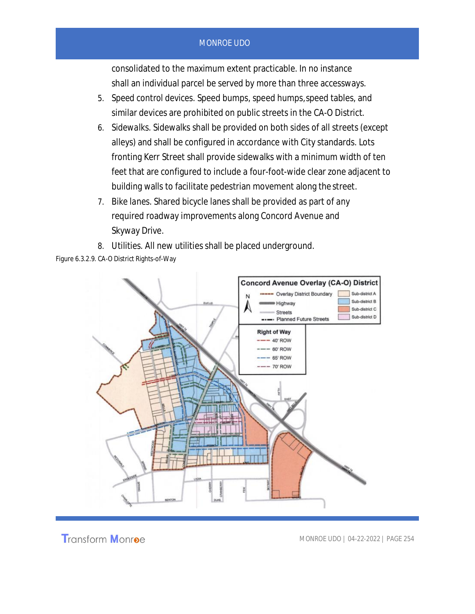consolidated to the maximum extent practicable. In no instance shall an individual parcel be served by more than three accessways.

- 5. *Speed control devices.* Speed bumps, speed humps, speed tables, and similar devices are prohibited on public streets in the CA-O District.
- 6. *Sidewalks.* Sidewalks shall be provided on both sides of all streets (except alleys) and shall be configured in accordance with City standards. Lots fronting Kerr Street shall provide sidewalks with a minimum width of ten feet that are configured to include a four-foot-wide clear zone adjacent to building walls to facilitate pedestrian movement along the street.
- 7. *Bike lanes.* Shared bicycle lanes shall be provided as part of any required roadway improvements along Concord Avenue and Skyway Drive.
- 8. *Utilities.* All new utilities shall be placed underground.



Figure 6.3.2.9. CA-O District Rights-of-Way

**Transform Monroe**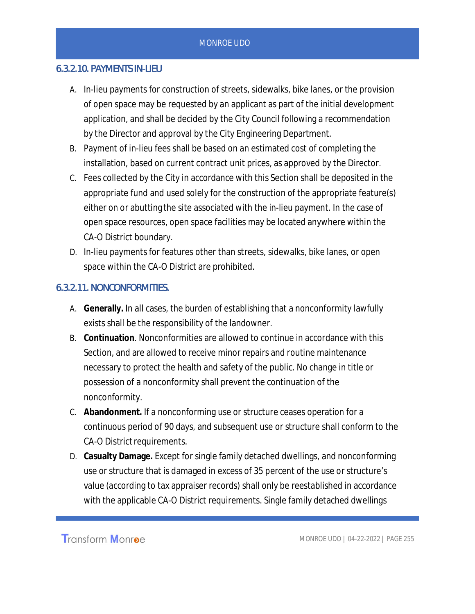#### 6.3.2.10. PAYMENTS IN-LIEU

- A. In-lieu payments for construction of streets, sidewalks, bike lanes, or the provision of open space may be requested by an applicant as part of the initial development application, and shall be decided by the City Council following a recommendation by the Director and approval by the City Engineering Department.
- B. Payment of in-lieu fees shall be based on an estimated cost of completing the installation, based on current contract unit prices, as approved by the Director.
- C. Fees collected by the City in accordance with this Section shall be deposited in the appropriate fund and used solely for the construction of the appropriate feature(s) either on or abutting the site associated with the in-lieu payment. In the case of open space resources, open space facilities may be located anywhere within the CA-O District boundary.
- D. In-lieu payments for features other than streets, sidewalks, bike lanes, or open space within the CA-O District are prohibited.

#### 6.3.2.11. NONCONFORMITIES.

- A. **Generally.** In all cases, the burden of establishing that a nonconformity lawfully exists shall be the responsibility of the landowner.
- B. **Continuation***.* Nonconformities are allowed to continue in accordance with this Section, and are allowed to receive minor repairs and routine maintenance necessary to protect the health and safety of the public. No change in title or possession of a nonconformity shall prevent the continuation of the nonconformity.
- C. **Abandonment.** If a nonconforming use or structure ceases operation for a continuous period of 90 days, and subsequent use or structure shall conform to the CA-O District requirements.
- D. **Casualty Damage.** Except for single family detached dwellings, and nonconforming use or structure that is damaged in excess of 35 percent of the use or structure's value (according to tax appraiser records) shall only be reestablished in accordance with the applicable CA-O District requirements. Single family detached dwellings

**Transform Monroe**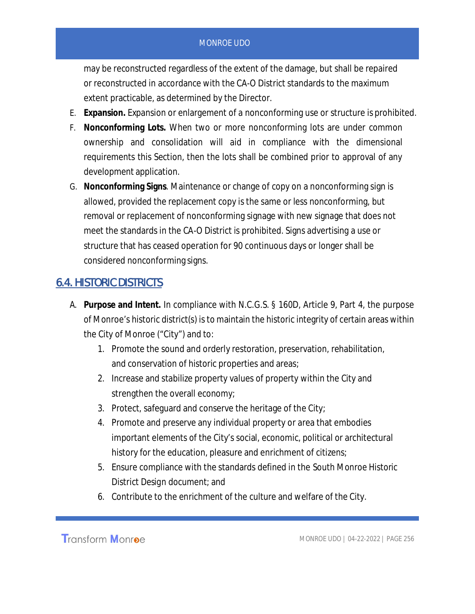may be reconstructed regardless of the extent of the damage, but shall be repaired or reconstructed in accordance with the CA-O District standards to the maximum extent practicable, as determined by the Director.

- E. **Expansion.** Expansion or enlargement of a nonconforming use or structure is prohibited.
- F. **Nonconforming Lots.** When two or more nonconforming lots are under common ownership and consolidation will aid in compliance with the dimensional requirements this Section, then the lots shall be combined prior to approval of any development application.
- G. **Nonconforming Signs***.* Maintenance or change of copy on a nonconforming sign is allowed, provided the replacement copy is the same or less nonconforming, but removal or replacement of nonconforming signage with new signage that does not meet the standards in the CA-O District is prohibited. Signs advertising a use or structure that has ceased operation for 90 continuous days or longer shall be considered nonconforming signs.

# 6.4. HISTORIC DISTRICTS

- A. **Purpose and Intent.** In compliance with N.C.G.S. § 160D, Article 9, Part 4, the purpose of Monroe's historic district(s) is to maintain the historic integrity of certain areas within the City of Monroe ("City") and to:
	- 1. Promote the sound and orderly restoration, preservation, rehabilitation, and conservation of historic properties and areas;
	- 2. Increase and stabilize property values of property within the City and strengthen the overall economy;
	- 3. Protect, safeguard and conserve the heritage of the City;
	- 4. Promote and preserve any individual property or area that embodies important elements of the City's social, economic, political or architectural history for the education, pleasure and enrichment of citizens;
	- 5. Ensure compliance with the standards defined in the *South Monroe Historic District Design* document; and
	- 6. Contribute to the enrichment of the culture and welfare of the City.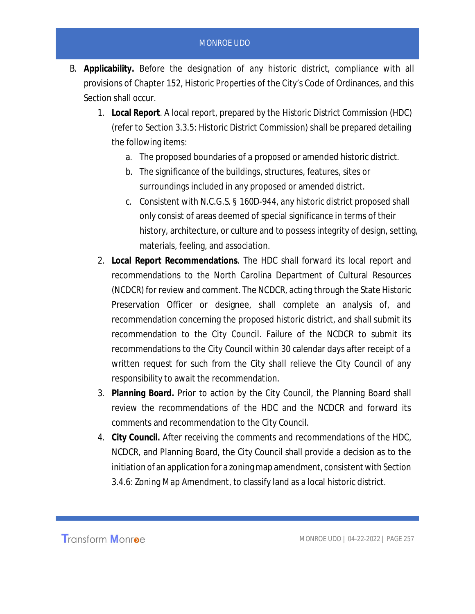- B. **Applicability.** Before the designation of any historic district, compliance with all provisions of Chapter 152, Historic Properties of the City's Code of Ordinances, and this Section shall occur.
	- 1. **Local Report**. A local report, prepared by the *Historic District Commission* (HDC) (refer to Section 3.3.5: Historic District Commission) shall be prepared detailing the following items:
		- a. The proposed boundaries of a proposed or amended historic district.
		- b. The significance of the buildings, structures, features, sites or surroundings included in any proposed or amended district.
		- c. Consistent with N.C.G.S. § 160D-944, any historic district proposed shall only consist of areas deemed of special significance in terms of their history, architecture, or culture and to possess integrity of design, setting, materials, feeling, and association.
	- 2. **Local Report Recommendations**. The HDC shall forward its local report and recommendations to the North Carolina Department of Cultural Resources (NCDCR) for review and comment. The NCDCR, acting through the State Historic Preservation Officer or designee, shall complete an analysis of, and recommendation concerning the proposed historic district, and shall submit its recommendation to the City Council. Failure of the NCDCR to submit its recommendations to the City Council within 30 calendar days after receipt of a written request for such from the City shall relieve the City Council of any responsibility to await the recommendation.
	- 3. **Planning Board.** Prior to action by the City Council, the Planning Board shall review the recommendations of the HDC and the NCDCR and forward its comments and recommendation to the City Council.
	- 4. **City Council.** After receiving the comments and recommendations of the HDC, NCDCR, and Planning Board, the City Council shall provide a decision as to the initiation of an application for a zoning map amendment, consistent with Section 3.4.6: Zoning Map Amendment, to classify land as a local historic district.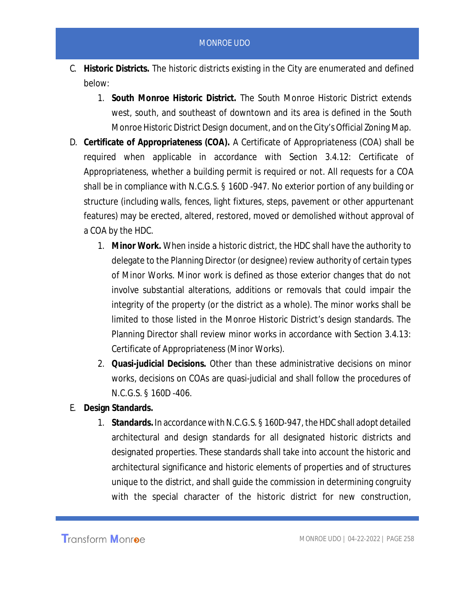- C. **Historic Districts.** The historic districts existing in the City are enumerated and defined below:
	- 1. **South Monroe Historic District.** The South Monroe Historic District extends west, south, and southeast of downtown and its area is defined in the *South Monroe Historic District Design* document, and on the City's Official Zoning Map.
- D. **Certificate of Appropriateness (COA).** A Certificate of Appropriateness (COA) shall be required when applicable in accordance with Section 3.4.12: Certificate of Appropriateness, whether a building permit is required or not. All requests for a COA shall be in compliance with N.C.G.S. § 160D -947. No exterior portion of any building or structure (including walls, fences, light fixtures, steps, pavement or other appurtenant features) may be erected, altered, restored, moved or demolished without approval of a COA by the HDC.
	- 1. **Minor Work.** When inside a historic district, the HDC shall have the authority to delegate to the Planning Director (or designee) review authority of certain types of Minor Works. Minor work is defined as those exterior changes that do not involve substantial alterations, additions or removals that could impair the integrity of the property (or the district as a whole). The minor works shall be limited to those listed in the Monroe Historic District's design standards. The Planning Director shall review minor works in accordance with Section 3.4.13: Certificate of Appropriateness (Minor Works).
	- 2. **Quasi-judicial Decisions.** Other than these administrative decisions on minor works, decisions on COAs are quasi-judicial and shall follow the procedures of N.C.G.S. § 160D -406.
- E. **Design Standards.**
	- 1. **Standards.** In accordance with N.C.G.S. § 160D-947, the HDC shall adopt detailed architectural and design standards for all designated historic districts and designated properties. These standards shall take into account the historic and architectural significance and historic elements of properties and of structures unique to the district, and shall guide the commission in determining congruity with the special character of the historic district for new construction,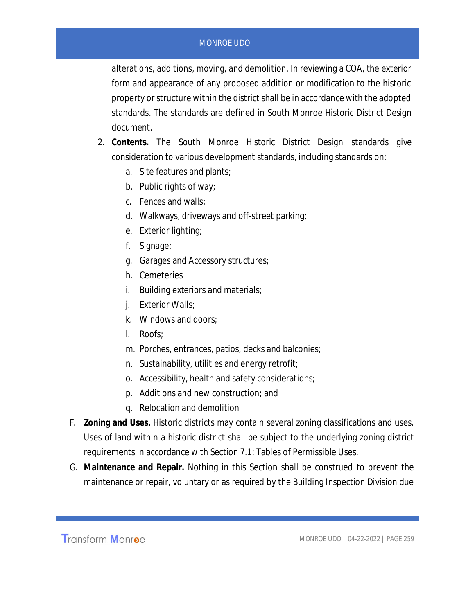alterations, additions, moving, and demolition. In reviewing a COA, the exterior form and appearance of any proposed addition or modification to the historic property or structure within the district shall be in accordance with the adopted standards. The standards are defined in *South Monroe Historic District Design* document.

- 2. **Contents.** The *South Monroe Historic District Design* standards give consideration to various development standards, including standards on:
	- a. Site features and plants;
	- b. Public rights of way;
	- c. Fences and walls;
	- d. Walkways, driveways and off-street parking;
	- e. Exterior lighting;
	- f. Signage;
	- g. Garages and Accessory structures;
	- h. Cemeteries
	- i. Building exteriors and materials;
	- j. Exterior Walls;
	- k. Windows and doors;
	- l. Roofs;
	- m. Porches, entrances, patios, decks and balconies;
	- n. Sustainability, utilities and energy retrofit;
	- o. Accessibility, health and safety considerations;
	- p. Additions and new construction; and
	- q. Relocation and demolition
- F. **Zoning and Uses.** Historic districts may contain several zoning classifications and uses. Uses of land within a historic district shall be subject to the underlying zoning district requirements in accordance with Section 7.1: Tables of Permissible Uses.
- G. **Maintenance and Repair.** Nothing in this Section shall be construed to prevent the maintenance or repair, voluntary or as required by the Building Inspection Division due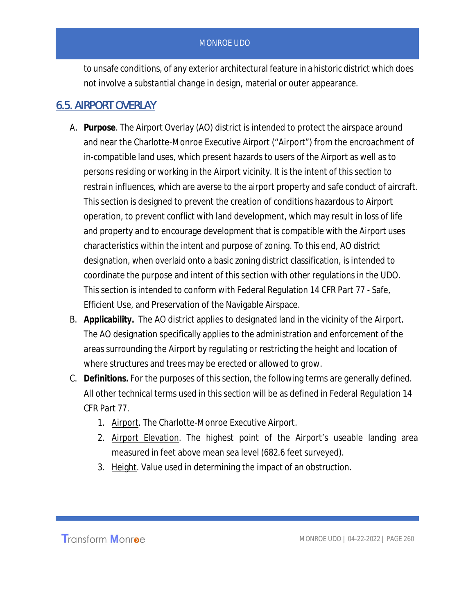to unsafe conditions, of any exterior architectural feature in a historic district which does not involve a substantial change in design, material or outer appearance.

# 6.5. AIRPORT OVERLAY

- A. **Purpose**. The Airport Overlay (AO) district is intended to protect the airspace around and near the Charlotte-Monroe Executive Airport ("Airport") from the encroachment of in-compatible land uses, which present hazards to users of the Airport as well as to persons residing or working in the Airport vicinity. It is the intent of this section to restrain influences, which are averse to the airport property and safe conduct of aircraft. This section is designed to prevent the creation of conditions hazardous to Airport operation, to prevent conflict with land development, which may result in loss of life and property and to encourage development that is compatible with the Airport uses characteristics within the intent and purpose of zoning. To this end, AO district designation, when overlaid onto a basic zoning district classification, is intended to coordinate the purpose and intent of this section with other regulations in the UDO. This section is intended to conform with Federal Regulation 14 CFR Part 77 - Safe, Efficient Use, and Preservation of the Navigable Airspace.
- B. **Applicability.** The AO district applies to designated land in the vicinity of the Airport. The AO designation specifically applies to the administration and enforcement of the areas surrounding the Airport by regulating or restricting the height and location of where structures and trees may be erected or allowed to grow.
- C. **Definitions.** For the purposes of this section, the following terms are generally defined. All other technical terms used in this section will be as defined in Federal Regulation 14 CFR Part 77.
	- 1. Airport. The Charlotte-Monroe Executive Airport.
	- 2. Airport Elevation. The highest point of the Airport's useable landing area measured in feet above mean sea level (682.6 feet surveyed).
	- 3. Height. Value used in determining the impact of an obstruction.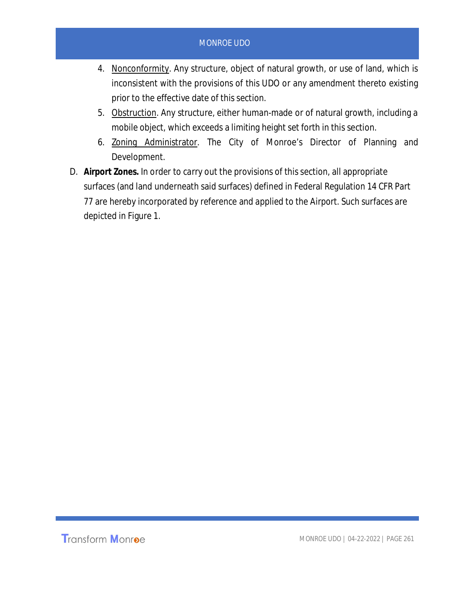- 4. Nonconformity. Any structure, object of natural growth, or use of land, which is inconsistent with the provisions of this UDO or any amendment thereto existing prior to the effective date of this section.
- 5. Obstruction. Any structure, either human-made or of natural growth, including a mobile object, which exceeds a limiting height set forth in this section.
- 6. Zoning Administrator. The City of Monroe's Director of Planning and Development.
- D. **Airport Zones.** In order to carry out the provisions of this section, all appropriate surfaces (and land underneath said surfaces) defined in Federal Regulation 14 CFR Part 77 are hereby incorporated by reference and applied to the Airport. Such surfaces are depicted in Figure 1.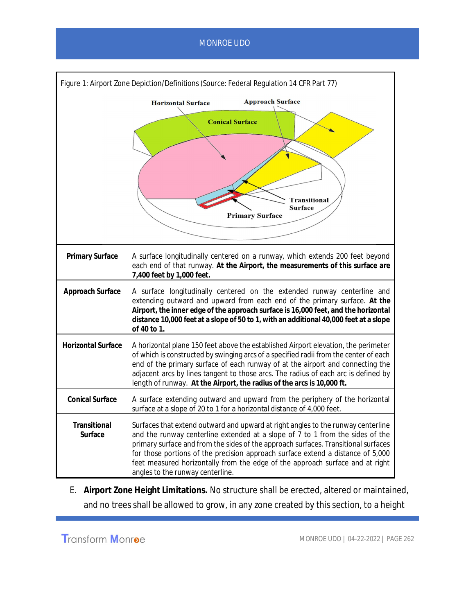

E. **Airport Zone Height Limitations.** No structure shall be erected, altered or maintained, and no trees shall be allowed to grow, in any zone created by this section, to a height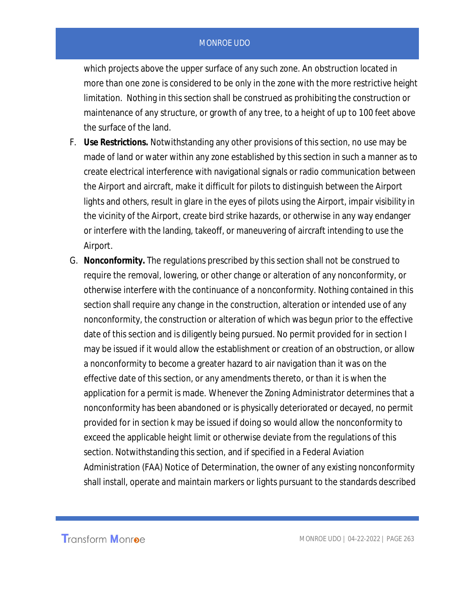which projects above the upper surface of any such zone. An obstruction located in more than one zone is considered to be only in the zone with the more restrictive height limitation. Nothing in this section shall be construed as prohibiting the construction or maintenance of any structure, or growth of any tree, to a height of up to 100 feet above the surface of the land.

- F. **Use Restrictions.** Notwithstanding any other provisions of this section, no use may be made of land or water within any zone established by this section in such a manner as to create electrical interference with navigational signals or radio communication between the Airport and aircraft, make it difficult for pilots to distinguish between the Airport lights and others, result in glare in the eyes of pilots using the Airport, impair visibility in the vicinity of the Airport, create bird strike hazards, or otherwise in any way endanger or interfere with the landing, takeoff, or maneuvering of aircraft intending to use the Airport.
- G. **Nonconformity.** The regulations prescribed by this section shall not be construed to require the removal, lowering, or other change or alteration of any nonconformity, or otherwise interfere with the continuance of a nonconformity. Nothing contained in this section shall require any change in the construction, alteration or intended use of any nonconformity, the construction or alteration of which was begun prior to the effective date of this section and is diligently being pursued. No permit provided for in section I may be issued if it would allow the establishment or creation of an obstruction, or allow a nonconformity to become a greater hazard to air navigation than it was on the effective date of this section, or any amendments thereto, or than it is when the application for a permit is made. Whenever the Zoning Administrator determines that a nonconformity has been abandoned or is physically deteriorated or decayed, no permit provided for in section k may be issued if doing so would allow the nonconformity to exceed the applicable height limit or otherwise deviate from the regulations of this section. Notwithstanding this section, and if specified in a Federal Aviation Administration (FAA) Notice of Determination, the owner of any existing nonconformity shall install, operate and maintain markers or lights pursuant to the standards described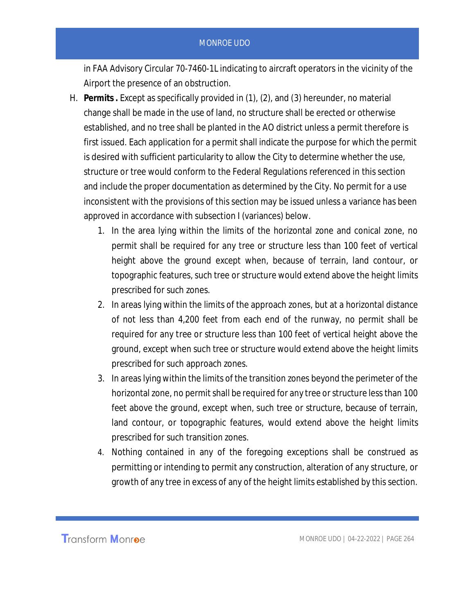in FAA Advisory Circular 70-7460-1L indicating to aircraft operators in the vicinity of the Airport the presence of an obstruction.

- H. **Permits .** Except as specifically provided in (1), (2), and (3) hereunder, no material change shall be made in the use of land, no structure shall be erected or otherwise established, and no tree shall be planted in the AO district unless a permit therefore is first issued. Each application for a permit shall indicate the purpose for which the permit is desired with sufficient particularity to allow the City to determine whether the use, structure or tree would conform to the Federal Regulations referenced in this section and include the proper documentation as determined by the City. No permit for a use inconsistent with the provisions of this section may be issued unless a variance has been approved in accordance with subsection I (variances) below.
	- 1. In the area lying within the limits of the horizontal zone and conical zone, no permit shall be required for any tree or structure less than 100 feet of vertical height above the ground except when, because of terrain, land contour, or topographic features, such tree or structure would extend above the height limits prescribed for such zones.
	- 2. In areas lying within the limits of the approach zones, but at a horizontal distance of not less than 4,200 feet from each end of the runway, no permit shall be required for any tree or structure less than 100 feet of vertical height above the ground, except when such tree or structure would extend above the height limits prescribed for such approach zones.
	- 3. In areas lying within the limits of the transition zones beyond the perimeter of the horizontal zone, no permit shall be required for any tree or structure less than 100 feet above the ground, except when, such tree or structure, because of terrain, land contour, or topographic features, would extend above the height limits prescribed for such transition zones.
	- 4. Nothing contained in any of the foregoing exceptions shall be construed as permitting or intending to permit any construction, alteration of any structure, or growth of any tree in excess of any of the height limits established by this section.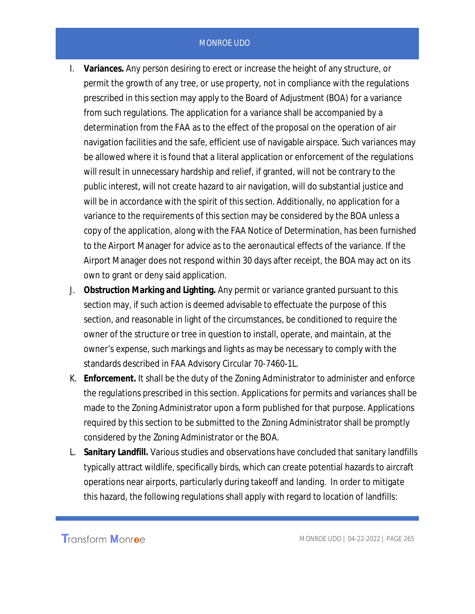- I. **Variances.** Any person desiring to erect or increase the height of any structure, or permit the growth of any tree, or use property, not in compliance with the regulations prescribed in this section may apply to the Board of Adjustment (BOA) for a variance from such regulations. The application for a variance shall be accompanied by a determination from the FAA as to the effect of the proposal on the operation of air navigation facilities and the safe, efficient use of navigable airspace. Such variances may be allowed where it is found that a literal application or enforcement of the regulations will result in unnecessary hardship and relief, if granted, will not be contrary to the public interest, will not create hazard to air navigation, will do substantial justice and will be in accordance with the spirit of this section. Additionally, no application for a variance to the requirements of this section may be considered by the BOA unless a copy of the application, along with the FAA Notice of Determination, has been furnished to the Airport Manager for advice as to the aeronautical effects of the variance. If the Airport Manager does not respond within 30 days after receipt, the BOA may act on its own to grant or deny said application.
- J. **Obstruction Marking and Lighting.** Any permit or variance granted pursuant to this section may, if such action is deemed advisable to effectuate the purpose of this section, and reasonable in light of the circumstances, be conditioned to require the owner of the structure or tree in question to install, operate, and maintain, at the owner's expense, such markings and lights as may be necessary to comply with the standards described in FAA Advisory Circular 70-7460-1L.
- K. **Enforcement.** It shall be the duty of the Zoning Administrator to administer and enforce the regulations prescribed in this section. Applications for permits and variances shall be made to the Zoning Administrator upon a form published for that purpose. Applications required by this section to be submitted to the Zoning Administrator shall be promptly considered by the Zoning Administrator or the BOA.
- L. **Sanitary Landfill.** Various studies and observations have concluded that sanitary landfills typically attract wildlife, specifically birds, which can create potential hazards to aircraft operations near airports, particularly during takeoff and landing. In order to mitigate this hazard, the following regulations shall apply with regard to location of landfills: